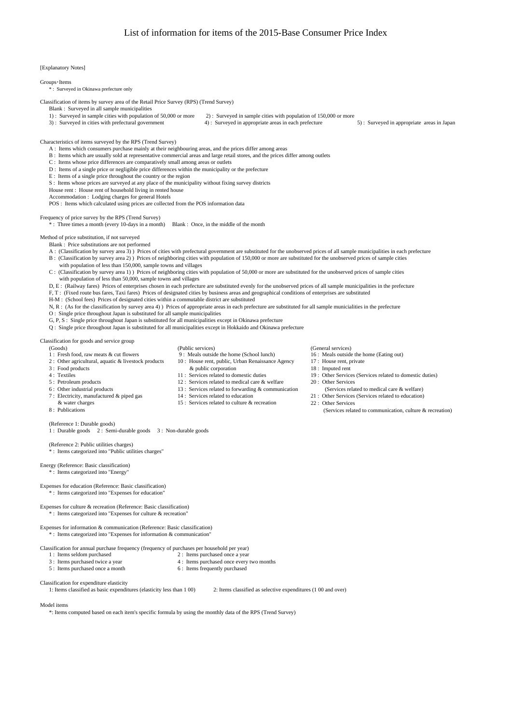[Explanatory Notes]

## Groups・Items

\* : Surveyed in Okinawa prefecture only

Classification of items by survey area of the Retail Price Survey (RPS) (Trend Survey)

Blank : Surveyed in all sample municipalities

- 1) : Surveyed in sample cities with population of 50,000 or more 2) : Surveyed in sample cities with population of 150,000 or more
	-

3) : Surveyed in cities with prefectural government 4) : Surveyed in appropriate areas in each prefecture 5) : Surveyed in appropriate areas in Japan

Characteristics of items surveyed by the RPS (Trend Survey)

- A : Items which consumers purchase mainly at their neighbouring areas, and the prices differ among areas
- B : Items which are usually sold at representative commercial areas and large retail stores, and the prices differ among outlets C : Items whose price differences are comparatively small among areas or outlets
- D : Items of a single price or negligible price differences within the municipality or the prefecture
- E : Items of a single price throughout the country or the region
- S : Items whose prices are surveyed at any place of the municipality without fixing survey districts
- House rent : House rent of household living in rented house
- Accommodation : Lodging charges for general Hotels

POS : Items which calculated using prices are collected from the POS information data

Frequency of price survey by the RPS (Trend Survey)

\*: Three times a month (every 10-days in a month) Blank : Once, in the middle of the month

Method of price substitution, if not surveyed

- Blank : Price substitutions are not performed
- A: (Classification by survey area 3) ) Prices of cities with prefectural government are substituted for the unobserved prices of all sample municipalities in each prefecture B : (Classification by survey area 2) ) Prices of neighboring cities with population of 150,000 or more are substituted for the unobserved prices of sample cities
- with population of less than 150,000, sample towns and villages
- C : (Classification by survey area 1) ) Prices of neighboring cities with population of 50,000 or more are substituted for the unobserved prices of sample cities with population of less than 50,000, sample towns and villages
- D, E : (Railway fares) Prices of enterprises chosen in each prefecture are substituted evenly for the unobserved prices of all sample municipalities in the prefecture
- F, T : (Fixed route bus fares, Taxi fares) Prices of designated cities by business areas and geographical conditions of enterprises are substituted
- H-M : (School fees) Prices of designated cities within a commutable district are substituted
- N, R : (As for the classification by survey area 4) ) Prices of appropriate areas in each prefecture are substituted for all sample municialities in the prefecture

O : Single price throughout Japan is substituted for all sample municipalities

- G, P, S : Single price throughout Japan is substituted for all municipalities except in Okinawa prefecture
- Q : Single price throughout Japan is substituted for all municipalities except in Hokkaido and Okinawa prefecture

Classification for goods and service group

- 
- (Goods) (General services) (General services) (General services)<br>1: Fresh food. raw meats & cut flowers 9: Meals outside the home (School lunch) 16: Meals outside the home (Eating out)
- 
- 
- 
- 
- 6 : Other industrial products 13 : Services related to forwarding & communication
- 
- 
- 
- (Reference 1: Durable goods)
- 1 : Durable goods 2 : Semi-durable goods 3 : Non-durable goods

(Reference 2: Public utilities charges) \* : Items categorized into "Public utilities charges"

## Energy (Reference: Basic classification)  $\therefore$  Items categorized into "Energy

Expenses for education (Reference: Basic classification) \* : Items categorized into "Expenses for education"

Expenses for culture & recreation (Reference: Basic classification) \* : Items categorized into "Expenses for culture & recreation"

Expenses for information & communication (Reference: Basic classification) \* : Items categorized into "Expenses for information & communication"

Classification for annual purchase frequency (frequency of purchases per household per year)

- -
- 
- 5 : Items purchased once a month
- 1 : Items seldom purchased<br>
3 : Items purchased twice a year<br>
2 : Items purchased once every<br>
2 : Items purchased once every 4 : Items purchased once every two months<br>6 : Items frequently purchased
	-

Classification for expenditure elasticity

1: Items classified as basic expenditures (elasticity less than 1 00) 2: Items classified as selective expenditures (1 00 and over)

Model items

\*: Items computed based on each item's specific formula by using the monthly data of the RPS (Trend Survey)

- 
- 
- 
- 4 : Textiles 11 : Services related to domestic duties 19 : Other Services (Services related to domestic duties)
- 5 : Petroleum products (12 : Services related to medical care & welfare 20 : Other Services related to products<br>5 : Other industrial products (13 : Services related to forwarding & communication (Services related to medica
- 7 : Electricity, manufactured & piped gas 14 : Services related to education 21 : Other Services (Services related to education)
	-
- & water charges 15: Services related to culture & recreation 22 : Other Services  $\frac{8}{22}$ : Publications (Services related to culture  $\frac{8}{22}$ : Other Services related to culture  $\frac{8}{22}$ : Other Services related to cul (Services related to communication, culture  $&$  recreation)

1 : Fresh food, raw meats & cut flowers 9 : Meals outside the home (School lunch) 16 : Meals outside the home (School lunch) 16 : Meals outside the home (School lunch) 16 : Meals outside the home (School lunch) 17 : House 2 : Other agricultural, aquatic & livestock products 10 : House rent, public, Urban Renaissance Agency<br>3 : Food products & public corporation 3 : Food products & public corporation 18 : Imputed rent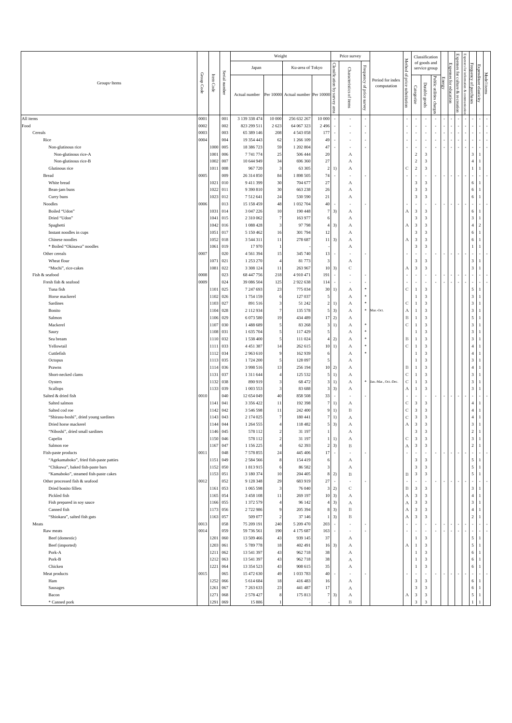|                                            |            |                          |               |                           | Weight              |                                   |                      |                                        | Price survey             |                              |                                 |                                      |                              | Classification                                     |                         |        |                                      | Exp                             |                              |                                |  |
|--------------------------------------------|------------|--------------------------|---------------|---------------------------|---------------------|-----------------------------------|----------------------|----------------------------------------|--------------------------|------------------------------|---------------------------------|--------------------------------------|------------------------------|----------------------------------------------------|-------------------------|--------|--------------------------------------|---------------------------------|------------------------------|--------------------------------|--|
|                                            |            |                          |               | Japan                     |                     | Ku-area of Tokyo                  |                      |                                        |                          |                              |                                 | Method                               |                              | of goods and<br>service group                      |                         |        |                                      | Expenses<br>for                 | Frequency                    |                                |  |
| Groups · Items                             | Group Code | $\rm{Item} \, \rm{Code}$ | Serial number | Actual number             |                     | Per 10000 Actual number Per 10000 |                      | Classification by<br>ms<br>٨a٨<br>area | Characteristics of items | Frequency of price<br>survey | Period for index<br>computation | $\mathfrak{S}$<br>price substitution | Categorize                   | Durable goods                                      | Public utilities charge | Energy | Expenses for education<br>recreation | Ë<br><b>THORS</b><br>& con<br>۶ | ٩<br>purchase:               | Expenditure elasticity         |  |
| All items                                  | 0001       |                          | 001           | 3 139 338 474             | 10 000              | 256 632 267                       | 10 000               |                                        |                          |                              |                                 |                                      |                              |                                                    |                         |        |                                      |                                 |                              |                                |  |
| Food                                       | 0002       |                          | 002           | 823 299 511               | 2 6 2 3             | 64 067 323                        | 2 4 9 6              |                                        |                          |                              |                                 |                                      |                              |                                                    |                         |        |                                      |                                 |                              |                                |  |
| Cereals                                    | 0003       |                          | 003           | 65 389 146                | 208                 | 4 5 4 3 0 5 8                     | 177                  |                                        |                          |                              |                                 |                                      | ٠                            | ٠                                                  |                         |        |                                      |                                 |                              |                                |  |
| Rice                                       | 0004       |                          | 004           | 19 354 443                | 62                  | 1 266 109                         | 49                   |                                        |                          |                              |                                 |                                      |                              |                                                    |                         |        |                                      |                                 |                              |                                |  |
| Non-glutinous rice<br>Non-glutinous rice-A |            | 1000<br>1001             | 005<br>006    | 18 386 723<br>7741774     | 59<br>25            | 1 202 804<br>506 444              | 47<br>20             |                                        | ×<br>А                   |                              |                                 |                                      | ٠<br>$\overline{2}$          | $\overline{\mathbf{3}}$                            |                         |        |                                      |                                 | $\mathbf{3}$                 |                                |  |
| Non-glutinous rice-B                       |            | 1002                     | 007           | 10 644 949                | 34                  | 696 360                           | 27                   |                                        | А                        |                              |                                 |                                      | $\overline{2}$               | $\overline{\mathbf{3}}$                            |                         |        |                                      |                                 | $\overline{4}$               |                                |  |
| Glutinous rice                             |            | 1011                     | 008           | 967 720                   | $\mathbf{3}$        | 63 30 5                           | $\overline{c}$       | 1)                                     | А                        |                              |                                 | $\mathbf C$                          | $\overline{2}$               | $\overline{\mathbf{3}}$                            |                         |        |                                      |                                 |                              |                                |  |
| Bread                                      | 0005       |                          | 009           | 26 314 850                | 84                  | 1898 505                          | 74                   |                                        | ×                        |                              |                                 |                                      | ä,                           |                                                    |                         |        |                                      |                                 |                              |                                |  |
| White bread                                |            | 1021 010                 |               | 9411399                   | 30                  | 704 677                           | 27                   |                                        | А                        |                              |                                 |                                      | 3                            | $\overline{\mathbf{3}}$                            |                         |        |                                      |                                 | 6                            |                                |  |
| Bean-jam buns                              |            | 1022                     | 011           | 9 390 810                 | 30                  | 663 238                           | 26                   |                                        | А                        |                              |                                 |                                      | $\overline{\mathbf{3}}$      | $\sqrt{3}$                                         |                         |        |                                      |                                 | 6                            |                                |  |
| Curry buns                                 |            | 1023                     | 012           | 7512641                   | 24                  | 530 590                           | 21                   |                                        | А                        |                              |                                 |                                      | 3                            | 3                                                  |                         |        |                                      |                                 | 6                            |                                |  |
| Noodles<br>Boiled "Udon"                   | 0006       | 1031 014                 | 013           | 15 158 459<br>3 047 226   | $48\,$<br>10        | 1 032 704<br>190 448              | 40<br>$\overline{7}$ | 3)                                     |                          |                              |                                 |                                      | ٠<br>$\overline{\mathbf{3}}$ | $\overline{\mathbf{3}}$                            |                         |        |                                      |                                 | 6                            | $\overline{1}$                 |  |
| Dried "Udon"                               |            | 1041                     | 015           | 2 310 062                 | $\tau$              | 163 977                           |                      |                                        | А<br>А                   |                              |                                 | А                                    | $\overline{\mathbf{3}}$      | $\sqrt{3}$                                         |                         |        |                                      |                                 | 3                            |                                |  |
| Spaghetti                                  |            | 1042                     | 016           | 1 088 428                 | 3                   | 97 798                            |                      | 3)                                     | А                        |                              |                                 | А                                    | $\overline{\mathbf{3}}$      | $\mathbf{3}$                                       |                         |        |                                      |                                 | $\overline{4}$               | 2                              |  |
| Instant noodles in cups                    |            | 1051                     | 017           | 5 150 462                 | 16                  | 301 794                           | 12                   |                                        | А                        |                              |                                 |                                      | $\overline{\mathbf{3}}$      | 3                                                  |                         |        |                                      |                                 | 6                            |                                |  |
| Chinese noodles                            |            | 1052                     | 018           | 3 5 4 4 3 1 1             | 11                  | 278 687                           | 11                   | 3)                                     | А                        |                              |                                 | А                                    | $\overline{\mathbf{3}}$      | $\mathbf{3}$                                       |                         |        |                                      |                                 | 6                            |                                |  |
| * Boiled "Okinawa" noodles                 |            | 1061                     | 019           | 17970                     | 1                   |                                   |                      |                                        | А                        |                              |                                 |                                      | $\overline{\mathbf{3}}$      | $\overline{\mathbf{3}}$                            |                         |        |                                      |                                 | $\mathbf{1}$                 |                                |  |
| Other cereals                              | 0007       |                          | 020           | 4 5 6 1 3 9 4             | 15                  | 345 740                           | 13                   |                                        | ٠                        |                              |                                 |                                      | ä,                           | ٠                                                  |                         |        |                                      |                                 |                              |                                |  |
| Wheat flour                                |            | 1071                     | 021           | 1 253 270                 | $\overline{4}$      | 81773                             | 3                    |                                        | А                        |                              |                                 |                                      | $\overline{\mathbf{3}}$      | $\sqrt{3}$                                         |                         |        |                                      |                                 | $\sqrt{3}$                   |                                |  |
| "Mochi", rice-cakes<br>Fish & seafood      | 0008       | 1081                     | 022<br>023    | 3 3 08 1 24<br>68 447 756 | 11<br>218           | 263 967<br>4910471                | 10<br>191            | 3)<br>×                                | $\mathbb C$              |                              |                                 | А                                    | $\overline{\mathbf{3}}$      | $\overline{\mathbf{3}}$                            |                         |        |                                      |                                 | $\overline{\mathbf{3}}$      |                                |  |
| Fresh fish & seafood                       | 0009       |                          | 024           | 39 086 504                | 125                 | 2922638                           | 114                  | $\sim$                                 |                          |                              |                                 |                                      | $\overline{\phantom{a}}$     | ٠                                                  |                         |        |                                      |                                 |                              |                                |  |
| Tuna fish                                  |            | 1101                     | 025           | 7 247 693                 | 23                  | 775 034                           | 30                   | 1)                                     | А                        |                              |                                 | $\mathbf C$                          | 1                            | $\mathbf{3}$                                       |                         |        |                                      |                                 | 5                            |                                |  |
| Horse mackerel                             |            | 1102                     | 026           | 1754159                   | 6                   | 127 037                           |                      |                                        | А                        |                              |                                 |                                      | 1                            | $\mathbf{3}$                                       |                         |        |                                      |                                 | $\overline{\mathbf{3}}$      |                                |  |
| Sardines                                   |            | 1103                     | 027           | 891 516                   | 3                   | 51 24 2                           | $\overline{2}$       | 1)                                     | А                        |                              |                                 | $\mathbf C$                          | $\mathbf{1}$                 | $\overline{\mathbf{3}}$                            |                         |        |                                      |                                 | $\mathbf{3}$                 |                                |  |
| Bonito                                     |            | 1104                     | 028           | 2 112 934                 | $\tau$              | 135 578                           | 5                    | 3)                                     | А                        | $\ast$                       | Mar.-Oct                        | А                                    | $\mathbf{1}$                 | $\overline{\mathbf{3}}$                            |                         |        |                                      |                                 | 3                            |                                |  |
| Salmon                                     |            | 1106                     | 029           | 6 073 580                 | 19                  | 434 489                           | 17                   | 2)                                     | А                        |                              |                                 | $\, {\bf B}$                         | 1                            | 3                                                  |                         |        |                                      |                                 | 5                            |                                |  |
| Mackerel                                   |            | 1107<br>1108             | 030           | 1488689                   | 5                   | 83 268<br>117429                  | 3<br>5               | 1)                                     | А                        |                              |                                 | $\mathbf C$                          | $\mathbf{1}$<br>$\mathbf{1}$ | $\sqrt{3}$<br>$\overline{\mathbf{3}}$              |                         |        |                                      |                                 | $\sqrt{3}$<br>3              |                                |  |
| Saury<br>Sea bream                         |            | 1110                     | 031<br>032    | 1 635 704<br>1538400      | 5<br>5              | 111 024                           | $\overline{4}$       | 2)                                     | А<br>А                   |                              |                                 | $_{\rm B}$                           | $\mathbf{1}$                 | $\sqrt{3}$                                         |                         |        |                                      |                                 | $\sqrt{3}$                   |                                |  |
| Yellowtail                                 |            | 1111                     | 033           | 4451387                   | 14                  | 262 615                           | 10                   | 1)                                     | $\mathbf{A}$             | $\ast$                       |                                 | $\mathbf C$                          | 1                            | 3                                                  |                         |        |                                      |                                 | $\overline{4}$               |                                |  |
| Cuttlefish                                 |            | 1112                     | 034           | 2963610                   | 9                   | 162 939                           |                      |                                        | А                        |                              |                                 |                                      | $\mathbf{1}$                 | $\sqrt{3}$                                         |                         |        |                                      |                                 | $\overline{4}$               |                                |  |
| Octopus                                    |            | 1113                     | 035           | 1724 200                  | 5                   | 128 097                           | 5                    |                                        | А                        |                              |                                 |                                      | 1                            | $\overline{\mathbf{3}}$                            |                         |        |                                      |                                 | 3                            | -1                             |  |
| Prawns                                     |            | 1114                     | 036           | 3 9 9 8 5 1 6             | 13                  | 256 194                           | 10                   | 2)                                     | А                        |                              |                                 | B                                    | $\mathbf{1}$                 | $\overline{\mathbf{3}}$                            |                         |        |                                      |                                 | $\overline{4}$               |                                |  |
| Short-necked clams                         |            | 1131                     | 037           | 1 3 1 1 6 4 4             | $\overline{4}$      | 125 532                           | 5                    | 1)                                     | А                        |                              |                                 | $\mathbf C$                          | 1                            | 3                                                  |                         |        |                                      |                                 | $\overline{3}$               |                                |  |
| Oysters                                    |            | 1132                     | 038           | 890 919                   | $\mathbf{3}$        | 68 472                            | $\sqrt{3}$           | 1)                                     | А                        | $\ast$                       | Jan.-Mar., Oct.-Dec.            | $\mathbf C$                          | $\mathbf{1}$                 | $\sqrt{3}$                                         |                         |        |                                      |                                 | $\overline{\mathbf{3}}$      |                                |  |
| Scallops<br>Salted & dried fish            | 0010       | 1133                     | 039<br>040    | 1 003 553<br>12 654 049   | $\mathbf{3}$<br>40  | 83 688<br>858 508                 | $\sqrt{3}$<br>33     | 3)<br>×                                | А                        |                              |                                 | А                                    | 1<br>×                       | 3                                                  |                         |        |                                      |                                 | $\sqrt{3}$                   |                                |  |
| Salted salmon                              |            | 1141                     | 041           | 3 356 422                 | 11                  | 192 398                           | $\overline{7}$       | 1)                                     | А                        |                              |                                 | $\mathbf C$                          | $\overline{\mathbf{3}}$      | $\mathbf{3}$                                       |                         |        |                                      |                                 | $\overline{4}$               |                                |  |
| Salted cod roe                             |            | 1142                     | 042           | 3 546 598                 | 11                  | 242 400                           | 9                    | 1)                                     | $\, {\bf B}$             |                              |                                 | $\mathbf C$                          | $\mathbf{3}$                 | $\sqrt{3}$                                         |                         |        |                                      |                                 | $\overline{4}$               |                                |  |
| "Shirasu-boshi", dried young sardines      |            | 1143                     | 043           | 2 174 025                 | $\overline{7}$      | 180 441                           | 7                    | 1)                                     | А                        |                              |                                 | $\mathbf C$                          | $\overline{\mathbf{3}}$      | $\mathbf{3}$                                       |                         |        |                                      |                                 | $\sqrt{4}$                   | $\mathbf{1}$                   |  |
| Dried horse mackerel                       |            | 1144                     | 044           | 1 264 555                 | $\overline{4}$      | 118 482                           | 5                    | 3)                                     | А                        |                              |                                 | А                                    | $\overline{\mathbf{3}}$      | $\sqrt{3}$                                         |                         |        |                                      |                                 | $\sqrt{3}$                   |                                |  |
| "Niboshi", dried small sardines            |            | 1146                     | 045           | 578 112                   | $\sqrt{2}$          | 31 197                            |                      |                                        | А                        |                              |                                 |                                      | $\overline{\mathbf{3}}$      | $\mathbf{3}$                                       |                         |        |                                      |                                 | $\overline{c}$               |                                |  |
| Capelin<br>Salmon roe                      |            | 1150 046<br>1167 047     |               | 578 112<br>1 156 225      | 2<br>$\overline{4}$ | 31 197<br>62 393                  | $\sqrt{2}$           | 1)<br>3)                               | А<br>$\, {\bf B}$        |                              |                                 | C<br>$_{\rm A}$                      | 3<br>$_{\rm 3}$              | 3<br>$\overline{\mathbf{3}}$                       |                         |        |                                      |                                 | 3<br>$\,2\,$                 | $\mathbf{1}$                   |  |
| Fish-paste products                        | 0011       |                          | 048           | 7 578 855                 | 24                  | 445 406                           | $17\,$               | $\overline{\phantom{a}}$               |                          |                              |                                 | ×,                                   | ×                            | $\overline{\phantom{a}}$                           |                         |        |                                      |                                 | i,                           |                                |  |
| "Agekamaboko", fried fish-paste patties    |            | 1151                     | 049           | 2 5 8 4 5 6 6             | $\bf8$              | 154 419                           | 6                    |                                        | А                        |                              |                                 |                                      | $\overline{\mathbf{3}}$      | $\overline{\mathbf{3}}$                            |                         |        |                                      |                                 | $\sqrt{5}$                   | $\mathbf{1}$                   |  |
| "Chikuwa", baked fish-paste bars           |            | 1152                     | 050           | 1813915                   | 6                   | 86 5 82                           | 3                    |                                        | $\mathbf{A}$             |                              |                                 |                                      | $_{\rm 3}$                   | $\overline{\mathbf{3}}$                            |                         |        |                                      |                                 | $\sqrt{5}$                   |                                |  |
| "Kamaboko", steamed fish-paste cakes       |            | 1153 051                 |               | 3 180 374                 | $10$                | 204 405                           | 8                    | 2)                                     | $\, {\bf B}$             |                              |                                 | B                                    | $\overline{\mathbf{3}}$      | $\overline{\mathbf{3}}$                            |                         |        |                                      |                                 | $\sqrt{5}$                   | $\overline{1}$                 |  |
| Other processed fish & seafood             | 0012       |                          | 052           | 9 128 348                 | 29                  | 683 919                           | 27                   | $\sim$                                 |                          |                              |                                 |                                      | ×                            | ٠                                                  |                         |        |                                      |                                 |                              |                                |  |
| Dried bonito fillets<br>Pickled fish       |            | 1161<br>1165             | 053<br>054    | 1 065 598<br>3 458 108    | 3<br>11             | 76 040<br>269 197                 | 3<br>10              | 2)<br>3)                               | $\mathbb C$<br>А         |                              |                                 | $_{\rm B}$<br>$_{\rm A}$             | $\overline{\mathbf{3}}$<br>3 | $\overline{\mathbf{3}}$<br>$\overline{\mathbf{3}}$ |                         |        |                                      |                                 | $-3.1$<br>$\overline{4}$     | -1                             |  |
| Fish prepared in soy sauce                 |            | 1166                     | 055           | 1 372 579                 | $\overline{4}$      | 96 142                            | $\overline{4}$       | 3)                                     | А                        |                              |                                 | $_{\rm A}$                           | $\overline{\mathbf{3}}$      | $\overline{\mathbf{3}}$                            |                         |        |                                      |                                 | $\sqrt{3}$                   | $\overline{1}$                 |  |
| Canned fish                                |            | 1173 056                 |               | 2722986                   | 9                   | 205 394                           | 8                    | 3)                                     | $\, {\bf B}$             |                              |                                 | $_{\rm A}$                           | 3                            | $\overline{\mathbf{3}}$                            |                         |        |                                      |                                 | $\sqrt{4}$                   | $\mathbf{1}$                   |  |
| "Shiokara", salted fish guts               |            | 1163 057                 |               | 509 077                   | $\sqrt{2}$          | 37 146                            |                      | 3)                                     | $\, {\bf B}$             |                              |                                 | $\boldsymbol{A}$                     | $_{\rm 3}$                   | $\overline{\mathbf{3}}$                            |                         |        |                                      |                                 | $\sqrt{2}$                   |                                |  |
| Meats                                      | 0013       |                          | 058           | 75 209 191                | 240                 | 5 209 470                         | 203                  | ×,                                     |                          |                              |                                 |                                      | $\overline{\phantom{a}}$     | ٠                                                  |                         |        |                                      |                                 |                              |                                |  |
| Raw meats                                  | 0014       |                          | 059           | 59 736 561                | 190                 | 4 175 687                         | 163                  | $\sim$                                 | ٠                        |                              |                                 |                                      | $\overline{\phantom{a}}$     | ä,                                                 |                         |        |                                      |                                 | ×                            |                                |  |
| Beef (domestic)                            |            | 1201 060<br>1203         |               | 13 509 466                | 43                  | 939 145<br>402 491                | 37                   |                                        | А                        |                              |                                 |                                      | 1                            | $\overline{\mathbf{3}}$                            |                         |        |                                      |                                 | $\overline{5}$<br>$\sqrt{5}$ | $\overline{1}$<br>$\mathbf{1}$ |  |
| Beef (imported)<br>Pork-A                  |            | 1211                     | 061<br>062    | 5 789 778<br>13 541 397   | 18<br>43            | 962718                            | 16<br>38             | 3)                                     | А<br>А                   |                              |                                 | А                                    | $\mathbf{1}$<br>1            | $\,$ 3 $\,$<br>$\overline{\mathbf{3}}$             |                         |        |                                      |                                 | $\,$ 6 $\,$                  | $\mathbf{1}$                   |  |
| Pork-B                                     |            | 1212                     | 063           | 13 541 397                | 43                  | 962718                            | 38                   |                                        | А                        |                              |                                 |                                      | $\mathbf{1}$                 | $\sqrt{3}$                                         |                         |        |                                      |                                 | $\sqrt{6}$                   |                                |  |
| Chicken                                    |            | 1221                     | 064           | 13 354 523                | 43                  | 908 615                           | 35                   |                                        | А                        |                              |                                 |                                      | $\mathbf{1}$                 | $\overline{\mathbf{3}}$                            |                         |        |                                      |                                 | $\sqrt{6}$                   | $\mathbf{1}$                   |  |
| Meat products                              | 0015       |                          | 065           | 15 472 630                | 49                  | 1033783                           | $40\,$               |                                        |                          |                              |                                 |                                      | ×                            | ×                                                  |                         |        |                                      |                                 |                              |                                |  |
| Ham                                        |            | 1252                     | 066           | 5 614 684                 | 18                  | 416 483                           | 16                   |                                        | А                        |                              |                                 |                                      | $\mathbf{3}$                 | $\overline{\mathbf{3}}$                            |                         |        |                                      |                                 | 6                            | -1                             |  |
| Sausages                                   |            | 1261                     | 067           | 7 263 633                 | 23                  | 441 487                           | 17                   |                                        | А                        |                              |                                 |                                      | $\mathbf{3}$                 | $\overline{\mathbf{3}}$                            |                         |        |                                      |                                 | $\sqrt{6}$                   | $\mathbf{1}$                   |  |
| Bacon<br>* Canned pork                     |            | 1271<br>1291             | 068<br>069    | 2 578 427<br>15 886       | $\bf8$              | 175 813                           | $\overline{7}$       | 3)                                     | А<br>B                   |                              |                                 | А                                    | $\overline{\mathbf{3}}$      | $\overline{\mathbf{3}}$<br>3                       |                         |        |                                      |                                 | $\overline{5}$               |                                |  |
|                                            |            |                          |               |                           |                     |                                   |                      |                                        |                          |                              |                                 |                                      |                              |                                                    |                         |        |                                      |                                 |                              |                                |  |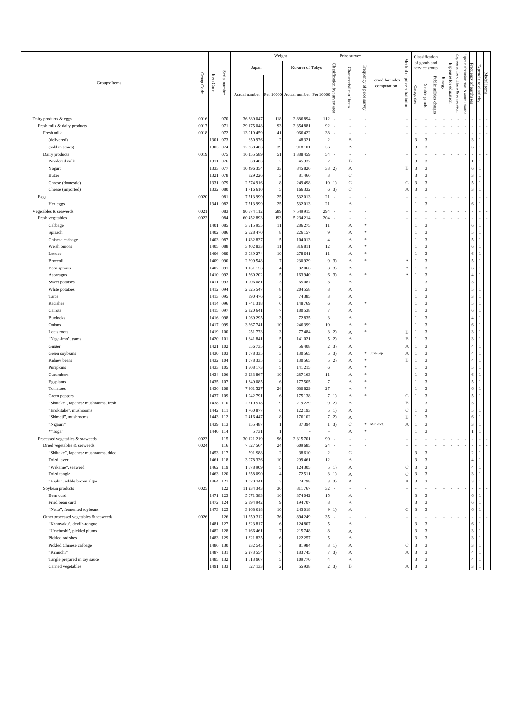|                                                                      |              |              |               |                          | Weight              |                                   |                           |                                     | Price survey             |                                           |                                 |                          |                                         | Classification                            |                          |               |                 |                            |                                                            |                                  |  |
|----------------------------------------------------------------------|--------------|--------------|---------------|--------------------------|---------------------|-----------------------------------|---------------------------|-------------------------------------|--------------------------|-------------------------------------------|---------------------------------|--------------------------|-----------------------------------------|-------------------------------------------|--------------------------|---------------|-----------------|----------------------------|------------------------------------------------------------|----------------------------------|--|
|                                                                      |              |              |               | Japan                    |                     | Ku-area of Tokyo                  |                           |                                     |                          |                                           |                                 | Method                   |                                         | of goods and<br>service group             |                          |               | <b>Expenses</b> | <b>Expense</b><br>፤        | Expenses                                                   |                                  |  |
| Groups · Items                                                       | Group Code   | Item Code    | Serial number | Actual number            |                     | Per 10000 Actual number Per 10000 |                           | Classification by<br>Survey<br>eare | Characteristics of items | <b>Frequency</b><br>ġ,<br>price<br>survey | Period for index<br>computation | 요,<br>price substitution | Categorize                              | Durable goods                             | Public utilities charge: | <b>Einerg</b> | for education   | culture<br>$\&$ recreation | Frequency of purchases<br>for information & comm<br>mncanc | Expenditure elasticity           |  |
| Dairy products & eggs                                                | 0016         |              | 070           | 36 889 047               | 118                 | 2 886 894                         | 112                       |                                     |                          |                                           |                                 |                          |                                         |                                           |                          |               |                 |                            |                                                            |                                  |  |
| Fresh milk & dairy products<br>Fresh milk                            | 0017<br>0018 |              | 071<br>072    | 29 175 048<br>13 019 459 | 93<br>41            | 2 3 5 4 8 8 1<br>966 422          | 92<br>38                  |                                     |                          |                                           |                                 |                          | ×,                                      | $\sim$                                    |                          |               |                 |                            |                                                            |                                  |  |
| (delivered)                                                          |              | 1301         | 073           | 650 976                  | $\overline{2}$      | 48 321                            | $\overline{2}$            |                                     | S                        |                                           |                                 |                          | $\overline{\mathbf{3}}$                 | 3                                         |                          |               |                 |                            | 3                                                          | $\mathbf{1}$                     |  |
| (sold in stores)                                                     |              | 1303         | 074           | 12 368 483               | 39                  | 918 101                           | 36                        |                                     | А                        |                                           |                                 |                          | $\sqrt{3}$                              | $\sqrt{3}$                                |                          |               |                 |                            | 6                                                          |                                  |  |
| Dairy products                                                       | 0019         |              | 075           | 16 155 589               | 51                  | 1 388 459                         | 54                        |                                     | ٠                        |                                           |                                 |                          | ×,                                      | $\sim$                                    |                          |               |                 | $\overline{\phantom{a}}$   |                                                            |                                  |  |
| Powdered milk                                                        |              | 1311         | 076           | 538 483                  | $\overline{2}$      | 45 337                            | $\overline{2}$            |                                     | B                        |                                           |                                 |                          | $\mathbf{3}$                            | 3                                         |                          |               |                 |                            | $\mathbf{1}$                                               | 1                                |  |
| Yogurt<br><b>Butter</b>                                              |              | 1333<br>1321 | 077<br>078    | 10 496 354<br>829 226    | 33<br>3             | 845 826<br>81 4 66                | 33<br>3                   | 2)                                  | А<br>$\mathbb C$         |                                           |                                 | В                        | $\overline{\mathbf{3}}$<br>3            | $\ensuremath{\mathfrak{Z}}$<br>$\sqrt{3}$ |                          |               |                 |                            | 6<br>3                                                     | -1                               |  |
| Cheese (domestic)                                                    |              | 1331         | 079           | 2574916                  | 8                   | 249 498                           | $10$                      | 1)                                  | $\mathbb C$              |                                           |                                 | С                        | $\mathbf{3}$                            | $\sqrt{3}$                                |                          |               |                 |                            | 5                                                          |                                  |  |
| Cheese (imported)                                                    |              | 1332         | 080           | 1716610                  | 5                   | 166 332                           | 6                         | 3)                                  | $\mathbf C$              |                                           |                                 | А                        | $\overline{3}$                          | $\sqrt{3}$                                |                          |               |                 |                            | 3                                                          |                                  |  |
| Eggs                                                                 | 0020         |              | 081           | 7713999                  | 25                  | 532 013                           | 21                        |                                     |                          |                                           |                                 |                          | ×                                       | $\sim$                                    |                          |               |                 | $\overline{\phantom{a}}$   |                                                            |                                  |  |
| Hen eggs<br>Vegetables & seaweeds                                    | 0021         | 1341         | 082<br>083    | 7713999<br>90 574 112    | 25<br>289           | 532 013<br>7 5 4 9 9 1 5          | 21<br>294                 |                                     | А<br>i.                  |                                           |                                 |                          | ×                                       | $\sqrt{3}$<br>$\sim$                      |                          |               |                 | $\overline{\phantom{a}}$   | 6<br>ä,                                                    |                                  |  |
| Fresh vegetables                                                     | 0022         |              | 084           | 60 452 893               | 193                 | 5 2 3 4 2 1 4                     | 204                       |                                     |                          |                                           |                                 |                          |                                         |                                           |                          |               |                 |                            | ä,                                                         |                                  |  |
| Cabbage                                                              |              | 1401         | 085           | 3 5 1 5 9 5 5            | 11                  | 286 275                           | 11                        |                                     | А                        |                                           |                                 |                          | 1                                       | 3                                         |                          |               |                 |                            | 6                                                          | 1                                |  |
| Spinach                                                              |              | 1402         | 086           | 2 5 2 8 4 7 0            | 8                   | 226 157                           | g                         |                                     | А                        |                                           |                                 |                          | 1                                       | $\mathfrak{Z}$                            |                          |               |                 |                            | 5                                                          | 1                                |  |
| Chinese cabbage                                                      |              | 1403         | 087           | 1432837                  | 5                   | 104 013                           |                           |                                     | А                        |                                           |                                 |                          | 1                                       | $\sqrt{3}$                                |                          |               |                 |                            | 5                                                          | $\overline{1}$                   |  |
| Welsh onions<br>Lettuce                                              |              | 1405<br>1406 | 088<br>089    | 3 402 833<br>3 089 274   | 11<br>10            | 316811<br>278 641                 | 12<br>$11\,$              |                                     | А<br>А                   |                                           |                                 |                          | $\mathbf{1}$<br>1                       | $\mathfrak{Z}$<br>$\sqrt{3}$              |                          |               |                 |                            | 6<br>6                                                     | $\overline{1}$<br>-1             |  |
| Broccoli                                                             |              | 1409         | 090           | 2 2 9 5 4 8              | $\overline{7}$      | 230 929                           | 9                         | 3)                                  | А                        |                                           |                                 | А                        | 1                                       | $\mathfrak{Z}$                            |                          |               |                 |                            | 5                                                          | $\overline{1}$                   |  |
| Bean sprouts                                                         |              | 1407         | 091           | 1 151 153                | $\overline{4}$      | 82 066                            | 3                         | 3)                                  | А                        |                                           |                                 | $_{\rm A}$               | 1                                       | $\sqrt{3}$                                |                          |               |                 |                            | 6                                                          | $\overline{1}$                   |  |
| Asparagus                                                            |              | 1410         | 092           | 1 560 202                | 5                   | 163 940                           | 6                         | 3)                                  | А                        |                                           |                                 | A                        | 1                                       | 3                                         |                          |               |                 |                            | $\overline{4}$                                             | 1                                |  |
| Sweet potatoes                                                       |              | 1411         | 093           | 1 006 081                | 3                   | 65 087                            | 3                         |                                     | А                        |                                           |                                 |                          | 1                                       | $\sqrt{3}$                                |                          |               |                 |                            | $\overline{\mathbf{3}}$                                    | -1                               |  |
| White potatoes                                                       |              | 1412<br>1413 | 094<br>095    | 2 5 2 5 5 4 7<br>890 476 | 8<br>3              | 204 558<br>74 385                 | 3                         |                                     | А                        |                                           |                                 |                          | 1<br>1                                  | 3<br>$\sqrt{3}$                           |                          |               |                 |                            | 5<br>$\mathfrak z$                                         | $\overline{1}$                   |  |
| Taros<br>Radishes                                                    |              | 1414         | 096           | 1741318                  | 6                   | 148 769                           | 6                         |                                     | А<br>А                   |                                           |                                 |                          | 1                                       | 3                                         |                          |               |                 |                            | 5                                                          | $\overline{1}$                   |  |
| Carrots                                                              |              | 1415         | 097           | 2 3 2 0 6 4 1            | $\overline{7}$      | 180 538                           |                           |                                     | А                        |                                           |                                 |                          |                                         | 3                                         |                          |               |                 |                            | 6                                                          |                                  |  |
| <b>Burdocks</b>                                                      |              | 1416         | 098           | 1 069 295                | $\sqrt{3}$          | 72 835                            | 3                         |                                     | А                        |                                           |                                 |                          | 1                                       | 3                                         |                          |               |                 |                            | $\overline{4}$                                             | -1                               |  |
| Onions                                                               |              | 1417         | 099           | 3 267 741                | 10                  | 246 399                           | 10                        |                                     | А                        |                                           |                                 |                          |                                         | $\sqrt{3}$                                |                          |               |                 |                            | 6                                                          |                                  |  |
| Lotus roots                                                          |              | 1419         | 100           | 951 773                  | 3                   | 77 484                            | 3                         | 2)                                  | А                        |                                           |                                 | $_{\rm B}$               | -1                                      | $\sqrt{3}$                                |                          |               |                 |                            | $\overline{\mathbf{3}}$                                    | $\overline{1}$                   |  |
| "Naga-imo", yams<br>Ginger                                           |              | 1420<br>1421 | 101<br>102    | 1641841<br>656 735       | 5<br>$\overline{2}$ | 141 021<br>56 408                 | 5<br>$\mathfrak{D}$       | 2)<br>3)                            | А<br>А                   |                                           |                                 | $_{\rm B}$<br>А          | 1<br>-1                                 | $\sqrt{3}$<br>$\sqrt{3}$                  |                          |               |                 |                            | $\overline{\mathbf{3}}$<br>$\overline{4}$                  | -1                               |  |
| Green soybeans                                                       |              | 1430         | 103           | 1078335                  | 3                   | 130 565                           | 5                         | 3)                                  | А                        | 宋                                         | ine-Sep                         | А                        | 1                                       | $\sqrt{3}$                                |                          |               |                 |                            | $\overline{4}$                                             |                                  |  |
| Kidney beans                                                         |              | 1432         | 104           | 1078335                  | $\sqrt{3}$          | 130 565                           | 5                         | 2)                                  | А                        |                                           |                                 | B                        | $\mathbf{1}$                            | $\sqrt{3}$                                |                          |               |                 |                            | $\overline{4}$                                             | $\overline{1}$                   |  |
| Pumpkins                                                             |              | 1433         | 105           | 1 508 173                | 5                   | 141 215                           | 6                         |                                     | А                        |                                           |                                 |                          | 1                                       | $\sqrt{3}$                                |                          |               |                 |                            | 5                                                          | $\mathbf{1}$                     |  |
| Cucumbers                                                            |              | 1434         | 106           | 3 2 3 3 8 6 7            | 10                  | 287 163                           | 11                        |                                     | А                        |                                           |                                 |                          | 1                                       | $\sqrt{3}$                                |                          |               |                 |                            | 6                                                          | -1                               |  |
| Eggplants<br>Tomatoes                                                |              | 1435<br>1436 | 107<br>108    | 1849085<br>7461527       | 6<br>24             | 177 505<br>680 829                | $\overline{7}$<br>$27\,$  |                                     | А<br>А                   |                                           |                                 |                          | 1<br>1                                  | 3<br>$\sqrt{3}$                           |                          |               |                 |                            | 5<br>6                                                     | $\mathbf{1}$<br>1                |  |
| Green peppers                                                        |              | 1437         | 109           | 1942791                  | 6                   | 175 138                           | $\overline{7}$            | $\vert$ 1)                          | А                        |                                           |                                 | С                        | 1                                       | 3                                         |                          |               |                 |                            | 5                                                          | $\overline{1}$                   |  |
| "Shiitake", Japanese mushrooms, fresh                                |              | 1438         | 110           | 2710518                  | 9                   | 219 229                           | Q                         | 2)                                  | А                        |                                           |                                 | $_{\rm B}$               | 1                                       | $\sqrt{3}$                                |                          |               |                 |                            | 5                                                          | -1                               |  |
| "Enokitake", mushrooms                                               |              | 1442         | 111           | 1760877                  | -6                  | 122 193                           | 5                         | 1)                                  | А                        |                                           |                                 | $\mathbf C$              | 1                                       | 3                                         |                          |               |                 |                            | 5                                                          | -1                               |  |
| "Shimeji", mushrooms                                                 |              | 1443         | 112           | 2 4 1 6 4 4 7            | 8                   | 176 102                           | 7                         | 2)                                  | А                        |                                           |                                 | $_{\rm B}$               | 1                                       | $\sqrt{3}$                                |                          |               |                 |                            | 6                                                          | $\mathbf{1}$                     |  |
| "Nigauri"<br>*"Toga"                                                 |              | 1439<br>1440 | 113<br>114    | 355 487<br>5 7 3 1       | -1<br>1             | 37 39 4                           |                           | 3)                                  | $\mathbb{C}$<br>А        | *                                         | Mar.-Oct.                       | $\mathbf{A}$             | 1<br>1                                  | 3<br>$\sqrt{3}$                           |                          |               |                 |                            | 3<br>$1\,$                                                 | $\mathbf{1}$<br>$\overline{1}$   |  |
| Processed vegetables & seaweeds                                      | 0023         |              | 115           | 30 121 219               | 96                  | 2 3 1 5 7 0 1                     | 90                        |                                     |                          |                                           |                                 |                          |                                         |                                           |                          |               |                 |                            |                                                            |                                  |  |
| Dried vegetables & seaweeds                                          | 0024         |              | 116           | 7627564                  | 24                  | 609 685                           | 24                        |                                     |                          |                                           |                                 |                          | ×,                                      | ×.                                        |                          |               |                 |                            |                                                            |                                  |  |
| "Shiitake", Japanese mushrooms, dried                                |              | 1453         | 117           | 591 988                  | $\overline{2}$      | 38 610                            | $\overline{2}$            |                                     | $\mathbf C$              |                                           |                                 |                          | $\overline{\mathbf{3}}$                 | $\overline{\mathbf{3}}$                   |                          |               |                 |                            | $\sqrt{2}$                                                 | $\mathbf{1}$                     |  |
| Dried laver<br>"Wakame", seaweed                                     |              | 1461<br>1462 | 118<br>119    | 3 078 336<br>1678909     | 10<br>5             | 299 461<br>124 305                | $12 \,$<br>5 <sub>l</sub> | 1)                                  | А                        |                                           |                                 |                          | $\mathbf{3}$<br>$\overline{\mathbf{3}}$ | $\mathbf{3}$<br>$\sqrt{3}$                |                          |               |                 |                            | $\sqrt{4}$<br>$\overline{4}$                               | -1<br>$\overline{1}$             |  |
| Dried tangle                                                         |              | 1463         | 120           | 1 258 090                | $\overline{4}$      | 72 511                            | $\overline{\mathbf{3}}$   | 1)                                  | А<br>А                   |                                           |                                 | С<br>$_{\rm C}$          | $\overline{\mathbf{3}}$                 | $\sqrt{3}$                                |                          |               |                 |                            | $\sqrt{3}$                                                 | $\mathbf{1}$                     |  |
| "Hijiki", edible brown algae                                         |              | 1464         | 121           | 1 0 20 24 1              | $\sqrt{3}$          | 74 798                            | 3                         | 3)                                  | А                        |                                           |                                 | $\mathbf{A}$             | $\overline{3}$                          | $\sqrt{3}$                                |                          |               |                 |                            | $\overline{3}$                                             | $\overline{1}$                   |  |
| Soybean products                                                     | 0025         |              | 122           | 11 234 343               | 36                  | 811767                            | 32                        | $\sim$                              |                          |                                           |                                 |                          |                                         |                                           |                          |               |                 |                            | ł,                                                         |                                  |  |
| Bean curd                                                            |              | 1471         | 123           | 5 071 383                | 16                  | 374 042                           | 15                        |                                     | $\mathbf{A}$             |                                           |                                 |                          | 3                                       | 3                                         |                          |               |                 |                            | 6                                                          | -1                               |  |
| Fried bean curd                                                      |              | 1472         | 124           | 2 894 942                | 9                   | 194 707                           | 8                         |                                     | А                        |                                           |                                 |                          | $\mathbf{3}$                            | $\sqrt{3}$                                |                          |               |                 |                            | 6                                                          |                                  |  |
| "Natto", fermented soybeans<br>Other processed vegetables & seaweeds | 0026         | 1473         | 125<br>126    | 3 268 018<br>11 259 312  | 10<br>36            | 243 018<br>894 249                | 9<br>35                   | 1)<br>J.                            | А                        |                                           |                                 | С                        | $\overline{3}$                          | $\sqrt{3}$                                |                          |               |                 |                            | 6<br>ł,                                                    | $\mathbf{1}$                     |  |
| "Konnyaku", devil's-tongue                                           |              | 1481         | 127           | 1823817                  | 6                   | 124 807                           | 5                         |                                     | А                        |                                           |                                 |                          | $\overline{\mathbf{3}}$                 | 3                                         |                          |               |                 |                            | 6                                                          | -1                               |  |
| "Umeboshi", pickled plums                                            |              | 1482         | 128           | 2 166 461                | $\overline{7}$      | 215 748                           | 8                         |                                     | $\mathbf{A}$             |                                           |                                 |                          | $\sqrt{3}$                              | $\sqrt{3}$                                |                          |               |                 |                            | $\overline{\mathbf{3}}$                                    | $\mathbf{1}$                     |  |
| Pickled radishes                                                     |              | 1483         | 129           | 1821835                  | 6                   | 122 257                           | 5                         |                                     | А                        |                                           |                                 |                          | 3                                       | $\sqrt{3}$                                |                          |               |                 |                            | $_{\rm 3}$                                                 | $\overline{1}$                   |  |
| Pickled Chinese cabbage                                              |              | 1486         | 130           | 932 545                  | 3                   | 81984                             | $\mathbf{3}$              | 1)                                  | А                        |                                           |                                 | С                        | $\overline{3}$                          | $\sqrt{3}$                                |                          |               |                 |                            | $\mathbf 3$                                                | $\mathbf{1}$                     |  |
| "Kimuchi"<br>Tangle prepared in soy sauce                            |              | 1487<br>1485 | 131<br>132    | 2 273 554<br>1613967     | $\overline{7}$<br>5 | 183745<br>109 770                 | 7                         | 3)                                  | А<br>$\mathbf{A}$        |                                           |                                 | $\mathbf{A}$             | $\overline{\mathbf{3}}$<br>$\sqrt{3}$   | $\sqrt{3}$<br>$\sqrt{3}$                  |                          |               |                 |                            | $\overline{4}$                                             | $\sqrt{4}$<br>-1<br>$\mathbf{1}$ |  |
| Canned vegetables                                                    |              | 1491         | 133           | 627 133                  | $\overline{2}$      | 55 938                            | 2                         | 3)                                  | $\, {\bf B}$             |                                           |                                 | А                        | $\overline{\mathbf{3}}$                 | $\mathfrak{Z}$                            |                          |               |                 |                            | 3                                                          |                                  |  |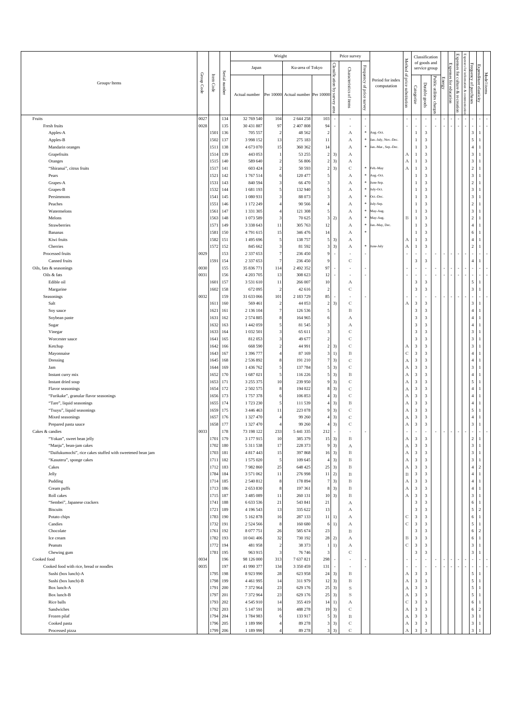|                                                            |            |                         |               |                                | Weight                       |                                   |                          |                                     | Price survey                |                                 |                                 |                            |                                                    | Classification                                     |                          |        |                        | ĘX                            |                                                       |                                |  |
|------------------------------------------------------------|------------|-------------------------|---------------|--------------------------------|------------------------------|-----------------------------------|--------------------------|-------------------------------------|-----------------------------|---------------------------------|---------------------------------|----------------------------|----------------------------------------------------|----------------------------------------------------|--------------------------|--------|------------------------|-------------------------------|-------------------------------------------------------|--------------------------------|--|
|                                                            |            |                         |               | Japan                          |                              | Ku-area of Tokyo                  |                          |                                     |                             |                                 |                                 | Method                     |                                                    | of goods and<br>service group                      |                          |        |                        |                               | Expenses for                                          |                                |  |
| Groups · Items                                             | Group Code | $\rm{Irem}\, \rm{Code}$ | Serial number | Actual number                  |                              | Per 10000 Actual number Per 10000 |                          | Classification by<br>Survey<br>area | Characteristics of items    | Frequency of<br>price<br>Survey | Period for index<br>computation | ₽,<br>price substitution   | Categorize                                         | Durable goods                                      | Public utilities charges | Energy | Expenses for education | anjiur.<br>প্ল<br>recrea<br>Ē | Frequency<br>infomn<br>of purchases<br>ation<br>& com | Expenditure elasticity         |  |
| Fruits                                                     | 0027       |                         | 134           | 32 769 540                     | 104                          | 2 644 258                         | 103                      |                                     |                             |                                 |                                 |                            |                                                    |                                                    |                          |        |                        |                               |                                                       |                                |  |
| Fresh fruits                                               | 0028       |                         | 135           | 30 431 887                     | 97                           | 2 407 808                         | 94                       |                                     |                             |                                 |                                 |                            |                                                    |                                                    |                          |        |                        |                               |                                                       |                                |  |
| Apples-A                                                   |            | 1501                    | 136           | 705 557                        | $\overline{\mathbf{c}}$      | 48 5 62                           | $\overline{2}$           |                                     | А                           | *                               | Aug.-Oct.                       |                            | $\mathbf{1}$                                       | $\sqrt{3}$                                         |                          |        |                        |                               | $\mathbf{3}$                                          | 1                              |  |
| Apples-B                                                   |            | 1502                    | 137           | 3 9 9 1 5 2                    | 13                           | 275 183                           | 11                       |                                     | А                           | $\ast$                          | Jan.-July, Nov.-Dec.            |                            | $\mathbf{1}$                                       | 3                                                  |                          |        |                        |                               | 5                                                     |                                |  |
| Mandarin oranges                                           |            | 1511                    | 138           | 4 673 070                      | 15                           | 360 362                           | 14                       |                                     | А                           | $\ast$                          | Jan.-Mar., Sep.-Dec.            |                            | $\mathbf{1}$                                       | $\sqrt{3}$                                         |                          |        |                        |                               | $\overline{4}$                                        |                                |  |
| Grapefruits                                                |            | 1514                    | 139           | 443 053                        | 1                            | 53 255                            | $\sqrt{2}$               | 3)                                  | А                           |                                 |                                 | А                          | $\mathbf{1}$                                       | $\mathbf{3}$                                       |                          |        |                        |                               | $\ensuremath{\mathbf{3}}$                             | $\mathbf{1}$                   |  |
| Oranges                                                    |            | 1515                    | 140           | 589 640                        | $\overline{2}$               | 56 806                            | $\overline{2}$           | 3)                                  | А                           |                                 |                                 | А                          | $\mathbf{1}$                                       | $\overline{\mathbf{3}}$                            |                          |        |                        |                               | $\sqrt{3}$                                            |                                |  |
| "Shiranui", citrus fruits<br>Pears                         |            | 1517<br>1521            | 141<br>142    | 603 424<br>1767514             | $\sqrt{2}$<br>6              | 50 593<br>120 477                 | $\overline{2}$           | 3)                                  | $\mathbf C$<br>А            | $\ast$                          | Feb.-May<br>Aug.-Oct            | $_{\rm A}$                 | $\mathbf{1}$<br>$\mathbf{1}$                       | $\mathbf{3}$<br>$\sqrt{3}$                         |                          |        |                        |                               | $\overline{2}$<br>$\sqrt{3}$                          |                                |  |
| Grapes-A                                                   |            | 1531                    | 143           | 840 594                        | 3                            | 66 470                            | 3                        |                                     | А                           | $\ast$                          | une-Sep.                        |                            | $\mathbf{1}$                                       | $\sqrt{3}$                                         |                          |        |                        |                               | $\overline{2}$                                        |                                |  |
| Grapes-B                                                   |            | 1532                    | 144           | 1681193                        | 5                            | 132 940                           | 5                        |                                     | А                           | $\ast$                          | July-Oct.                       |                            | $\mathbf{1}$                                       | $\sqrt{3}$                                         |                          |        |                        |                               | $\sqrt{3}$                                            |                                |  |
| Persimmons                                                 |            | 1541                    | 145           | 1 080 931                      | $\mathbf{3}$                 | 88 073                            | 3                        |                                     | А                           | $\ast$                          | Oct.-Dec.                       |                            | $\mathbf{1}$                                       | $\mathbf{3}$                                       |                          |        |                        |                               | 3                                                     |                                |  |
| Peaches                                                    |            | 1551                    | 146           | 1 172 249                      | $\overline{4}$               | 90 566                            |                          |                                     | А                           | $\ast$                          | July-Sep.                       |                            | $\mathbf{1}$                                       | $\sqrt{3}$                                         |                          |        |                        |                               | $\,2\,$                                               |                                |  |
| Watermelons                                                |            | 1561                    | 147           | 1 3 3 1 3 0 5                  | $\overline{4}$               | 121 308                           | 5                        |                                     | А                           | $\ast$                          | May-Aug.                        |                            | $\mathbf{1}$                                       | $\mathbf{3}$                                       |                          |        |                        |                               | $\ensuremath{\mathbf{3}}$                             | $\overline{1}$                 |  |
| Melons                                                     |            | 1563                    | 148           | 1073589                        | $\mathbf{3}$                 | 70 625                            | 3                        | 2)                                  | А                           | $\ast$<br>$\ast$                | May-Aug.                        | B                          | $\mathbf{1}$                                       | $\overline{\mathbf{3}}$                            |                          |        |                        |                               | $\sqrt{2}$                                            |                                |  |
| Strawberries<br>Bananas                                    |            | 1571<br>1581            | 149<br>150    | 3 3 3 6 6 4 3<br>4791615       | 11<br>15                     | 305 763<br>346 476                | 12<br>14                 |                                     | А<br>А                      |                                 | Jan.-May, Dec.                  |                            | $\mathbf{1}$<br>$\mathbf{1}$                       | $\mathbf{3}$<br>3                                  |                          |        |                        |                               | $\sqrt{4}$<br>6                                       |                                |  |
| Kiwi fruits                                                |            | 1582                    | 151           | 1495 696                       | $\sqrt{5}$                   | 138 757                           | 5                        | 3)                                  | А                           |                                 |                                 | А                          | $\mathbf{1}$                                       | $\sqrt{3}$                                         |                          |        |                        |                               | $\overline{4}$                                        |                                |  |
| Cherries                                                   |            | 1572 152                |               | 845 662                        | $\mathbf{3}$                 | 81 592                            | 3                        | 3)                                  | А                           | $\ast$                          | June-July                       | А                          | 1                                                  | 3                                                  |                          |        |                        |                               | $\sqrt{2}$                                            |                                |  |
| Processed fruits                                           | 0029       |                         | 153           | 2 3 3 7 6 5 3                  | $\overline{7}$               | 236 450                           | g                        |                                     |                             |                                 |                                 |                            | ä,                                                 | ä,                                                 |                          |        |                        |                               |                                                       |                                |  |
| Canned fruits                                              |            | 1591                    | 154           | 2 3 3 7 6 5 3                  | $\overline{7}$               | 236 450                           |                          |                                     | $\mathbf C$                 |                                 |                                 |                            | 3                                                  | 3                                                  |                          |        |                        |                               | $\overline{4}$                                        |                                |  |
| Oils, fats & seasonings                                    | 0030       |                         | 155           | 35 836 771                     | 114                          | 2 492 352                         | 97                       |                                     | ×                           |                                 |                                 |                            | ÷,                                                 |                                                    |                          |        |                        |                               |                                                       |                                |  |
| Oils & fats                                                | 0031       |                         | 156           | 4 203 705                      | 13                           | 308 623                           | 12                       |                                     |                             |                                 |                                 |                            | ä,                                                 |                                                    |                          |        |                        |                               |                                                       |                                |  |
| Edible oil                                                 |            | 1601<br>1602            | 157           | 3 531 610                      | 11<br>$\overline{2}$         | 266 007                           | $10\,$<br>$\overline{2}$ |                                     | А                           |                                 |                                 |                            | $\overline{\mathbf{3}}$<br>3                       | $\overline{\mathbf{3}}$<br>$\overline{\mathbf{3}}$ |                          |        |                        |                               | 5<br>3                                                |                                |  |
| Margarine<br>Seasonings                                    | 0032       |                         | 158<br>159    | 672 095<br>31 633 066          | 101                          | 42 616<br>2 183 729               | 85                       |                                     | $\mathbf C$                 |                                 |                                 |                            | ٠                                                  |                                                    |                          |        |                        |                               |                                                       |                                |  |
| Salt                                                       |            | 1611                    | 160           | 569 461                        | $\overline{2}$               | 44 053                            | $\overline{2}$           | 3)                                  | $\mathbf C$                 |                                 |                                 | А                          | 3                                                  | $\overline{\mathbf{3}}$                            |                          |        |                        |                               | $\mathbf{3}$                                          | $\overline{1}$                 |  |
| Soy sauce                                                  |            | 1621                    | 161           | 2 136 104                      | $\overline{7}$               | 126 536                           | 5                        |                                     | B                           |                                 |                                 |                            | $\overline{\mathbf{3}}$                            | $\overline{\mathbf{3}}$                            |                          |        |                        |                               | $\overline{4}$                                        |                                |  |
| Soybean paste                                              |            | 1631                    | 162           | 2 574 885                      | 8                            | 164 965                           | 6                        |                                     | А                           |                                 |                                 |                            | $\overline{\mathbf{3}}$                            | $\mathbf{3}$                                       |                          |        |                        |                               | $\overline{\mathbf{4}}$                               |                                |  |
| Sugar                                                      |            | 1632                    | 163           | 1 442 059                      | 5                            | 81 545                            | 3                        |                                     | А                           |                                 |                                 |                            | $\overline{\mathbf{3}}$                            | 3                                                  |                          |        |                        |                               | $\overline{4}$                                        |                                |  |
| Vinegar                                                    |            | 1633                    | 164           | 1 032 501                      | 3                            | 65 611                            | 3                        |                                     | $\mathbb C$                 |                                 |                                 |                            | $\overline{\mathbf{3}}$                            | 3                                                  |                          |        |                        |                               | $\sqrt{3}$                                            |                                |  |
| Worcester sauce                                            |            | 1641                    | 165           | 812053                         | $\mathbf{3}$                 | 49 677                            | $\overline{c}$           |                                     | $\mathbf C$                 |                                 |                                 |                            | $\overline{\mathbf{3}}$                            | $\sqrt{3}$                                         |                          |        |                        |                               | $\sqrt{3}$                                            |                                |  |
| Ketchup                                                    |            | 1642<br>1643            | 166<br>167    | 668 590<br>1 396 777           | $\sqrt{2}$<br>$\overline{4}$ | 44 991                            | $\overline{2}$<br>3      | 3)                                  | $\mathbf C$<br>$\, {\bf B}$ |                                 |                                 | А<br>$\mathbf C$           | $\overline{\mathbf{3}}$<br>$\sqrt{3}$              | $\mathbf{3}$<br>$\sqrt{3}$                         |                          |        |                        |                               | 3<br>$\overline{4}$                                   |                                |  |
| Mayonnaise<br>Dressing                                     |            | 1645                    | 168           | 2 536 892                      | 8                            | 87 169<br>191 210                 | $\overline{7}$           | 1)<br>3)                            | $\mathbf C$                 |                                 |                                 | А                          | $\overline{\mathbf{3}}$                            | $\sqrt{3}$                                         |                          |        |                        |                               | $\sqrt{4}$                                            |                                |  |
| Jam                                                        |            | 1644                    | 169           | 1 436 762                      | 5                            | 137 784                           | 5                        | 3)                                  | $\mathbf C$                 |                                 |                                 | $\boldsymbol{A}$           | $\overline{\mathbf{3}}$                            | $\sqrt{3}$                                         |                          |        |                        |                               | $\sqrt{3}$                                            |                                |  |
| Instant curry mix                                          |            | 1652                    | 170           | 1687021                        | 5                            | 116 226                           | 5                        | 3)                                  | $\, {\bf B}$                |                                 |                                 | А                          | $\overline{\mathbf{3}}$                            | $\mathbf{3}$                                       |                          |        |                        |                               | $\overline{4}$                                        | -1                             |  |
| Instant dried soup                                         |            | 1653                    | 171           | 3 255 375                      | 10                           | 239 950                           | 9                        | 3)                                  | $\mathbf C$                 |                                 |                                 | $\boldsymbol{A}$           | $\overline{\mathbf{3}}$                            | $\sqrt{3}$                                         |                          |        |                        |                               | 5                                                     |                                |  |
| Flavor seasonings                                          |            | 1654                    | 172           | 2 502 575                      | 8                            | 194 022                           | 8                        | 3)                                  | $\mathbf C$                 |                                 |                                 | А                          | $\overline{\mathbf{3}}$                            | $\sqrt{3}$                                         |                          |        |                        |                               | $\overline{4}$                                        |                                |  |
| "Furikake", granular flavor seasonings                     |            | 1656                    | 173           | 1757378                        | 6                            | 106 853                           | $\overline{4}$           | 3)                                  | $\mathbf C$                 |                                 |                                 | $\boldsymbol{A}$           | 3                                                  | $\overline{\mathbf{3}}$                            |                          |        |                        |                               | $\overline{4}$                                        | $\overline{1}$                 |  |
| "Tare", liquid seasonings                                  |            | 1655                    | 174           | 1723 230                       | 5                            | 111 539                           | Δ                        | 3)                                  | B                           |                                 |                                 | $\boldsymbol{A}$           | $\overline{\mathbf{3}}$                            | $\overline{\mathbf{3}}$                            |                          |        |                        |                               | $\overline{4}$                                        |                                |  |
| "Tsuyu", liquid seasonings                                 |            | 1659<br>1657            | 175<br>176    | 3 446 463<br>1 327 470         | 11<br>4                      | 223 078<br>99 260                 |                          | 3)<br>3)                            | C<br>$\mathbf C$            |                                 |                                 | А                          | $\overline{\mathbf{3}}$<br>$\overline{\mathbf{3}}$ | 3<br>$\sqrt{3}$                                    |                          |        |                        |                               | 5<br>$\overline{4}$                                   | $\overline{1}$                 |  |
| Mixed seasonings<br>Prepared pasta sauce                   |            | 1658                    | 177           | 1 327 470                      | $\overline{4}$               | 99 260                            |                          | 3)                                  | C                           |                                 |                                 | А<br>$\boldsymbol{A}$      | $\overline{\mathbf{3}}$                            | 3                                                  |                          |        |                        |                               | $\overline{\mathbf{3}}$                               |                                |  |
| Cakes & candies                                            | 0033       |                         | 178           | 73 198 122                     | 233                          | 5 441 335                         | 212                      | ä,                                  |                             |                                 |                                 | ä,                         | ä,                                                 | ×.                                                 |                          |        |                        |                               |                                                       |                                |  |
| "Yokan", sweet bean jelly                                  |            | 1701                    | 179           | 3 177 915                      | 10                           | 385 379                           |                          | $15 - 3$                            | В                           |                                 |                                 | А                          | $\overline{\mathbf{3}}$                            | $\overline{\mathbf{3}}$                            |                          |        |                        |                               | $\sqrt{2}$                                            |                                |  |
| "Manju", bean-jam cakes                                    |            | 1702                    | 180           | 5 3 1 1 5 3 8                  | 17                           | 228 373                           | $\boldsymbol{9}$         | 3)                                  | А                           |                                 |                                 | $\boldsymbol{A}$           | $\sqrt{3}$                                         | $\overline{\mathbf{3}}$                            |                          |        |                        |                               | $\sqrt{3}$                                            | $\mathbf{1}$                   |  |
| "Daifukumochi", rice cakes stuffed with sweetened bean jam |            | 1703                    | 181           | 4 8 1 7 4 4 3                  | 15                           | 397 868                           |                          | $16-3)$                             | $\, {\bf B}$                |                                 |                                 | $_{\rm A}$                 | $\overline{\mathbf{3}}$                            | $\overline{\mathbf{3}}$                            |                          |        |                        |                               | $\sqrt{3}$                                            | $\mathbf{1}$                   |  |
| "Kasutera", sponge cakes                                   |            | 1711<br>1712            | 182           | 1 575 020                      | 5                            | 109 645                           | $\overline{4}$           | 3)                                  | $\, {\bf B}$                |                                 |                                 | $\boldsymbol{A}$           | $\overline{\mathbf{3}}$                            | $\overline{\mathbf{3}}$                            |                          |        |                        |                               | $_{\rm 3}$<br>$\overline{4}$                          | $\mathbf{1}$                   |  |
| Cakes<br>Jelly                                             |            | 1784                    | 183<br>184    | 7982860<br>3 571 062           | 25<br>$11\,$                 | 648 425<br>276 998                | 25<br>$1\,1$             | 3)<br>2)                            | $_{\rm B}$<br>$\, {\bf B}$  |                                 |                                 | $_{\rm A}$<br>$\, {\bf B}$ | $\overline{\mathbf{3}}$<br>$\sqrt{3}$              | $\overline{3}$<br>$\sqrt{3}$                       |                          |        |                        |                               | $\sqrt{4}$                                            | $\overline{c}$<br>$\mathbf{1}$ |  |
| Pudding                                                    |            | 1714                    | 185           | 2 540 812                      | $\,$ 8 $\,$                  | 178 894                           | $\overline{7}$           | 3)                                  | B                           |                                 |                                 | $\boldsymbol{A}$           | $\sqrt{3}$                                         | $\mathbf{3}$                                       |                          |        |                        |                               | $\sqrt{4}$                                            | $\mathbf{1}$                   |  |
| Cream puffs                                                |            | 1713                    | 186           | 2 653 830                      | 8                            | 197 361                           | 8                        | 3)                                  | $_{\rm B}$                  |                                 |                                 | $\boldsymbol{A}$           | $\mathbf{3}$                                       | $\overline{\mathbf{3}}$                            |                          |        |                        |                               | $\sqrt{4}$                                            | 1                              |  |
| Roll cakes                                                 |            | 1715                    | 187           | 3 485 089                      | 11                           | 260 131                           | 10                       | 3)                                  | $\, {\bf B}$                |                                 |                                 | $\boldsymbol{A}$           | $\overline{\mathbf{3}}$                            | $\mathbf{3}$                                       |                          |        |                        |                               | $\ensuremath{\mathfrak{Z}}$                           | $\mathbf{1}$                   |  |
| "Sembei", Japanese crackers                                |            | 1741                    | 188           | 6 633 536                      | 21                           | 543 841                           | 21                       |                                     | А                           |                                 |                                 |                            | $\overline{\mathbf{3}}$                            | $\sqrt{3}$                                         |                          |        |                        |                               | $\sqrt{6}$                                            | $\mathbf{1}$                   |  |
| <b>Biscuits</b>                                            |            | 1721                    | 189           | 4 196 543                      | 13                           | 335 622                           | $13\,$                   |                                     | А                           |                                 |                                 |                            | $\overline{\mathbf{3}}$                            | $\mathbf{3}$                                       |                          |        |                        |                               | $\mathfrak{s}$                                        | $\overline{2}$                 |  |
| Potato chips                                               |            | 1783                    | 190           | 5 162 878                      | 16                           | 287 133                           | 11                       | 1)                                  | А                           |                                 |                                 | $\mathbf C$                | $_{\rm 3}$                                         | $\overline{\mathbf{3}}$                            |                          |        |                        |                               | $\sqrt{6}$                                            | -1                             |  |
| Candies<br>Chocolate                                       |            | 1732<br>1761            | 191<br>192    | 2 5 2 4 5 6 6<br>8 0 7 7 7 5 1 | $\bf8$<br>$26\,$             | 160 680<br>585 674                | 6<br>23                  | 1)                                  | А<br>$_{\rm B}$             |                                 |                                 | $\mathbf C$                | $_{\rm 3}$<br>$\overline{\mathbf{3}}$              | $\mathbf{3}$<br>$\sqrt{3}$                         |                          |        |                        |                               | $\sqrt{5}$<br>$\sqrt{6}$                              | $\mathbf{1}$<br>$\sqrt{2}$     |  |
| Ice cream                                                  |            | 1782                    | 193           | 10 041 406                     | 32                           | 730 192                           | 28                       | 2)                                  | А                           |                                 |                                 | $\, {\bf B}$               | $_{\rm 3}$                                         | $\overline{\mathbf{3}}$                            |                          |        |                        |                               | $\sqrt{6}$                                            | $\mathbf{1}$                   |  |
| Peanuts                                                    |            | 1772 194                |               | 481958                         | $\overline{c}$               | 38 37 3                           | 1                        | 1)                                  | А                           |                                 |                                 | $\mathbf C$                | $_{\rm 3}$                                         | $\overline{\mathbf{3}}$                            |                          |        |                        |                               | $\mathfrak{Z}$                                        | $\mathbf{1}$                   |  |
| Chewing gum                                                |            | 1781                    | 195           | 963 915                        | $\sqrt{3}$                   | 76 746                            | 3                        |                                     | $\mathbf C$                 |                                 |                                 |                            | $\overline{\mathbf{3}}$                            | $\overline{\mathbf{3}}$                            |                          |        |                        |                               | $\sqrt{3}$                                            | $\mathbf{1}$                   |  |
| Cooked food                                                | 0034       |                         | 196           | 98 126 000                     | 313                          | 7637821                           | 298                      |                                     |                             |                                 |                                 |                            | ä,                                                 | ٠                                                  |                          |        |                        |                               | ł                                                     |                                |  |
| Cooked food with rice, bread or noodles                    | 0035       |                         | 197           | 41 990 377                     | 134                          | 3 350 459                         | 131                      | $\overline{\phantom{a}}$            | ×                           |                                 |                                 |                            | $\overline{\phantom{a}}$                           | ٠                                                  |                          |        |                        |                               | i,                                                    |                                |  |
| Sushi (box lunch)-A                                        |            | 1795                    | 198           | 8 9 2 3 9 9 0                  | 28                           | 623 958                           | 24                       | 3)                                  | B                           |                                 |                                 | $_{\rm A}$                 | $\overline{\mathbf{3}}$                            | $\overline{\mathbf{3}}$                            |                          |        |                        |                               | $\mathfrak{s}$                                        | $\mathbf{1}$                   |  |
| Sushi (box lunch)-B                                        |            | 1798<br>1791            | 199           | 4 4 6 1 9 9 5                  | 14<br>23                     | 311979                            | 12                       | 3)                                  | $\, {\bf B}$<br>S           |                                 |                                 | А                          | $\overline{\mathbf{3}}$<br>3                       | $\overline{\mathbf{3}}$<br>$\overline{\mathbf{3}}$ |                          |        |                        |                               | $\sqrt{5}$<br>$\sqrt{5}$                              | -1                             |  |
| Box lunch-A<br>Box lunch-B                                 |            | 1797                    | 200<br>201    | 7 372 964<br>7 372 964         | 23                           | 629 176<br>629 176                | 25<br>25                 | 3)<br>3)                            | $\,$ S                      |                                 |                                 | $_{\rm A}$<br>А            | $_{\rm 3}$                                         | $\sqrt{3}$                                         |                          |        |                        |                               | $\sqrt{5}$                                            | $\mathbf{1}$<br>$\mathbf{1}$   |  |
| Rice balls                                                 |            | 1793 202                |               | 4 5 4 5 9 10                   | 14                           | 355 419                           |                          | $14 \quad 1)$                       | А                           |                                 |                                 | $_{\rm C}$                 | 3                                                  | $\overline{\mathbf{3}}$                            |                          |        |                        |                               | $6\phantom{.}$                                        | $\mathbf{1}$                   |  |
| Sandwiches                                                 |            | 1792                    | 203           | 5 147 591                      | 16                           | 488 278                           | 19                       | 3)                                  | $\mathbf C$                 |                                 |                                 | $\boldsymbol{A}$           | $\mathbf{3}$                                       | $\overline{\mathbf{3}}$                            |                          |        |                        |                               | $\sqrt{6}$                                            | $\overline{2}$                 |  |
| Frozen pilaf                                               |            | 1794                    | 204           | 1784983                        | 6                            | 133 917                           | 5                        | 3)                                  | $\, {\bf B}$                |                                 |                                 | $_{\rm A}$                 | $\overline{\mathbf{3}}$                            | $\overline{\mathbf{3}}$                            |                          |        |                        |                               | $\sqrt{3}$                                            | $\mathbf{1}$                   |  |
| Cooked pasta                                               |            | 1796                    | 205           | 1 189 990                      | $\overline{4}$               | 89 27 8                           | 3                        | 3)                                  | $\mathbf C$                 |                                 |                                 | $\boldsymbol{A}$           | $\overline{\mathbf{3}}$                            | $\overline{\mathbf{3}}$                            |                          |        |                        |                               | $\sqrt{3}$                                            | $1\,$                          |  |
| Processed pizza                                            |            | 1799 206                |               | 1 189 990                      | $\overline{4}$               | 89 278                            | 3 <sup>1</sup>           | 3)                                  | $\mathbf C$                 |                                 |                                 | $_{\rm A}$                 | $\overline{\mathbf{3}}$                            | $\overline{\mathbf{3}}$                            |                          |        |                        |                               | $\overline{\mathbf{3}}$                               |                                |  |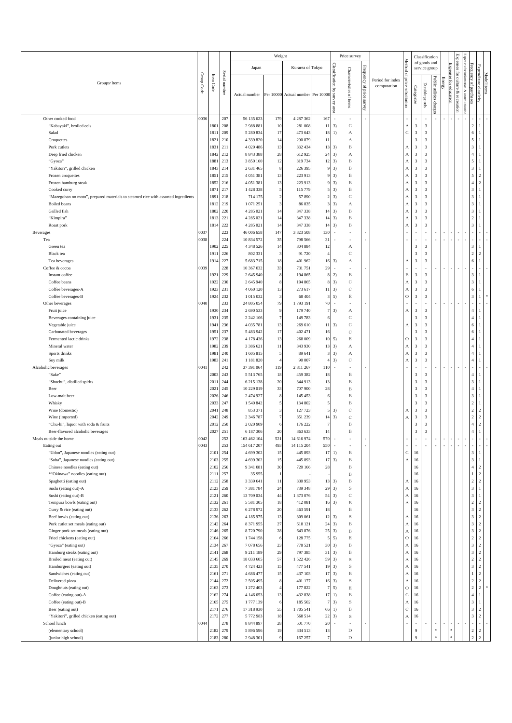|                                                                                                   |              |              |               |                               | Weight                  |                          |                          |                                  | Price survey                            |                              |                                 |                                         |                                                    | Classification                                     |                          |        |                        | Ξ                          |                                           |                                  |  |
|---------------------------------------------------------------------------------------------------|--------------|--------------|---------------|-------------------------------|-------------------------|--------------------------|--------------------------|----------------------------------|-----------------------------------------|------------------------------|---------------------------------|-----------------------------------------|----------------------------------------------------|----------------------------------------------------|--------------------------|--------|------------------------|----------------------------|-------------------------------------------|----------------------------------|--|
|                                                                                                   |              |              |               | Japan                         |                         | Ku-area of Tokyo         |                          |                                  |                                         |                              |                                 | Method                                  |                                                    | of goods and<br>service group                      |                          |        |                        | ğ                          | Expenses for<br>Frequency<br>Ē,           |                                  |  |
| Groups · Items                                                                                    | Group Code   | Item Code    | Serial number | Actual number                 |                         | Per 10000 Actual number  | Per 10000                | Classification by survey<br>area | Characteristics of items                | Frequency of price<br>survey | Period for index<br>computation | g,<br>price substitution                | Categorize                                         | Durable goods                                      | Public utilities charges | Energ; | Expenses for education | culture<br>۶<br>recreation | omation & com<br>g<br>purchases           | Expenditure elasticity           |  |
| Other cooked food                                                                                 | 0036         |              | 207           | 56 135 623                    | 179                     | 4 287 362                | 167                      | ×,                               |                                         |                              |                                 |                                         | $\overline{\phantom{a}}$                           |                                                    |                          |        |                        |                            |                                           |                                  |  |
| "Kabayaki", broiled eels                                                                          |              | 1801         | 208           | 2988881                       | $10\,$                  | 281 008                  | 11                       | 3)                               | $\mathbf C$                             |                              |                                 | А                                       | $_{\rm 3}$                                         | $\overline{\mathbf{3}}$                            |                          |        |                        |                            | $\overline{2}$                            | $\mathbf{1}$                     |  |
| Salad                                                                                             |              | 1811         | 209           | 5 280 834                     | 17                      | 473 643                  | 18                       | 1)                               | $\boldsymbol{A}$                        |                              |                                 | $\mathbf C$                             | $_{\rm 3}$                                         | $\overline{\mathbf{3}}$                            |                          |        |                        |                            | 6                                         |                                  |  |
| Croquettes<br>Pork cutlets                                                                        |              | 1821<br>1831 | 210<br>211    | 4 3 3 9 8 2 0<br>4 0 29 4 8 6 | 14<br>13                | 290 879<br>332 434       | 11<br>13                 | 3)                               | А<br>$\, {\bf B}$                       |                              |                                 | А                                       | $\overline{\mathbf{3}}$<br>3                       | $\overline{\mathbf{3}}$<br>$\overline{\mathbf{3}}$ |                          |        |                        |                            | $\sqrt{5}$<br>$\overline{\mathbf{3}}$     | $\overline{1}$                   |  |
| Deep fried chicken                                                                                |              | 1842         | 212           | 8 8 4 3 3 8 8                 | 28                      | 612925                   | 24                       | 3)                               | А                                       |                              |                                 | $_{\rm A}$                              | $\mathbf{3}$                                       | $\sqrt{3}$                                         |                          |        |                        |                            | $\sqrt{4}$                                | $\overline{1}$                   |  |
| "Gyoza"                                                                                           |              | 1881         | 213           | 3 850 160                     | 12                      | 319 734                  | 12                       | 3)                               | B                                       |                              |                                 | $\boldsymbol{A}$                        | 3                                                  | $\overline{\mathbf{3}}$                            |                          |        |                        |                            | $\sqrt{5}$                                | $\overline{1}$                   |  |
| "Yakitori", grilled chicken                                                                       |              | 1843         | 214           | 2 631 465                     | 8                       | 226 395                  | 9                        | 3)                               | $_{\rm B}$                              |                              |                                 | А                                       | $\mathbf{3}$                                       | $\overline{\mathbf{3}}$                            |                          |        |                        |                            | $\sqrt{3}$                                | $\overline{1}$                   |  |
| Frozen croquettes                                                                                 |              | 1851         | 215           | 4 0 5 1 3 8 1                 | 13                      | 223 913                  | 9                        | 3)                               | $\, {\bf B}$                            |                              |                                 | А                                       | 3                                                  | 3                                                  |                          |        |                        |                            | 5                                         | 2                                |  |
| Frozen hamburg steak                                                                              |              | 1852<br>1871 | 216<br>217    | 4 0 5 1 3 8 1<br>1428338      | 13<br>5                 | 223 913<br>115 779       | 9<br>5                   | 3)<br>3)                         | $_{\rm B}$<br>$\, {\bf B}$              |                              |                                 | А<br>$\boldsymbol{\mathrm{A}}$          | $\mathbf{3}$<br>3                                  | $\sqrt{3}$<br>$\overline{\mathbf{3}}$              |                          |        |                        |                            | $\overline{4}$<br>$\overline{\mathbf{3}}$ | $\overline{c}$<br>$\mathbf{1}$   |  |
| Cooked curry<br>"Mazegohan no moto", prepared materials to steamed rice with assorted ingredients |              | 1891         | 218           | 714 175                       | $\overline{\mathbf{c}}$ | 57 890                   | 2                        | 3)                               | $\mathbb{C}$                            |                              |                                 | А                                       | $\mathbf{3}$                                       | $\overline{\mathbf{3}}$                            |                          |        |                        |                            | 3                                         |                                  |  |
| Boiled beans                                                                                      |              | 1812         | 219           | 1071251                       | 3                       | 86 835                   | 3                        | 3)                               | А                                       |                              |                                 | А                                       | $\overline{\mathbf{3}}$                            | 3                                                  |                          |        |                        |                            | $\overline{\mathbf{3}}$                   |                                  |  |
| Grilled fish                                                                                      |              | 1802         | 220           | 4 2 8 5 0 2 1                 | 14                      | 347 338                  | 14                       | 3)                               | $_{\rm B}$                              |                              |                                 | $_{\rm A}$                              | $\mathbf{3}$                                       | $\sqrt{3}$                                         |                          |        |                        |                            | $\overline{\mathbf{3}}$                   |                                  |  |
| "Kimpira"                                                                                         |              | 1813         | 221           | 4 2 8 5 0 2 1                 | 14                      | 347 338                  | 14                       | 3)                               | $_{\rm B}$                              |                              |                                 | А                                       | $\overline{\mathbf{3}}$                            | $\overline{\mathbf{3}}$                            |                          |        |                        |                            | $\sqrt{2}$                                |                                  |  |
| Roast pork                                                                                        |              | 1814         | 222           | 4 2 8 5 0 2 1                 | 14                      | 347 338                  | 14                       | 3)                               | $_{\rm B}$                              |                              |                                 | А                                       | $\mathbf{3}$                                       | $\overline{\mathbf{3}}$                            |                          |        |                        |                            | $\overline{\mathbf{3}}$                   |                                  |  |
| Beverages<br>Tea                                                                                  | 0037<br>0038 |              | 223<br>224    | 46 006 658<br>10 834 572      | 147<br>35               | 3 3 2 3 5 0 8<br>798 566 | 130<br>31                | ×.                               |                                         |                              |                                 |                                         | ٠                                                  | ٠                                                  |                          |        |                        |                            | ×,                                        |                                  |  |
| Green tea                                                                                         |              | 1902         | 225           | 4 3 4 8 5 2 6                 | 14                      | 304 884                  | 12                       |                                  | А                                       |                              |                                 |                                         | $\overline{\mathbf{3}}$                            | $\overline{\mathbf{3}}$                            |                          |        |                        |                            | $\overline{\mathbf{3}}$                   |                                  |  |
| Black tea                                                                                         |              | 1911         | 226           | 802 331                       | 3                       | 91 720                   | $\overline{4}$           |                                  | $\mathbf C$                             |                              |                                 |                                         | $\sqrt{3}$                                         | $\overline{\mathbf{3}}$                            |                          |        |                        |                            | $\sqrt{2}$                                | 2                                |  |
| Tea beverages                                                                                     |              | 1914         | 227           | 5 683 715                     | 18                      | 401 962                  | 16                       | 3)                               | А                                       |                              |                                 | А                                       | $\mathbf{3}$                                       | $\overline{\mathbf{3}}$                            |                          |        |                        |                            | 6                                         | -1                               |  |
| Coffee & cocoa                                                                                    | 0039         |              | 228           | 10 367 032                    | 33                      | 731 751                  | 29                       | $\overline{\phantom{a}}$         |                                         |                              |                                 |                                         |                                                    |                                                    |                          |        |                        |                            |                                           |                                  |  |
| Instant coffee                                                                                    |              | 1921         | 229<br>230    | 2 645 940                     | 8<br>8                  | 194 865                  | 8<br>8                   | 2)<br>3)                         | $_{\rm B}$                              |                              |                                 | $\, {\bf B}$                            | $\sqrt{3}$<br>$\mathbf{3}$                         | $\overline{\mathbf{3}}$<br>$\overline{\mathbf{3}}$ |                          |        |                        |                            | $\overline{\mathbf{3}}$<br>$\sqrt{3}$     | -1                               |  |
| Coffee beans<br>Coffee beverages-A                                                                |              | 1922<br>1923 | 231           | 2 645 940<br>4 060 120        | 13                      | 194 865<br>273 617       | 11                       | 3)                               | $\mathbf C$<br>$\mathbf C$              |                              |                                 | $\boldsymbol{\mathrm{A}}$<br>$_{\rm A}$ | $\overline{\mathbf{3}}$                            | $\sqrt{3}$                                         |                          |        |                        |                            | 6                                         |                                  |  |
| Coffee beverages-B                                                                                |              | 1924         | 232           | 1015032                       | 3                       | 68 404                   | 3                        | 5)                               | $\mathop{\hbox{\bf E}}$                 |                              |                                 | $\circ$                                 | $_{\rm 3}$                                         | $\sqrt{3}$                                         |                          |        |                        |                            | $\sqrt{3}$                                |                                  |  |
| Other beverages                                                                                   | 0040         |              | 233           | 24 805 054                    | 79                      | 1793 191                 | 70                       | ×.                               |                                         |                              |                                 | ٠                                       | ٠                                                  | ٠                                                  |                          |        |                        |                            | i,                                        |                                  |  |
| Fruit juice                                                                                       |              | 1930         | 234           | 2 690 533                     | 9                       | 179 740                  | $\overline{7}$           | 3)                               | А                                       |                              |                                 | А                                       | 3                                                  | $\overline{\mathbf{3}}$                            |                          |        |                        |                            | $\overline{4}$                            |                                  |  |
| Beverages containing juice                                                                        |              | 1931         | 235           | 2 2 4 2 10 6                  | 7                       | 149783                   | 6                        |                                  | $\mathbf C$                             |                              |                                 |                                         | $\mathbf{3}$                                       | $\overline{\mathbf{3}}$                            |                          |        |                        |                            | $\sqrt{4}$                                |                                  |  |
| Vegetable juice<br>Carbonated beverages                                                           |              | 1941<br>1951 | 236<br>237    | 4 035 781<br>5 483 942        | 13<br>17                | 269 610<br>402 471       | 11<br>16                 | 3)                               | $\mathbb{C}$<br>$\mathbf C$             |                              |                                 | А                                       | 3<br>$\overline{\mathbf{3}}$                       | 3<br>$\sqrt{3}$                                    |                          |        |                        |                            | 6<br>$\sqrt{6}$                           |                                  |  |
| Fermented lactic drinks                                                                           |              | 1972         | 238           | 4 178 436                     | 13                      | 268 009                  | 10                       | 5)                               | $\mathop{\hbox{\bf E}}$                 |                              |                                 | $\circ$                                 | 3                                                  | $\overline{\mathbf{3}}$                            |                          |        |                        |                            | $\overline{4}$                            |                                  |  |
| Mineral water                                                                                     |              | 1982         | 239           | 3 3 8 6 6 2 1                 | 11                      | 343 930                  | 13                       | 3)                               | А                                       |                              |                                 | $_{\rm A}$                              | $\mathbf{3}$                                       | $\overline{\mathbf{3}}$                            |                          |        |                        |                            | $\overline{4}$                            |                                  |  |
| Sports drinks                                                                                     |              | 1981         | 240           | 1605815                       | 5                       | 89 641                   | 3                        | 3)                               | А                                       |                              |                                 | А                                       | $\mathbf{3}$                                       | $\overline{\mathbf{3}}$                            |                          |        |                        |                            | $\overline{4}$                            |                                  |  |
| Soy milk                                                                                          |              | 1983         | 241           | 1 181 820                     | $\overline{4}$          | 90 007                   | $\overline{4}$           | 3)                               | $\mathbf C$                             |                              |                                 | $_{\rm A}$                              | $\mathbf{3}$                                       | $\sqrt{3}$                                         |                          |        |                        |                            | $\overline{4}$                            |                                  |  |
| Alcoholic beverages                                                                               | 0041         |              | 242           | 37 391 064                    | 119                     | 2 811 267                | 110                      |                                  |                                         |                              |                                 |                                         |                                                    | $\overline{\mathbf{3}}$                            |                          |        |                        |                            |                                           |                                  |  |
| "Sake"<br>"Shochu", distilled spirits                                                             |              | 2003<br>2011 | 243<br>244    | 5 5 1 3 7 6 5<br>6 215 138    | 18<br>20                | 459 382<br>344 913       | 18<br>13                 |                                  | B<br>$\, {\bf B}$                       |                              |                                 |                                         | $\overline{\mathbf{3}}$<br>3                       | $\overline{\mathbf{3}}$                            |                          |        |                        |                            | $\sqrt{4}$<br>$\overline{3}$              | -1                               |  |
| Beer                                                                                              |              | 2021         | 245           | 10 229 019                    | 33                      | 707 900                  | 28                       |                                  | $\, {\bf B}$                            |                              |                                 |                                         | $\overline{\mathbf{3}}$                            | $\sqrt{3}$                                         |                          |        |                        |                            | $\overline{4}$                            |                                  |  |
| Low-malt beer                                                                                     |              | 2026         | 246           | 2 474 927                     | 8                       | 145 453                  | 6                        |                                  | $_{\rm B}$                              |                              |                                 |                                         | $\overline{\mathbf{3}}$                            | $\sqrt{3}$                                         |                          |        |                        |                            | $\overline{\mathbf{3}}$                   | $\overline{1}$                   |  |
| Whisky                                                                                            |              | 2033         | 247           | 1 549 842                     | 5                       | 134 802                  | 5                        |                                  | $_{\rm B}$                              |                              |                                 |                                         | $\mathbf{3}$                                       | $\overline{\mathbf{3}}$                            |                          |        |                        |                            | $\sqrt{2}$                                |                                  |  |
| Wine (domestic)                                                                                   |              | 2041         | 248           | 853 371                       | 3<br>$\tau$             | 127 723                  | 5                        | 3)                               | $\mathbf C$                             |                              |                                 | А<br>A                                  | $\mathbf{3}$                                       | $\mathbf{3}$<br>$\sqrt{3}$                         |                          |        |                        |                            | $\sqrt{2}$<br>$\sqrt{2}$                  | $\overline{2}$<br>2              |  |
| Wine (imported)<br>"Chu-hi", liquor with soda & fruits                                            |              | 2042<br>2012 | 249<br>250    | 2 3 4 6 7 8 7<br>2020909      | 6                       | 351 239<br>176 222       | 14<br>7                  | 3)                               | $\mathbf C$<br>$\, {\bf B}$             |                              |                                 |                                         | $\overline{\mathbf{3}}$<br>$\overline{\mathbf{3}}$ | $\sqrt{3}$                                         |                          |        |                        |                            | $\sqrt{4}$                                | $\overline{c}$                   |  |
| Beer-flavored alcoholic beverages                                                                 |              | 2027         | 251           | 6 187 306                     | 20                      | 363 633                  | 14                       |                                  | $\mathbf B$                             |                              |                                 |                                         | $\overline{\mathbf{3}}$                            | $\sqrt{3}$                                         |                          |        |                        |                            | $\overline{4}$                            |                                  |  |
| Meals outside the home                                                                            | 0042         |              | 252           | 163 462 104                   | 521                     | 14 616 974               | 570                      |                                  |                                         |                              |                                 |                                         | ٠                                                  |                                                    |                          |        |                        |                            |                                           |                                  |  |
| Eating out                                                                                        | 0043         |              | 253           | 154 617 207                   | 493                     | 14 115 204               | 550                      |                                  |                                         |                              |                                 |                                         | ×                                                  |                                                    | $\overline{\phantom{a}}$ |        |                        |                            |                                           |                                  |  |
| "Udon", Japanese noodles (eating out)<br>"Soba", Japanese noodles (eating out)                    |              | 2101<br>2103 | 254<br>255    | 4 699 302<br>4 699 302        | 15<br>15                | 445 893<br>445 893       | $17\,$<br>17             | 1)<br>3)                         | $\, {\bf B}$<br>$_{\rm B}$              |                              |                                 | $\mathbf C$<br>$\rm A$                  | 16<br>16                                           |                                                    |                          |        |                        |                            | $\overline{\phantom{a}}$<br>$\mathfrak z$ | $\overline{1}$                   |  |
| Chinese noodles (eating out)                                                                      |              | 2102         | 256           | 9 341 081                     | 30                      | 720 166                  | 28                       |                                  | $\, {\bf B}$                            |                              |                                 |                                         | 16                                                 |                                                    |                          |        |                        |                            | $\sqrt{4}$                                | $\overline{c}$                   |  |
| *"Okinawa" noodles (eating out)                                                                   |              | 2111         | 257           | 35 955                        | 1                       |                          |                          |                                  | $\, {\bf B}$                            |                              |                                 |                                         | 16                                                 |                                                    |                          |        |                        |                            | $\mathbf{1}$                              | $\overline{2}$                   |  |
| Spaghetti (eating out)                                                                            |              | 2112         | 258           | 3 3 3 6 4 1                   | $11\,$                  | 330 953                  | 13                       | 3)                               | $\, {\bf B}$                            |                              |                                 | А                                       | 16                                                 |                                                    |                          |        |                        |                            | $\overline{2}$                            | $\overline{c}$                   |  |
| Sushi (eating out)-A                                                                              |              | 2123         | 259           | 7 381 784                     | 24                      | 739 348                  | $\sqrt{29}$              | 3)                               | $\,$ s                                  |                              |                                 | $\boldsymbol{\mathrm{A}}$               | 16                                                 |                                                    |                          |        |                        |                            | $\mathbf{3}$                              | $\mathbf{1}$                     |  |
| Sushi (eating out)-B<br>Tempura bowls (eating out)                                                |              | 2121<br>2132 | 260<br>261    | 13 709 034<br>5 5 8 1 3 0 5   | $44\,$<br>18            | 1 373 076<br>412 081     | 54<br>16                 | 3)<br>3)                         | $\mathbf C$<br>$\, {\bf B}$             |                              |                                 | $_{\rm A}$<br>А                         | 16<br>16                                           |                                                    |                          |        |                        |                            | $\,$ 3 $\,$<br>$\sqrt{2}$                 | $\overline{1}$<br>$\overline{c}$ |  |
| Curry & rice (eating out)                                                                         |              | 2133         | 262           | 6 278 972                     | $20\,$                  | 463 591                  | 18                       |                                  | $\, {\bf B}$                            |                              |                                 |                                         | 16                                                 |                                                    |                          |        |                        |                            | $\sqrt{3}$                                | $\overline{2}$                   |  |
| Beef bowls (eating out)                                                                           |              | 2136         | 263           | 4 185 975                     | 13                      | 309 061                  | 12                       | 3)                               | S                                       |                              |                                 | $\mathbf{A}$                            | 16                                                 |                                                    |                          |        |                        |                            | $\overline{\mathbf{3}}$                   | 2                                |  |
| Pork cutlet set meals (eating out)                                                                |              | 2142         | 264           | 8 3 7 1 9 5 5                 | $27\,$                  | 618 121                  | 24                       | 3)                               | $\, {\bf B}$                            |                              |                                 | А                                       | 16                                                 |                                                    |                          |        |                        |                            | $\ensuremath{\mathbf{3}}$                 | $\overline{2}$                   |  |
| Ginger pork set meals (eating out)                                                                |              | 2146         | 265           | 8720790                       | $\sqrt{28}$             | 643 876                  | $25\,$                   | 3)                               | $\, {\bf B}$                            |                              |                                 | $_{\rm A}$                              | 16                                                 |                                                    |                          |        |                        |                            | $\overline{\mathbf{3}}$                   | $\overline{c}$                   |  |
| Fried chickens (eating out)<br>"Gyoza" (eating out)                                               |              | 2164<br>2134 | 266<br>267    | 1744158<br>7 078 656          | 6<br>23                 | 128 775<br>778 521       | 5<br>30                  | 5)<br>3)                         | $\mathop{\hbox{\bf E}}$<br>$_{\rm B}$   |                              |                                 | $\circ$<br>$\boldsymbol{A}$             | 16<br>16                                           |                                                    |                          |        |                        |                            | $\sqrt{2}$<br>$\overline{3}$              | $\overline{2}$<br>$\overline{2}$ |  |
| Hamburg steaks (eating out)                                                                       |              | 2141         | 268           | 9 2 1 1 1 8 9                 | 29                      | 797 385                  | 31                       | 3)                               | $\, {\bf B}$                            |                              |                                 | $_{\rm A}$                              | 16                                                 |                                                    |                          |        |                        |                            | $\mathfrak z$                             | $\overline{2}$                   |  |
| Broiled meat (eating out)                                                                         |              | 2145         | 269           | 18 033 605                    | 57                      | 1 522 426                | 59                       | 3)                               | $\,$ S                                  |                              |                                 | $_{\rm A}$                              | 16                                                 |                                                    |                          |        |                        |                            | $\overline{2}$                            | $\overline{c}$                   |  |
| Hamburgers (eating out)                                                                           |              | 2135         | 270           | 4 724 423                     | 15                      | 477 541                  | 19                       | 3)                               | $\,$ s                                  |                              |                                 | $_{\rm A}$                              | 16                                                 |                                                    |                          |        |                        |                            | $\overline{\mathbf{3}}$                   | $\overline{c}$                   |  |
| Sandwiches (eating out)                                                                           |              | 2161         | 271           | 4 686 477                     | 15                      | 437 103                  | 17                       | 3)                               | $\, {\bf B}$                            |                              |                                 | $\boldsymbol{A}$                        | $16\,$                                             |                                                    |                          |        |                        |                            | $\mathbf{1}$                              | $\overline{c}$                   |  |
| Delivered pizza                                                                                   |              | 2144         | 272           | 2 505 495                     | 8                       | 401 177                  | 16                       | 3)                               | $\,$ s                                  |                              |                                 | А                                       | 16                                                 |                                                    |                          |        |                        |                            | $\sqrt{2}$                                | $\overline{c}$                   |  |
| Doughnuts (eating out)<br>Coffee (eating out)-A                                                   |              | 2163<br>2162 | 273<br>274    | 1 272 403<br>4 146 653        | $\overline{4}$<br>13    | 177 822<br>432 838       | $\overline{7}$<br>$17\,$ | 5)<br>1)                         | $\mathop{\hbox{\bf E}}$<br>$\, {\bf B}$ |                              |                                 | $\circ$<br>$\mathbf C$                  | 16<br>16                                           |                                                    |                          |        |                        |                            | $\sqrt{2}$<br>$\sqrt{4}$                  | $\overline{c}$<br>$\mathbf{1}$   |  |
| Coffee (eating out)-B                                                                             |              | 2165         | 275           | 1777139                       | 6                       | 185 502                  | $\boldsymbol{7}$         | 3)                               | $\,$ S                                  |                              |                                 | $\boldsymbol{A}$                        | 16                                                 |                                                    |                          |        |                        |                            | $\ensuremath{\mathbf{3}}$                 | $\mathbf{1}$                     |  |
| Beer (eating out)                                                                                 |              | 2171         | 276           | 17 318 930                    | 55                      | 1705 541                 | 66                       | 1)                               | $\, {\bf B}$                            |                              |                                 | $\mathbf C$                             | 16                                                 |                                                    |                          |        |                        |                            | $\mathfrak z$                             | $\overline{c}$                   |  |
| "Yakitori", grilled chicken (eating out)                                                          |              | 2172         | 277           | 5 772 983                     | 18                      | 568 514                  | 22                       | 3)                               | $\,$ S                                  |                              |                                 | $\mathbf{A}$                            | 16                                                 |                                                    |                          |        |                        |                            | $\sqrt{3}$                                | $\overline{c}$                   |  |
| School lunch                                                                                      | 0044         |              | 278           | 8 844 897                     | 28                      | 501 770                  | 20                       |                                  |                                         |                              |                                 |                                         | ٠                                                  |                                                    |                          |        |                        |                            | ÷                                         |                                  |  |
| (elementary school)<br>(junior high school)                                                       |              | 2182<br>2183 | 279<br>280    | 5 896 596<br>2 948 301        | 19<br>9                 | 334 513<br>167 257       | 13<br>$\overline{7}$     |                                  | $\mathbf D$<br>$\mathbf D$              |                              |                                 |                                         | $\overline{9}$<br>$\overline{9}$                   |                                                    | $\ast$<br>$\pm$          |        |                        |                            | $\overline{2}$<br>$\sqrt{2}$              | $\overline{2}$<br>$\overline{2}$ |  |
|                                                                                                   |              |              |               |                               |                         |                          |                          |                                  |                                         |                              |                                 |                                         |                                                    |                                                    |                          |        |                        |                            |                                           |                                  |  |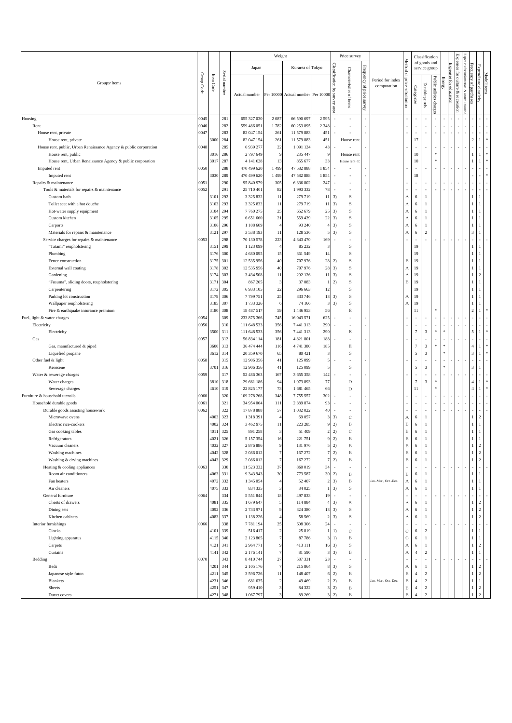|                                                                      |              |                         |               |                             | Weight                           |                          |                               |                                            | Price survey                      |                           |                                 |                                      |                                  | Classification                           |                          |               |                        |                                                   |                                           |                                  |  |
|----------------------------------------------------------------------|--------------|-------------------------|---------------|-----------------------------|----------------------------------|--------------------------|-------------------------------|--------------------------------------------|-----------------------------------|---------------------------|---------------------------------|--------------------------------------|----------------------------------|------------------------------------------|--------------------------|---------------|------------------------|---------------------------------------------------|-------------------------------------------|----------------------------------|--|
|                                                                      |              |                         |               | Japan                       |                                  | Ku-area of Tokyo         |                               |                                            |                                   |                           |                                 | Method                               |                                  | of goods and<br>service group            |                          |               |                        | Expenses<br>Expenses<br>ġ                         |                                           |                                  |  |
| Groups · Items                                                       | Group Code   | Item<br>$\mathbf{Code}$ | Serial number | Actual number               | Per 10000                        | Actual number Per 10000  |                               | Classification by<br>Survey<br><b>SEGS</b> | Characteristics of items          | Frequency of price survey | Period for index<br>computation | 요,<br>price substitution             | Categorize                       | Durable goods                            | Public utilities charge  | <b>Energy</b> | Expenses for education | for culture & recreation<br>information<br>& comm | Frequency of purchases                    | Expenditure elasticity           |  |
| Housing                                                              | 0045         |                         | 281           | 655 327 030                 | 2 0 8 7                          | 66 590 697               | 2595                          |                                            |                                   |                           |                                 |                                      | $\overline{\phantom{a}}$         |                                          |                          |               |                        |                                                   |                                           |                                  |  |
| Rent                                                                 | 0046         |                         | 282           | 559 486 051                 | 1782                             | 60 253 895               | 2 3 4 8                       |                                            |                                   |                           |                                 |                                      |                                  |                                          |                          |               |                        |                                                   |                                           |                                  |  |
| House rent, private<br>House rent, private                           | 0047         | 3000                    | 283<br>284    | 82 047 154<br>82 047 154    | 261<br>261                       | 11 579 883<br>11 579 883 | 451<br>451                    |                                            | House rent                        |                           |                                 |                                      | $\overline{\phantom{a}}$<br>17   | ٠                                        | $\overline{\phantom{a}}$ |               |                        |                                                   | $\sqrt{2}$                                |                                  |  |
| House rent, public, Urban Renaissance Agency & public corporation    | 0048         |                         | 285           | 6 9 3 9 2 7 7               | $22\,$                           | 1 091 124                | 43                            |                                            |                                   |                           |                                 |                                      | ÷,                               |                                          |                          |               |                        |                                                   |                                           |                                  |  |
| House rent, public                                                   |              | 3016                    | 286           | 2 797 649                   | 9                                | 235 447                  | $\mathsf{S}$                  |                                            | House rent                        |                           |                                 |                                      | 10                               |                                          | $\approx$                |               |                        |                                                   | $\mathbf{1}$                              |                                  |  |
| House rent, Urban Renaissance Agency & public corporation            |              | 3017                    | 287           | 4 141 628                   | 13                               | 855 677                  | 33                            |                                            | House rent <sup>-</sup>           |                           |                                 |                                      | 10                               |                                          |                          |               |                        |                                                   |                                           |                                  |  |
| Imputed rent                                                         | 0050         |                         | 288           | 470 499 620                 | 1 4 9 9                          | 47 582 888               | 1854                          |                                            |                                   |                           |                                 |                                      | ×                                |                                          |                          |               |                        |                                                   |                                           |                                  |  |
| Imputed rent                                                         |              | 3030                    | 289           | 470 499 620                 | 1 4 9 9                          | 47 582 888               | 1854                          |                                            |                                   |                           |                                 |                                      | 18                               |                                          |                          |               |                        |                                                   |                                           |                                  |  |
| Repairs & maintenance<br>Tools & materials for repairs & maintenance | 0051<br>0052 |                         | 290<br>291    | 95 840 979<br>25 710 401    | 305<br>82                        | 6 3 3 6 8 0 2<br>1993332 | 247<br>78                     |                                            |                                   |                           |                                 |                                      | J.<br>÷,                         |                                          |                          |               |                        |                                                   |                                           |                                  |  |
| Custom bath                                                          |              | 3101                    | 292           | 3 3 2 5 8 3 2               | 11                               | 279 719                  | 11                            | 3)                                         | $\,$ s                            |                           |                                 | А                                    | 6                                | 1                                        |                          |               |                        |                                                   |                                           |                                  |  |
| Toilet seat with a hot douche                                        |              | 3103                    | 293           | 3 3 2 5 8 3 2               | $11\,$                           | 279 719                  | 11                            | 3)                                         | $\,$ S                            |                           |                                 | $\boldsymbol{A}$                     | 6                                | $\mathbf{1}$                             |                          |               |                        |                                                   | $\overline{1}$                            |                                  |  |
| Hot-water supply equipment                                           |              | 3104                    | 294           | 7760275                     | 25                               | 652 679                  | 25                            | 3)                                         | $\,$ s                            |                           |                                 | $\boldsymbol{A}$                     | 6                                | $\mathbf{1}$                             |                          |               |                        |                                                   | $\mathbf{1}$                              |                                  |  |
| Custom kitchen                                                       |              | 3105                    | 295           | 6 651 660                   | 21                               | 559 439                  | 22                            | 3)                                         | $\,$ S                            |                           |                                 | $\boldsymbol{A}$                     | 6                                | 1                                        |                          |               |                        |                                                   |                                           |                                  |  |
| Carports                                                             |              | 3106                    | 296           | 1 108 609                   | $\overline{4}$                   | 93 240                   | $\overline{4}$                | 3)                                         | $\,$ s                            |                           |                                 | $\boldsymbol{A}$                     | 6                                | 1                                        |                          |               |                        |                                                   | 1                                         |                                  |  |
| Materials for repairs & maintenance                                  |              | 3121                    | 297           | 3 5 3 8 1 9 3               | 11                               | 128 536                  | 5                             | 3)                                         | $\,$ s                            |                           |                                 | $\boldsymbol{A}$                     | 6                                | $\,2\,$                                  |                          |               |                        |                                                   | $\overline{\mathbf{3}}$                   |                                  |  |
| Service charges for repairs & maintenance<br>"Tatami" reupholstering | 0053         | 3151                    | 298<br>299    | 70 130 578<br>1 1 2 3 0 9 9 | 223<br>$\overline{4}$            | 4 3 4 3 4 7 0<br>85 232  | 169<br>3                      |                                            | $\,$ s                            |                           |                                 |                                      | 19                               |                                          |                          |               |                        |                                                   | 1                                         |                                  |  |
| Plumbing                                                             |              | 3176                    | 300           | 4 680 095                   | 15                               | 361 549                  | 14                            |                                            | $\,$ s                            |                           |                                 |                                      | 19                               |                                          |                          |               |                        |                                                   | 1                                         |                                  |  |
| Fence construction                                                   |              | 3175                    | 301           | 12 535 956                  | 40                               | 707 976                  | 28                            | 2)                                         | $\,$ s                            |                           |                                 | $_{\rm B}$                           | 19                               |                                          |                          |               |                        |                                                   |                                           |                                  |  |
| External wall coating                                                |              | 3178                    | 302           | 12 535 956                  | 40                               | 707 976                  | 28                            | 3)                                         | $\,$ s                            |                           |                                 | А                                    | 19                               |                                          |                          |               |                        |                                                   | $\mathbf{1}$                              |                                  |  |
| Gardening                                                            |              | 3174                    | 303           | 3 4 3 4 5 0 8               | 11                               | 292 126                  | 11                            | 3)                                         | S                                 |                           |                                 | $\boldsymbol{A}$                     | 19                               |                                          |                          |               |                        |                                                   |                                           | $\overline{2}$                   |  |
| "Fusuma", sliding doors, reupholstering                              |              | 3171                    | 304           | 867 265                     | 3                                | 37 083                   |                               | 2)                                         | S                                 |                           |                                 | $\, {\bf B}$                         | 19                               |                                          |                          |               |                        |                                                   | 1                                         | l.                               |  |
| Carpentering<br>Parking lot construction                             |              | 3172<br>3179            | 305<br>306    | 6933105<br>7799751          | $22\,$<br>25                     | 296 663<br>333 746       | 12<br>13                      | 3)                                         | S<br>$\,$ S                       |                           |                                 |                                      | 19<br>19                         |                                          |                          |               |                        |                                                   | $\mathbf{1}$                              |                                  |  |
| Wallpaper reupholstering                                             |              | 3185                    | 307           | 1733326                     | 6                                | 74 166                   | 3                             | 3)                                         | S                                 |                           |                                 | А<br>A                               | 19                               |                                          |                          |               |                        |                                                   | 1                                         |                                  |  |
| Fire & earthquake insurance premium                                  |              | 3180                    | 308           | 18 487 517                  | 59                               | 1 446 953                | 56                            |                                            | $\mathop{\hbox{\bf E}}$           |                           |                                 |                                      | 11                               |                                          |                          |               |                        |                                                   | $\overline{2}$                            |                                  |  |
| Fuel, light & water charges                                          | 0054         |                         | 309           | 233 875 366                 | 745                              | 16 043 571               | 625                           |                                            |                                   |                           |                                 |                                      | ×                                |                                          |                          |               |                        |                                                   |                                           |                                  |  |
| Electricity                                                          | 0056         |                         | 310           | 111 648 533                 | 356                              | 7441313                  | 290                           |                                            |                                   |                           |                                 |                                      | $\overline{\phantom{a}}$         |                                          |                          |               |                        |                                                   |                                           |                                  |  |
| Electricity                                                          |              | 3500                    | 311           | 111 648 533                 | 356                              | 7441313                  | 290                           |                                            | $\mathop{\hbox{\bf E}}$           |                           |                                 |                                      | $\overline{7}$                   | 3                                        | $\approx$                |               |                        |                                                   | 5                                         |                                  |  |
| Gas                                                                  | 0057         |                         | 312           | 56 834 114                  | 181                              | 4 8 21 8 01              | 188                           |                                            |                                   |                           |                                 |                                      | i,                               |                                          | $\,$                     |               |                        |                                                   |                                           |                                  |  |
| Gas, manufactured & piped<br>Liquefied propane                       |              | 3600<br>3612            | 313<br>314    | 36 474 444<br>20 359 670    | 116<br>65                        | 4 741 380<br>80 421      | 185<br>3                      |                                            | $\mathop{\hbox{\bf E}}$<br>$\,$ S |                           |                                 |                                      | $\overline{7}$<br>$\overline{5}$ | 3<br>$\sqrt{3}$                          |                          |               |                        |                                                   | $\overline{4}$<br>$\overline{\mathbf{3}}$ |                                  |  |
| Other fuel & light                                                   | 0058         |                         | 315           | 12 906 356                  | 41                               | 125 099                  | 5                             |                                            |                                   |                           |                                 |                                      | ä,                               |                                          |                          |               |                        |                                                   |                                           |                                  |  |
| Kerosene                                                             |              | 3701                    | 316           | 12 906 356                  | 41                               | 125 099                  | 5                             |                                            | S                                 |                           |                                 |                                      | 5                                | $\sqrt{3}$                               |                          |               |                        |                                                   | $\overline{\mathbf{3}}$                   |                                  |  |
| Water & sewerage charges                                             | 0059         |                         | 317           | 52 486 363                  | 167                              | 3 655 358                | 142                           |                                            |                                   |                           |                                 |                                      | $\overline{\phantom{a}}$         | ٠                                        |                          |               |                        |                                                   |                                           |                                  |  |
| Water charges                                                        |              | 3810                    | 318           | 29 661 186                  | 94                               | 1973893                  | 77                            |                                            | $\mathbf D$                       |                           |                                 |                                      | $\overline{7}$                   | $\mathfrak z$                            | $\ast$                   |               |                        |                                                   | $\overline{4}$                            |                                  |  |
| Sewerage charges                                                     |              | 4610                    | 319           | 22 825 177                  | 73                               | 1681465                  | 66                            |                                            | $\mathbf D$                       |                           |                                 |                                      | 11                               |                                          |                          |               |                        |                                                   | $\overline{4}$                            |                                  |  |
| Furniture & household utensils<br>Household durable goods            | 0060<br>0061 |                         | 320<br>321    | 109 278 268<br>34 954 064   | 348<br>111                       | 7755557<br>2 3 8 9 8 7 4 | 302<br>93                     |                                            | ٠                                 |                           |                                 |                                      | ×<br>$\overline{\phantom{a}}$    | ٠                                        |                          |               |                        |                                                   | ٠                                         |                                  |  |
| Durable goods assisting housework                                    | 0062         |                         | 322           | 17878888                    | 57                               | 1 032 022                | 40                            |                                            |                                   |                           |                                 |                                      |                                  |                                          |                          |               |                        |                                                   |                                           |                                  |  |
| Microwave ovens                                                      |              | 4003                    | 323           | 1 3 1 8 3 9 1               | $\overline{4}$                   | 69 057                   | 3                             | 3)                                         | $\mathbf C$                       |                           |                                 | А                                    | 6                                | 1                                        |                          |               |                        |                                                   | $\mathbf{1}$                              | $\overline{c}$                   |  |
| Electric rice-cookers                                                |              | 4002                    | 324           | 3 4 6 2 9 7 5               | 11                               | 223 285                  | S                             | 2)                                         | $\, {\bf B}$                      |                           |                                 | $\, {\bf B}$                         | 6                                | $\mathbf{1}$                             |                          |               |                        |                                                   |                                           |                                  |  |
| Gas cooking tables                                                   |              | 4011                    | 325           | 891 258                     | $\mathbf{3}$                     | 51 409                   | 2                             | 2)                                         | $\mathbb{C}$                      |                           |                                 | $\, {\bf B}$                         | 6                                | 1                                        |                          |               |                        |                                                   |                                           |                                  |  |
| Refrigerators                                                        |              | 4021                    | 326           | 5 157 354                   | 16                               | 221 751                  | 9                             | 2)                                         | B                                 |                           |                                 | В                                    | 6                                | 1                                        |                          |               |                        |                                                   |                                           |                                  |  |
| Vacuum cleaners<br>Washing machines                                  |              | 4032<br>4042            | 327<br>328    | 2876886<br>2086012          | $\overline{9}$<br>$\overline{7}$ | 131 976<br>167 272       | 5<br>$\overline{7}$           | 2)<br>2)                                   | $\, {\bf B}$<br>$\, {\bf B}$      |                           |                                 | $\, {\bf B}$<br>$\, {\bf B}$         | 6<br>6                           | $\mathbf{1}$<br>$\mathbf{1}$             |                          |               |                        |                                                   | $\mathbf{1}$<br>$\mathbf{1}$              | $\overline{2}$<br>$\overline{c}$ |  |
| Washing & drying machines                                            |              | 4043                    | 329           | 2086012                     | $\overline{7}$                   | 167 272                  | $\overline{7}$                | 2)                                         | $\, {\bf B}$                      |                           |                                 | $\, {\bf B}$                         | 6                                | $\mathbf{1}$                             |                          |               |                        |                                                   | $\mathbf{1}$                              | $\overline{c}$                   |  |
| Heating & cooling appliances                                         | 0063         |                         | 330           | 11 523 332                  | 37                               | 860 019                  | 34                            |                                            |                                   |                           |                                 |                                      | ×                                |                                          |                          |               |                        |                                                   |                                           |                                  |  |
| Room air conditioners                                                |              | 4063                    | 331           | 9 3 4 3 9 4 3               | 30                               | 773 587                  | 30                            | 2)                                         | $_{\rm B}$                        |                           |                                 | $_{\rm B}$                           | 6                                | $\mathbf{1}$                             |                          |               |                        |                                                   | $\overline{1}$                            | $\mathbf{1}$                     |  |
| Fan heaters                                                          |              | 4072                    | 332           | 1 345 054                   | $\overline{4}$                   | 52 407                   | $\overline{2}$                | 3)                                         | $\, {\bf B}$                      |                           | Jan.-Mar., Oct.-Dec.            | А                                    | 6                                | $\mathbf{1}$                             |                          |               |                        |                                                   | $\mathbf{1}$                              | -1                               |  |
| Air cleaners                                                         |              | 4075                    | 333           | 834 335                     | 3                                | 34 025                   | -1                            | 3)                                         | $\,$ S                            |                           |                                 | А                                    | 6                                | 1                                        |                          |               |                        |                                                   | $\mathbf{1}$                              | $\mathbf{1}$                     |  |
| General furniture<br>Chests of drawers                               | 0064         | 4081                    | 334<br>335    | 5 5 5 1 8 4 4<br>1 679 647  | 18<br>5                          | 497 833<br>114 884       | 19<br>$\overline{4}$          | ×.<br>3)                                   | ×<br>$\,$ S                       |                           |                                 | А                                    | ×<br>$\sqrt{6}$                  | $\overline{\phantom{a}}$<br>$\mathbf{1}$ |                          |               |                        |                                                   | $\mathbf{1}$                              | 2                                |  |
| Dining sets                                                          |              | 4092                    | 336           | 2 733 971                   | 9                                | 324 380                  | 13                            | 3)                                         | S                                 |                           |                                 | $_{\rm A}$                           | 6                                | $\mathbf{1}$                             |                          |               |                        |                                                   | $\mathbf{1}$                              | 2                                |  |
| Kitchen cabinets                                                     |              | 4083                    | 337           | 1 138 226                   | $\overline{4}$                   | 58 569                   | $\overline{2}$                | 3)                                         | $\,$ S                            |                           |                                 | $\boldsymbol{A}$                     | 6                                | $\mathbf{1}$                             |                          |               |                        |                                                   | -1                                        | 2                                |  |
| Interior furnishings                                                 | 0066         |                         | 338           | 7781194                     | 25                               | 608 306                  | 24                            |                                            |                                   |                           |                                 |                                      | $\overline{\phantom{a}}$         | $\overline{\phantom{a}}$                 |                          |               |                        |                                                   |                                           |                                  |  |
| Clocks                                                               |              | 4101                    | 339           | 516417                      | $\overline{2}$                   | 25 819                   | $\mathbf{1}$                  | 1)                                         | $\mathbf C$                       |                           |                                 | $_{\rm C}$                           | 6                                | $\sqrt{2}$                               |                          |               |                        |                                                   | $\overline{1}$                            | $\overline{1}$                   |  |
| Lighting apparatus                                                   |              | 4115                    | 340           | 2 123 865<br>2 9 6 4 7 7 1  | $\overline{7}$                   | 87786                    | 3                             | 1)                                         | $\, {\bf B}$                      |                           |                                 | $\mathbf C$                          | 6                                | $\mathbf{1}$                             |                          |               |                        |                                                   | $\mathbf{1}$<br>$\mathbf{1}$              | $\mathbf{1}$<br>2                |  |
| Carpets<br>Curtains                                                  |              | 4121<br>4141            | 341<br>342    | 2 176 141                   | 9<br>$\overline{7}$              | 413 111<br>81 590        | 16<br>$\overline{\mathbf{3}}$ | 3)<br>3)                                   | $\,$ S<br>$\, {\bf B}$            |                           |                                 | $\boldsymbol{A}$<br>$\boldsymbol{A}$ | 6<br>$\overline{4}$              | $\mathbf{1}$<br>$\overline{2}$           |                          |               |                        |                                                   | $\mathbf{1}$                              | $\overline{1}$                   |  |
| Bedding                                                              | 0070         |                         | 343           | 8 410 744                   | 27                               | 587 331                  | 23                            |                                            |                                   |                           |                                 |                                      | ×                                | $\overline{\phantom{a}}$                 |                          |               |                        |                                                   |                                           |                                  |  |
| Beds                                                                 |              | 4201                    | 344           | 2 105 176                   | $\tau$                           | 215 864                  | 8                             | 3)                                         | $\,$ S                            |                           |                                 | $\boldsymbol{A}$                     | 6                                | $\mathbf{1}$                             |                          |               |                        |                                                   | $\mathbf{1}$                              | 2                                |  |
| Japanese style futon                                                 |              | 4211                    | 345           | 3 596 726                   | 11                               | 148 407                  | 6                             | 2)                                         | $\, {\bf B}$                      |                           |                                 | $\, {\bf B}$                         | $\overline{4}$                   | $\sqrt{2}$                               |                          |               |                        |                                                   | $\mathbf{1}$                              | $\overline{2}$                   |  |
| Blankets                                                             |              | 4231                    | 346           | 681 635                     | $\overline{2}$                   | 49 4 69                  | $\overline{2}$                | 2)                                         | $\, {\bf B}$                      |                           | Jan.-Mar., Oct.-Dec.            | $_{\rm B}$                           | $\overline{4}$                   | $\sqrt{2}$                               |                          |               |                        |                                                   | $\mathbf{1}$                              | $\mathbf{1}$                     |  |
| Sheets<br>Duvet covers                                               |              | 4251<br>4271            | 347<br>348    | 959 410<br>1 067 797        | 3<br>3                           | 84 322<br>89 269         | 3<br>3                        | 2)<br>2)                                   | $\, {\bf B}$<br>B                 |                           |                                 | $_{\rm B}$<br>$\, {\bf B}$           | $\overline{4}$                   | $\,2\,$<br>$\overline{\mathcal{L}}$      |                          |               |                        |                                                   | $\mathbf{1}$                              | $\overline{c}$                   |  |
|                                                                      |              |                         |               |                             |                                  |                          |                               |                                            |                                   |                           |                                 |                                      |                                  |                                          |                          |               |                        |                                                   |                                           |                                  |  |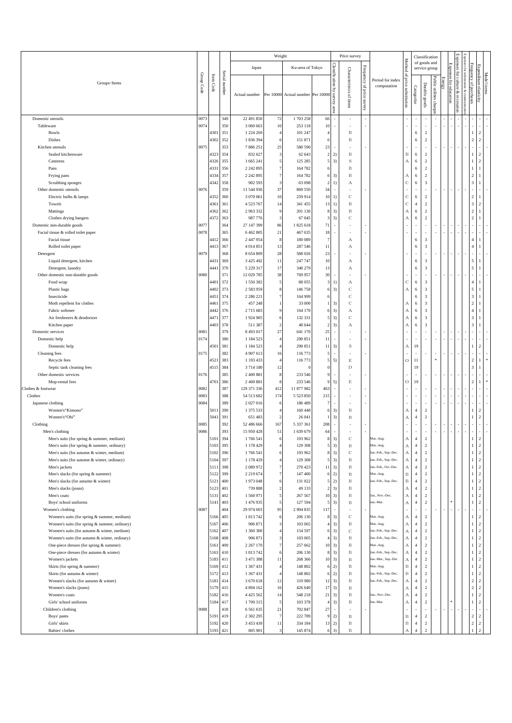|                                                                                          |              |              |               |                            | Weight              |                             |                                   |                                        | Price survey               |                              |                                   |                                         |                                  | Classification                                     |                          |               |               | 모<br>여                                |                                  |                                  |  |
|------------------------------------------------------------------------------------------|--------------|--------------|---------------|----------------------------|---------------------|-----------------------------|-----------------------------------|----------------------------------------|----------------------------|------------------------------|-----------------------------------|-----------------------------------------|----------------------------------|----------------------------------------------------|--------------------------|---------------|---------------|---------------------------------------|----------------------------------|----------------------------------|--|
|                                                                                          |              |              |               | Japan                      |                     | Ku-area of Tokyo            |                                   |                                        |                            |                              |                                   | <b>Method</b><br>Q,                     |                                  | of goods and                                       | service group            |               | Expenses      | Expenses<br>anses<br>ġ<br>É           | Frequency                        |                                  |  |
| Groups · Items                                                                           | Group Code   | Item Code    | Serial number | Actual number              | Per 10000           | Actual number Per 10000     |                                   | Classification by<br>Ξ<br>Evey<br>area | Characteristics of items   | Frequency of<br>price survey | Period for index<br>computation   | price substitution                      | Categorize                       | Durable goods                                      | Public utilities charge: | <b>Energy</b> | for education | for culture<br>& comn<br>& recreation | of purchases                     | Expenditure elasticity           |  |
| Domestic utensils                                                                        | 0073         |              | 349           | 22 491 850                 | 72                  | 1703258                     | 66                                |                                        |                            |                              |                                   |                                         |                                  |                                                    |                          |               |               |                                       |                                  |                                  |  |
| Tableware                                                                                | 0074         |              | 350           | 3 060 663                  | 10                  | 253 118                     | 10                                |                                        |                            |                              |                                   |                                         |                                  |                                                    |                          |               |               |                                       |                                  |                                  |  |
| Bowls<br>Dishes                                                                          |              | 4301<br>4302 | 351<br>352    | 1 224 269<br>1836394       | 4                   | 101 247<br>151 871          | $\overline{4}$<br>6               |                                        | B<br>$\, {\bf B}$          |                              |                                   |                                         | 6<br>6                           | $\sqrt{2}$<br>$\overline{2}$                       |                          |               |               |                                       | -1<br>$\sqrt{2}$                 | $\overline{c}$<br>$\overline{c}$ |  |
| Kitchen utensils                                                                         | 0075         |              | 353           | 7886251                    | 25                  | 580 590                     | 23                                |                                        |                            |                              |                                   |                                         |                                  | ×                                                  |                          |               |               |                                       |                                  |                                  |  |
| Sealed kitchenware                                                                       |              | 4323         | 354           | 832 627                    | 3                   | 62 643                      | $\sqrt{2}$                        | 2)                                     | $_{\rm B}$                 |                              |                                   | $_{\rm B}$                              | 6                                | $\overline{c}$                                     |                          |               |               |                                       | $\overline{1}$                   | $\overline{c}$                   |  |
| Canteens                                                                                 |              | 4326         | 355           | 1 665 241                  | 5                   | 125 285                     | 5                                 | 3)                                     | $\rm S$                    |                              |                                   | $\boldsymbol{A}$                        | 6                                | $\overline{2}$                                     |                          |               |               |                                       | 1                                | $\overline{2}$                   |  |
| Pans                                                                                     |              | 4331         | 356           | 2 242 895                  |                     | 164 782                     | 6                                 |                                        | $_{\rm B}$                 |                              |                                   |                                         | 6                                | $\overline{c}$                                     |                          |               |               |                                       |                                  | -1                               |  |
| Frying pans                                                                              |              | 4334         | 357           | 2 242 895                  |                     | 164 782                     |                                   | 3)                                     | $_{\rm B}$                 |                              |                                   | А                                       | 6                                | $\sqrt{2}$                                         |                          |               |               |                                       | $\overline{2}$                   |                                  |  |
| Scrubbing sponges                                                                        | 0076         | 4342         | 358<br>359    | 902 593                    | 3<br>37             | 63 098                      | $\overline{c}$<br>34              | 1)<br>$\overline{\phantom{a}}$         | А                          |                              |                                   | $\mathbf C$<br>×                        | 6                                | $\overline{\mathbf{3}}$                            |                          |               |               |                                       | $\overline{\mathbf{3}}$          | $\mathbf{1}$                     |  |
| Other domestic utensils<br>Electric bulbs & lamps                                        |              | 4352         | 360           | 11 544 936<br>3 070 061    | 10                  | 869 550<br>259 914          | 10                                | 1)                                     | $\mathbf C$                |                              |                                   | $\mathbf C$                             | 6                                | $\overline{2}$                                     |                          |               |               |                                       | $\sqrt{2}$                       | -1                               |  |
| Towels                                                                                   |              | 4361         | 361           | 4 5 2 3 7 6 7              | 14                  | 341 455                     | 13                                | 1)                                     | $\, {\bf B}$               |                              |                                   | $\mathbf C$                             | $\overline{4}$                   | $\sqrt{2}$                                         |                          |               |               |                                       | $\overline{\mathbf{3}}$          | $\overline{2}$                   |  |
| Mattings                                                                                 |              | 4362         | 362           | 2963332                    | 9                   | 201 136                     | 8                                 | 3)                                     | $_{\rm B}$                 |                              |                                   | $\boldsymbol{A}$                        | 6                                | 2                                                  |                          |               |               |                                       | $\sqrt{2}$                       | $\mathbf{1}$                     |  |
| Clothes drying hangers                                                                   |              | 4372         | 363           | 987 776                    | 3                   | 67 045                      | 3                                 | 3)                                     | $\mathbf C$                |                              |                                   | $\boldsymbol{\mathrm{A}}$               | 6                                | $\sqrt{2}$                                         |                          |               |               |                                       | $\overline{2}$                   |                                  |  |
| Domestic non-durable goods                                                               | 0077         |              | 364           | 27 147 399                 | 86                  | 1825618                     | 71                                |                                        |                            |                              |                                   | ٠                                       |                                  | ×,                                                 |                          |               |               |                                       |                                  |                                  |  |
| Facial tissue & rolled toilet paper                                                      | 0078         |              | 365           | 6 4 6 2 8 0 5              | 21                  | 467 635                     | 18                                |                                        |                            |                              |                                   |                                         |                                  | ÷                                                  |                          |               |               |                                       |                                  |                                  |  |
| Facial tissue<br>Rolled toilet paper                                                     |              | 4412<br>4413 | 366<br>367    | 2 447 954<br>4014851       | 8<br>13             | 180 089<br>287 546          | $\overline{7}$<br>11              |                                        | А<br>А                     |                              |                                   |                                         | 6<br>6                           | $\overline{\mathbf{3}}$<br>$\overline{\mathbf{3}}$ |                          |               |               |                                       | $\overline{4}$<br>$\overline{4}$ |                                  |  |
| Detergent                                                                                | 0079         |              | 368           | 8 654 809                  | 28                  | 588 026                     | 23                                |                                        |                            |                              |                                   |                                         |                                  | ÷,                                                 |                          |               |               |                                       |                                  |                                  |  |
| Liquid detergent, kitchen                                                                |              | 4431         | 369           | 3 4 2 5 4 9 2              | 11                  | 247 747                     | 10                                |                                        | А                          |                              |                                   |                                         | 6                                | $\overline{\mathbf{3}}$                            |                          |               |               |                                       | 5                                | -1                               |  |
| Detergent, laundry                                                                       |              | 4441         | 370           | 5 2 2 9 3 1 7              | 17                  | 340 279                     | 13                                |                                        | А                          |                              |                                   |                                         | 6                                | $\overline{\mathbf{3}}$                            |                          |               |               |                                       | 5                                | $\mathbf{1}$                     |  |
| Other domestic non-durable goods                                                         | 0080         |              | 371           | 12 029 785                 | 38                  | 769 957                     | 30                                |                                        |                            |                              |                                   |                                         |                                  | J.                                                 |                          |               |               |                                       |                                  |                                  |  |
| Food wrap                                                                                |              | 4401         | 372           | 1550382                    |                     | 88 055                      | 3                                 | 1)                                     | А                          |                              |                                   | $\mathbf C$                             | 6                                | $\overline{\mathbf{3}}$                            |                          |               |               |                                       | $\sqrt{4}$                       | $\mathbf{1}$                     |  |
| Plastic bags<br>Insecticide                                                              |              | 4402<br>4451 | 373<br>374    | 2583959<br>2 2 8 6 2 2 1   |                     | 146758<br>164 999           | 6                                 | 3)                                     | $\mathbf C$<br>$\mathbf C$ |                              |                                   | $\boldsymbol{A}$                        | 6<br>6                           | $\overline{\mathbf{3}}$<br>$\overline{\mathbf{3}}$ |                          |               |               |                                       | 5<br>$\overline{\mathbf{3}}$     | $\mathbf{1}$<br>$\mathbf{1}$     |  |
| Moth repellent for clothes                                                               |              | 4461         | 375           | 457 248                    |                     | 33 000                      | 1                                 | 3)                                     | $\mathbf C$                |                              |                                   | $_{\rm A}$                              | 6                                | $\overline{\mathbf{3}}$                            |                          |               |               |                                       | $\sqrt{2}$                       | $\mathbf{1}$                     |  |
| Fabric softener                                                                          |              | 4442         | 376           | 2715 683                   |                     | 164 170                     |                                   | 3)                                     | А                          |                              |                                   | $\boldsymbol{A}$                        | 6                                | $\overline{\mathbf{3}}$                            |                          |               |               |                                       | $\overline{4}$                   |                                  |  |
| Air fresheners & deodorizer                                                              |              | 4471         | 377           | 1924905                    |                     | 132 331                     | 5                                 | 3)                                     | $\mathbf C$                |                              |                                   | $\boldsymbol{A}$                        | 6                                | $\overline{\mathbf{3}}$                            |                          |               |               |                                       | $\overline{\mathbf{3}}$          | -1                               |  |
| Kitchen paper                                                                            |              | 4403         | 378           | 511 387                    |                     | 40 644                      | $\overline{2}$                    | 3)                                     | А                          |                              |                                   | $\overline{A}$                          | 6                                | $\overline{\mathbf{3}}$                            |                          |               |               |                                       | $\overline{\mathbf{3}}$          |                                  |  |
| Domestic services                                                                        | 0081         |              | 379           | 8 4 9 3 0 1 7              | $27\,$              | 641 170                     | 25                                | $\sim$                                 |                            |                              |                                   | $\overline{\phantom{a}}$                |                                  |                                                    |                          |               |               |                                       |                                  |                                  |  |
| Domestic help                                                                            | 0174         |              | 380<br>381    | 1 1 8 4 5 2 3<br>1 184 523 |                     | 290 851<br>290 851          | 11<br>$11\,$                      | ×                                      | $\,$ s                     |                              |                                   | $\boldsymbol{A}$                        | 19                               |                                                    |                          |               |               |                                       |                                  | 2                                |  |
| Domestic help<br>Cleaning fees                                                           | 0175         | 4501         | 382           | 4 907 613                  | $\mathbf{1}$        | 116773                      | 5                                 | 3)                                     |                            |                              |                                   |                                         |                                  |                                                    |                          |               |               |                                       |                                  |                                  |  |
| Recycle fees                                                                             |              | 4521         | 383           | 1 193 433                  |                     | 116773                      | $\overline{5}$                    | 5)                                     | $\mathbf E$                |                              |                                   | $\rm{O}$                                | 11                               |                                                    | $\ast$                   |               |               |                                       | $\sqrt{2}$                       | -1                               |  |
| Septic tank cleaning fees                                                                |              | 4515         | 384           | 3714180                    | 12                  | $\Omega$                    |                                   |                                        | $\mathbf D$                |                              |                                   |                                         | 19                               |                                                    |                          |               |               |                                       | $\overline{\mathbf{3}}$          |                                  |  |
| Other domestic services                                                                  | 0176         |              | 385           | 2 400 881                  | 8                   | 233 546                     |                                   |                                        |                            |                              |                                   | ٠                                       |                                  |                                                    |                          |               |               |                                       | ×                                |                                  |  |
| Mop-rental fees                                                                          |              | 4701         | 386           | 2 400 881                  |                     | 233 546                     |                                   | 5)                                     | $\mathbf E$                |                              |                                   | $\circ$                                 | 19                               |                                                    |                          |               |               |                                       | $\sqrt{2}$                       |                                  |  |
| Clothes & footwear<br>Clothes                                                            | 0082<br>0083 |              | 387<br>388    | 129 371 336<br>54 513 682  | 412<br>174          | 11 877 982<br>5 5 2 3 8 5 0 | 463<br>215                        |                                        |                            |                              |                                   |                                         |                                  |                                                    |                          |               |               |                                       |                                  |                                  |  |
| Japanese clothing                                                                        | 0084         |              | 389           | 2027016                    |                     | 186 489                     | 7                                 |                                        |                            |                              |                                   |                                         |                                  | ×,                                                 |                          |               |               |                                       |                                  |                                  |  |
| Women's "Kimono"                                                                         |              | 5011         | 390           | 1 375 533                  |                     | 160 448                     | 6                                 | 3)                                     | B                          |                              |                                   | $\boldsymbol{A}$                        | $\overline{4}$                   | $\overline{2}$                                     |                          |               |               |                                       | $\mathbf{1}$                     | 2                                |  |
| Women's "Obi"                                                                            |              | 5041         | 391           | 651 483                    | 2                   | 26 04                       |                                   | 3)                                     | $_{\rm B}$                 |                              |                                   | $\mathbf{A}$                            | $\overline{4}$                   | $\overline{c}$                                     |                          |               |               |                                       | $\mathbf{1}$                     | 2                                |  |
| Clothing                                                                                 | 0085         |              | 392           | 52 486 666                 | 167                 | 5 3 3 7 3 6 1               | 208                               |                                        |                            |                              |                                   |                                         |                                  |                                                    |                          |               |               |                                       |                                  |                                  |  |
| Men's clothing                                                                           | 0086         |              | 393           | 15 950 428                 | 51                  | 1 639 679                   | 64                                |                                        |                            |                              |                                   |                                         |                                  | ä,                                                 |                          |               |               |                                       |                                  |                                  |  |
| Men's suits (for spring & summer, medium)<br>Men's suits (for spring & summer, ordinary) |              | 5101<br>5103 | 394<br>395    | 1766541<br>1 178 429       | 6<br>Δ              | 193 962<br>129 308          | 8<br>5                            | 3)<br>3)                               | С<br>B                     |                              | Mar.-Aug.<br>Mar.-Aug.            | А<br>$\boldsymbol{A}$                   | $\overline{4}$<br>$\overline{4}$ | $\overline{2}$<br>$\sqrt{2}$                       |                          |               |               |                                       | $\,1\,$                          | $\overline{c}$<br>$\overline{2}$ |  |
| Men's suits (for autumn & winter, medium)                                                |              | 5102         | 396           | 1766541                    |                     | 193 962                     | $\bf8$                            | 3)                                     | $\mathbf C$                |                              | Jan.-Feb., Sep.-Dec.              | $_{\rm A}$                              | $\overline{4}$                   | $\overline{2}$                                     |                          |               |               |                                       | $\mathbf{1}$                     | $\overline{2}$                   |  |
| Men's suits (for autumn & winter, ordinary)                                              |              | 5104         | 397           | 1 178 429                  | 4                   | 129 308                     | 5                                 | 3)                                     | $_{\rm B}$                 |                              | Jan.-Feb., Sep.-Dec.              | $\boldsymbol{\mathrm{A}}$               | $\overline{4}$                   | $\sqrt{2}$                                         |                          |               |               |                                       | $\mathbf{1}$                     | $\overline{2}$                   |  |
| Men's jackets                                                                            |              | 5111         | 398           | 2089972                    | 7                   | 270 423                     |                                   | $11 - 3$                               | $\, {\bf B}$               |                              | lan.-Feb., Oct.-Dec.              | $_{\rm A}$                              | $\overline{4}$                   | 2                                                  |                          |               |               |                                       | $\mathbf{1}$                     | $\overline{2}$                   |  |
| Men's slacks (for spring & summer)                                                       |              | 5122         | 399           | 2 2 1 9 6 7 4              | 7                   | 147 400                     | 6                                 | 2)                                     | $\, {\bf B}$               |                              | Mar.-Aug.                         | $\, {\bf B}$                            | $\overline{4}$                   | $\sqrt{2}$                                         |                          |               |               |                                       | $\mathbf{1}$                     | $\sqrt{2}$                       |  |
| Men's slacks (for autumn & winter)                                                       |              | 5121         | 400           | 1973048                    | 6                   | 131 022                     | $\overline{5}$                    | 2)                                     | $\, {\bf B}$               |                              | Jan.-Feb., Sep.-Dec.              | $_{\rm B}$                              | $\overline{4}$                   | $\overline{2}$                                     |                          |               |               |                                       | $\mathbf{1}$                     | $\overline{2}$                   |  |
| Men's slacks (jeans)<br>Men's coats                                                      |              | 5123<br>5131 | 401<br>402    | 739 888<br>1 560 971       | $\overline{c}$<br>5 | 49 133<br>267 567           | $\overline{c}$<br>$10$            | 3)<br>3)                               | $_{\rm B}$<br>$\, {\bf B}$ |                              | Jan., Nov.-Dec.                   | $_{\rm A}$<br>$\boldsymbol{\mathrm{A}}$ | $\overline{4}$<br>$\sqrt{4}$     | $\sqrt{2}$<br>$\sqrt{2}$                           |                          |               |               |                                       | $\mathbf{1}$<br>$\overline{1}$   | $\overline{2}$<br>$\overline{2}$ |  |
| Boys' school uniforms                                                                    |              | 5141         | 403           | 1476935                    | 5                   | 127 594                     | 5                                 | 3)                                     | B                          |                              | an.-Mar.                          | $\boldsymbol{A}$                        | $\overline{4}$                   | $\sqrt{2}$                                         |                          |               |               |                                       | $\mathbf{1}$                     | $\overline{c}$                   |  |
| Women's clothing                                                                         | 0087         |              | 404           | 29 974 603                 | 95                  | 2 9 9 4 8 3 5               | 117                               | $\sim$                                 | ٠                          |                              |                                   | ÷,                                      |                                  | ٠.                                                 |                          |               |               |                                       | ×                                |                                  |  |
| Women's suits (for spring & summer, medium)                                              |              | 5166         | 405           | 1813742                    | 6                   | 206 130                     | 8                                 | 3)                                     | $\mathbf C$                |                              | Mar.-Aug.                         | $_{\rm A}$                              | $\overline{4}$                   | $\sqrt{2}$                                         |                          |               |               |                                       | $\mathbf{1}$                     | $\overline{2}$                   |  |
| Women's suits (for spring & summer, ordinary)                                            |              | 5167         | 406           | 906 871                    | 3                   | 103 065                     | $\overline{4}$                    | 3)                                     | $\, {\bf B}$               |                              | Mar.-Aug.                         | $_{\rm A}$                              | $\overline{4}$                   | $\overline{c}$                                     |                          |               |               |                                       | $\mathbf{1}$                     | $\overline{2}$                   |  |
| Women's suits (for autumn & winter, medium)                                              |              | 5162         | 407           | 1 360 300                  | $\overline{4}$      | 154 597                     | 6                                 | 3)                                     | $\mathbb{C}$               |                              | Jan.-Feb., Sep.-Dec.              | $\boldsymbol{A}$                        | $\overline{4}$                   | $\sqrt{2}$<br>$\overline{2}$                       |                          |               |               |                                       | $\mathbf{1}$                     | $\overline{c}$                   |  |
| Women's suits (for autumn & winter, ordinary)<br>One-piece dresses (for spring & summer) |              | 5168<br>5161 | 408<br>409    | 906 871<br>2 2 6 7 1 7 0   | 3<br>7              | 103 065<br>257 662          | $\overline{4}$<br>10 <sub>1</sub> | 3)<br>3)                               | $_{\rm B}$<br>$\, {\bf B}$ |                              | Jan.-Feb., Sep.-Dec.<br>Mar.-Aug. | $\boldsymbol{\mathrm{A}}$<br>$_{\rm A}$ | $\overline{4}$<br>$\overline{4}$ | $\sqrt{2}$                                         |                          |               |               |                                       | $\mathbf{1}$<br>$\mathbf{1}$     | $\overline{2}$<br>$\overline{2}$ |  |
| One-piece dresses (for autumn & winter)                                                  |              | 5163         | 410           | 1813742                    | 6                   | 206 130                     | $\,$ 8 $\,$                       | 3)                                     | $_{\rm B}$                 |                              | Jan.-Feb., Sep.-Dec.              | $_{\rm A}$                              | $\overline{4}$                   | $\sqrt{2}$                                         |                          |               |               |                                       | -1                               | $\overline{2}$                   |  |
| Women's jackets                                                                          |              | 5183         | 411           | 3 471 388                  | 11                  | 268 366                     | 10                                | 3)                                     | $\, {\bf B}$               |                              | an.-Mar., Sep.-Dec.               | А                                       | $\overline{4}$                   | $\overline{2}$                                     |                          |               |               |                                       | $\mathbf{1}$                     | $\overline{2}$                   |  |
| Skirts (for spring & summer)                                                             |              | 5169         | 412           | 1 367 431                  | $\overline{4}$      | 148 802                     | 6                                 | 2)                                     | $_{\rm B}$                 |                              | Mar.-Aug.                         | $_{\rm B}$                              | $\overline{4}$                   | $\overline{2}$                                     |                          |               |               |                                       | $\mathbf{1}$                     | $\overline{2}$                   |  |
| Skirts (for autumn & winter)                                                             |              | 5172         | 413           | 1 367 431                  | $\overline{4}$      | 148 802                     | 6                                 | 2)                                     | $\, {\bf B}$               |                              | Jan.-Feb., Sep.-Dec.              | $_{\rm B}$                              | $\overline{4}$                   | $\overline{2}$                                     |                          |               |               |                                       | $\mathbf{1}$                     | $\overline{2}$                   |  |
| Women's slacks (for autumn & winter)                                                     |              | 5181         | 414           | 3 670 618                  | 12                  | 319 980                     | 12                                | 3)                                     | $_{\rm B}$                 |                              | Jan.-Feb., Sep.-Dec.              | $_{\rm A}$                              | $\overline{4}$                   | $\overline{c}$                                     |                          |               |               |                                       | $\overline{c}$                   | $\overline{2}$                   |  |
| Women's slacks (jeans)<br>Women's coats                                                  |              | 5179<br>5182 | 415<br>416    | 4 894 162<br>4 4 2 5 5 6 2 | 16<br>14            | 426 640<br>548 218          | 17<br>$21\,$                      | 3)<br>3)                               | $\, {\bf B}$<br>$_{\rm B}$ |                              | Jan., Nov.-Dec.                   | $\boldsymbol{\rm{A}}$<br>$_{\rm A}$     | $\overline{4}$<br>$\overline{4}$ | $\overline{2}$<br>$\sqrt{2}$                       |                          |               |               |                                       | $\sqrt{2}$<br>$\mathbf{1}$       | $\overline{c}$<br>$\overline{c}$ |  |
| Girls' school uniforms                                                                   |              | 5184         | 417           | 1709315                    | 5                   | 103 378                     | $\overline{a}$                    | 3)                                     | $\, {\bf B}$               |                              | lan.-Mar.                         | $\boldsymbol{\mathrm{A}}$               | $\overline{4}$                   | $\overline{2}$                                     |                          |               |               |                                       | $\mathbf{1}$                     | $\overline{2}$                   |  |
| Children's clothing                                                                      | 0088         |              | 418           | 6561635                    | 21                  | 702 847                     | 27                                | $\overline{\phantom{a}}$               |                            |                              |                                   | ÷,                                      |                                  | $\sim$                                             |                          |               |               |                                       | $\sim$                           | $\sim$                           |  |
| Boys' pants                                                                              |              | 5191         | 419           | 2 302 295                  | $\overline{7}$      | 222 789                     | 9                                 | 2)                                     | $_{\rm B}$                 |                              |                                   | $\, {\bf B}$                            | $\overline{4}$                   | $\overline{c}$                                     |                          |               |               |                                       | $\sqrt{2}$                       | $\overline{2}$                   |  |
| Girls' skirts                                                                            |              | 5192         | 420           | 3 453 439                  | 11                  | 334 184                     | $13\,$                            | 2)                                     | B                          |                              |                                   | $\, {\bf B}$                            | $\overline{4}$                   | $\sqrt{2}$                                         |                          |               |               |                                       | $\sqrt{2}$                       | $\overline{2}$                   |  |
| Babies' clothes                                                                          |              | 5193         | 421           | 805 901                    | 3                   | 145 874                     | $6 \mid$                          | 3)                                     | B                          |                              |                                   | $\boldsymbol{A}$                        | $\overline{4}$                   | $\overline{2}$                                     |                          |               |               |                                       | $\mathbf{1}$                     | $\overline{2}$                   |  |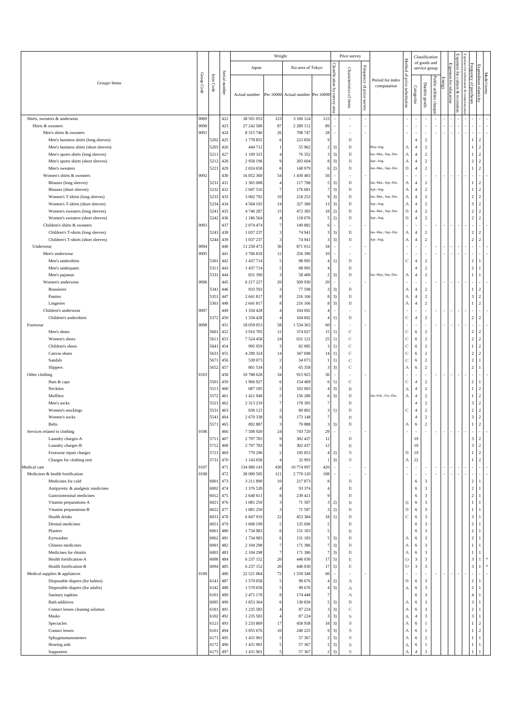|                                                                               |            |              |               |                            | Weight                  |                                   |                                |                                  | Price survey                 |                 |                                   |                            |                                  | Classification                  |                          |        |               | EX |                                           |                                  |  |
|-------------------------------------------------------------------------------|------------|--------------|---------------|----------------------------|-------------------------|-----------------------------------|--------------------------------|----------------------------------|------------------------------|-----------------|-----------------------------------|----------------------------|----------------------------------|---------------------------------|--------------------------|--------|---------------|----|-------------------------------------------|----------------------------------|--|
|                                                                               |            | Item         |               | Japan                      |                         | Ku-area of Tokyo                  |                                |                                  |                              | Frequency       | Period for index                  | Method<br>$\mathfrak{Q}$   |                                  | of goods and<br>service group   |                          |        | Expenses      |    | Expenses<br>Frequency<br>för<br>Ë.        |                                  |  |
| Groups · Items                                                                | Group Code | Code         | Serial number | Actual number              |                         | Per 10000 Actual number Per 10000 |                                | Classification by survey<br>eare | Characteristics of items     | of price survey | computation                       | price substitution         | Categorize                       | Durable goods                   | Public utilities charge: | Energy | for education | ۶  | uotaan<br>of purchases<br>& com           | Expenditure elasticity           |  |
| Shirts, sweaters & underwear                                                  | 0089       |              | 422           | 38 501 053                 | 123                     | 3 160 124                         | 123                            |                                  | ×,                           |                 |                                   |                            |                                  |                                 |                          |        |               |    |                                           |                                  |  |
| Shirts & sweaters                                                             | 0090       |              | 423           | 27 242 580                 | 87                      | 2 2 8 9 1 1 2                     | 89                             | ×.                               |                              |                 |                                   |                            | ×                                | ×,                              |                          |        |               |    |                                           |                                  |  |
| Men's shirts & sweaters                                                       | 0091       |              | 424           | 8 3 1 5 7 4 6              | 26                      | 708 747                           | 28                             | ٠                                | ٠                            |                 |                                   |                            | ٠                                | $\sim$                          |                          |        |               |    | Ï                                         |                                  |  |
| Men's business shirts (long sleeves)<br>Men's business shirts (short sleeves) |            | 5202<br>5203 | 425<br>426    | 1778 855<br>444 712        | -6                      | 223 850<br>55 962                 | $\mathsf{S}$<br>$\overline{2}$ | 3)                               | B<br>$\, {\bf B}$            |                 | May-Aug.                          |                            | $\overline{4}$<br>$\sqrt{4}$     | $\,2\,$<br>$\sqrt{2}$           |                          |        |               |    | 1                                         | 2<br>$\overline{c}$              |  |
| Men's sports shirts (long sleeves)                                            |            | 5211         | 427           | 1 109 325                  |                         | 76 352                            | 3                              | 3)                               | $\, {\bf B}$                 |                 | an.-Mar., Sep.-Dec.               | А<br>А                     | $\overline{4}$                   | $\overline{c}$                  |                          |        |               |    | 1                                         | 2                                |  |
| Men's sports shirts (short sleeves)                                           |            | 5212         | 428           | 2958196                    | $\mathbf{Q}$            | 203 604                           | 8                              | 3)                               | $\, {\bf B}$                 |                 | Apr.-Aug.                         | А                          | $\overline{4}$                   | $\overline{c}$                  |                          |        |               |    | $\overline{2}$                            | 2                                |  |
| Men's sweaters                                                                |            | 5221         | 429           | 2 0 2 4 6 5 8              | 6                       | 148 979                           |                                | 2)                               | B                            |                 | an.-Mar., Sep.-Dec.               | B                          | $\overline{4}$                   | $\overline{c}$                  |                          |        |               |    | 1                                         | 2                                |  |
| Women's shirts & sweaters                                                     | 0092       |              | 430           | 16 852 360                 | 54                      | 1430483                           | 56                             | ×.                               |                              |                 |                                   |                            |                                  | ×                               |                          |        |               |    |                                           |                                  |  |
| Blouses (long sleeves)                                                        |            | 5231         | 431           | 1 365 008                  | $\overline{4}$          | 117788                            | 5                              | 3)                               | $\, {\bf B}$                 |                 | Jan.-Mar., Sep.-Dec.              | А                          | $\overline{4}$                   | $\overline{c}$                  |                          |        |               |    | 1                                         | 2                                |  |
| Blouses (short sleeves)                                                       |            | 5232         | 432           | 2 047 516                  | $\overline{7}$          | 176 681                           | 7                              | 3)                               | $\, {\bf B}$                 |                 | Apr.-Aug.                         | А                          | $\overline{4}$                   | $\,2\,$                         |                          |        |               |    | $\mathbf{1}$                              | 2                                |  |
| Women's T-shirts (long sleeves)                                               |            | 5233<br>5234 | 433<br>434    | 3 002 792<br>4 5 0 4 1 9 3 | 10<br>14                | 218 253<br>327 380                | $\mathsf{g}$<br>13             | 3)<br>3)                         | $\, {\bf B}$                 |                 | an.-Mar., Sep.-Dec.               | А                          | $\overline{4}$<br>$\overline{4}$ | $\,2\,$<br>$\,2\,$              |                          |        |               |    | $\overline{2}$<br>$\overline{\mathbf{3}}$ | 2<br>$\overline{c}$              |  |
| Women's T-shirts (short sleeves)<br>Women's sweaters (long sleeves)           |            | 5241         | 435           | 4 746 287                  | 15                      | 472 305                           | 18                             | 2)                               | $\, {\bf B}$<br>$\, {\bf B}$ |                 | Apr.-Aug.<br>Jan.-Mar., Sep.-Dec. | А<br>B                     | $\overline{4}$                   | $\overline{c}$                  |                          |        |               |    | $\overline{2}$                            | 2                                |  |
| Women's sweaters (short sleeves)                                              |            | 5242         | 436           | 1 186 564                  | $\overline{4}$          | 118 076                           | 5                              | 2)                               | $\, {\bf B}$                 |                 | Apr.-Aug.                         | B                          | $\overline{4}$                   | $\overline{c}$                  |                          |        |               |    | $\sqrt{2}$                                | 2                                |  |
| Children's shirts & sweaters                                                  | 0093       |              | 437           | 2 074 474                  | $\overline{7}$          | 149 882                           | 6                              | $\sim$                           |                              |                 |                                   |                            | ٠                                | $\sim$                          |                          |        |               |    | ×                                         |                                  |  |
| Children's T-shirts (long sleeves)                                            |            | 5243         | 438           | 1 037 237                  | $\overline{\mathbf{3}}$ | 74 941                            | 3                              | 3)                               | B                            |                 | Jan.-Mar., Sep.-Dec.              | А                          | $\overline{4}$                   | $\,2\,$                         |                          |        |               |    | $\sqrt{2}$                                | 2                                |  |
| Children's T-shirts (short sleeves)                                           |            | 5244         | 439           | 1 037 237                  | $\sqrt{3}$              | 74 941                            | 3                              | 3)                               | $\, {\bf B}$                 |                 | Apr.-Aug.                         | А                          | $\overline{4}$                   | $\overline{2}$                  |                          |        |               |    | $\sqrt{2}$                                | 2                                |  |
| Underwear                                                                     | 0094       |              | 440           | 11 258 473                 | 36                      | 871 012                           | 34                             | $\overline{\phantom{a}}$         |                              |                 |                                   |                            |                                  | ×                               |                          |        |               |    | i,                                        |                                  |  |
| Men's underwear<br>Men's undershirts                                          | 0095       | 5301         | 441<br>442    | 3706818<br>1 437 714       | 12<br>5                 | 256 390<br>98 995                 | 10<br>4                        | $\sim$<br>1)                     | B                            |                 |                                   | $\mathbf C$                | ٠<br>$\overline{4}$              | $\sim$<br>$\,2\,$               |                          |        |               |    | ×<br>$\sqrt{2}$                           |                                  |  |
| Men's underpants                                                              |            | 5311         | 443           | 1 437 714                  | 5                       | 98 995                            | 4                              |                                  | $\, {\bf B}$                 |                 |                                   |                            | $\overline{4}$                   | $\sqrt{2}$                      |                          |        |               |    | $\sqrt{2}$                                |                                  |  |
| Men's pajamas                                                                 |            | 5331         | 444           | 831 390                    | 3                       | 58 400                            | $\overline{2}$                 | 3)                               | $\, {\bf B}$                 |                 | Jan.-May, Sep.-Dec.               | А                          | $\overline{4}$                   | $\,2\,$                         |                          |        |               |    | $\mathbf{1}$                              |                                  |  |
| Women's underwear                                                             | 0096       |              | 445           | 6 217 227                  | 20                      | 509 930                           | 20                             | $\sim$                           |                              |                 |                                   |                            | ٠                                | $\sim$                          |                          |        |               |    |                                           |                                  |  |
| <b>Brassieres</b>                                                             |            | 5341         | 446           | 933 593                    | 3                       | 77 598                            | 3                              | 3)                               | B                            |                 |                                   | А                          | $\overline{4}$                   | $\,2\,$                         |                          |        |               |    | 1                                         | $\overline{2}$                   |  |
| Panties                                                                       |            | 5351         | 447           | 2 641 817                  | 8                       | 216 166                           | 8                              | 3)                               | $\, {\bf B}$                 |                 |                                   | А                          | $\overline{4}$                   | $\,2\,$                         |                          |        |               |    | $\overline{\mathbf{3}}$                   | 2                                |  |
| Lingeries<br>Children's underwear                                             | 0097       | 5361         | 448<br>449    | 2 641 817<br>1 334 428     | 8<br>$\overline{4}$     | 216 166<br>104 692                | 8<br>4                         | 3)<br>×.                         | $\, {\bf B}$                 |                 |                                   | А                          | $\overline{4}$<br>×,             | $\,2\,$<br>$\sim$               |                          |        |               |    | $\mathbf{1}$                              | 2                                |  |
| Children's undershirts                                                        |            | 5372         | 450           | 1 334 428                  | $\overline{4}$          | 104 692                           | 4                              | 1)                               | B                            |                 |                                   | $\mathbf C$                | $\overline{4}$                   | $\overline{c}$                  |                          |        |               |    | $\sqrt{2}$                                | 2                                |  |
| Footwear                                                                      | 0098       |              | 451           | 18 059 053                 | 58                      | 1 534 363                         | 60                             | ×.                               |                              |                 |                                   |                            |                                  | ٠                               |                          |        |               |    |                                           |                                  |  |
| Men's shoes                                                                   |            | 5601         | 452           | 3 916 705                  | 12                      | 374 027                           | 15                             | 1)                               | $\mathbf C$                  |                 |                                   | С                          | 6                                | $\overline{2}$                  |                          |        |               |    | $\sqrt{2}$                                | 2                                |  |
| Women's shoes                                                                 |            | 5611         | 453           | 7 5 24 4 58                | 24                      | 631 122                           | 25                             | 1)                               | $\mathbb C$                  |                 |                                   | $\mathbf C$                | 6                                | $\,2\,$                         |                          |        |               |    | $\sqrt{2}$                                | $\overline{2}$                   |  |
| Children's shoes                                                              |            | 5641         | 454           | 995 959                    | $\overline{\mathbf{3}}$ | 82 085                            | $\overline{\mathbf{3}}$        | 1)                               | $\mathbf C$                  |                 |                                   | $\mathbf C$                | 6                                | $\,2\,$                         |                          |        |               |    | 1                                         | 2                                |  |
| Canvas shoes<br>Sandals                                                       |            | 5631<br>5671 | 455<br>456    | 4 290 324<br>530 073       | 14<br>$\overline{c}$    | 347 698<br>34 073                 | $14$<br>1                      | 1)<br>1)                         | $\mathbf C$<br>$\mathbb{C}$  |                 |                                   | $\mathbf C$<br>$\mathbf C$ | 6<br>6                           | $\,2\,$<br>$\overline{c}$       |                          |        |               |    | $\sqrt{2}$<br>$\overline{2}$              | $\overline{2}$                   |  |
| Slippers                                                                      |            | 5652         | 457           | 801 534                    | $\mathbf{3}$            | 65 358                            | 3                              | 3)                               | $\mathbb{C}$                 |                 |                                   | А                          | 6                                | $\sqrt{2}$                      |                          |        |               |    | $\sqrt{2}$                                |                                  |  |
| Other clothing                                                                | 0103       |              | 458           | 10788628                   | 34                      | 915 925                           | 36                             | $\sim$                           |                              |                 |                                   |                            | ٠                                | $\sim$                          |                          |        |               |    |                                           |                                  |  |
| Hats & caps                                                                   |            | 5501         | 459           | 1966927                    | 6                       | 154 409                           | 6                              | 1)                               | С                            |                 |                                   | $\mathbf C$                | $\overline{4}$                   | $\,2\,$                         |                          |        |               |    | $\,2\,$                                   |                                  |  |
| Neckties                                                                      |            | 5511         | 460           | 687 185                    | $\overline{c}$          | 102 003                           | 4                              | 3)                               | $\, {\bf B}$                 |                 |                                   | А                          | $\overline{4}$                   | $\,2\,$                         |                          |        |               |    | $\mathbf{I}$                              | 2                                |  |
| Mufflers                                                                      |            | 5572         | 461           | 1421949                    | 5<br>$\overline{7}$     | 156 280                           | 6                              | 3)                               | B                            |                 | Jan.-Feb., Oct.-Dec.              | А                          | $\overline{4}$<br>$\overline{4}$ | $\,2\,$                         |                          |        |               |    | $\mathbf{1}$                              | 2                                |  |
| Men's socks<br>Women's stockings                                              |            | 5521<br>5531 | 462<br>463    | 2 3 1 3 2 1 9<br>836 123   | $\overline{\mathbf{3}}$ | 178 395<br>80 802                 | 7<br>3                         | 1)                               | $\, {\bf B}$<br>$\, {\bf B}$ |                 |                                   | $\mathbf C$                | $\overline{4}$                   | $\,2\,$<br>$\,2\,$              |                          |        |               |    | 3<br>$\sqrt{2}$                           | 2<br>$\overline{c}$              |  |
| Women's socks                                                                 |            | 5541         | 464           | 2670338                    | 9                       | 173 148                           | 7                              |                                  | $\, {\bf B}$                 |                 |                                   |                            | $\overline{4}$                   | $\,2\,$                         |                          |        |               |    | $\overline{\mathbf{3}}$                   | $\overline{c}$                   |  |
| Belts                                                                         |            | 5571         | 465           | 892 887                    | 3                       | 70 888                            | 3                              | 3)                               | B                            |                 |                                   | А                          | 6                                | $\,2\,$                         |                          |        |               |    | $\mathbf{1}$                              | 2                                |  |
| Services related to clothing                                                  | 0106       |              | 466           | 7 508 920                  | 24                      | 743 720                           | 29                             | $\sim$                           |                              |                 |                                   |                            | ×                                | $\sim$                          |                          |        |               |    |                                           |                                  |  |
| Laundry charges-A                                                             |            | 5711         | 467           | 2797783                    | 9                       | 302 437                           | 12                             |                                  | B                            |                 |                                   |                            | 19                               |                                 |                          |        |               |    | 3                                         | 2                                |  |
| Laundry charges-B<br>Footwear repair charges                                  |            | 5712<br>5721 | 468<br>469    | 2 797 783<br>770 296       | 9<br>$\overline{c}$     | 302 437<br>105 853                | $12\,$<br>$\overline{4}$       | 2)                               | $\, {\bf B}$<br>$\,$ S       |                 |                                   | B                          | 19<br>19                         |                                 |                          |        |               |    | $\sqrt{3}$<br>$\frac{1}{2}$               | $\overline{2}$<br>$\overline{2}$ |  |
| Charges for clothing rent                                                     |            | 5731         | 470           | 1 143 058                  | $\overline{4}$          | 32 993                            |                                | 3)                               | $\,$ S                       |                 |                                   | А                          | 22                               |                                 |                          |        |               |    | $\mathbf{1}$                              | $\overline{c}$                   |  |
| Medical care                                                                  | 0107       |              | 471           | 134 980 143                | 430                     | 10774997                          | 420                            |                                  |                              |                 |                                   |                            | ×                                |                                 |                          |        |               |    |                                           |                                  |  |
| Medicines & health fortification                                              | 0108       |              | 472           | 38 000 505                 | 121                     | 2 770 120                         | 108                            |                                  |                              |                 |                                   |                            | ٠                                | ×.                              |                          |        |               |    | ×                                         |                                  |  |
| Medicines for cold                                                            |            | 6001         | 473           | 3 211 890                  | $10\,$                  | 217873                            | 8                              |                                  | B                            |                 |                                   |                            | 6                                | $\overline{\mathbf{3}}$         |                          |        |               |    | $\sqrt{2}$                                |                                  |  |
| Antipyretic & analgesic medicines<br>Gastrointestinal medicines               |            | 6002<br>6012 | 474<br>475    | 1 376 520<br>2 640 611     | $\overline{4}$<br>8     | 93 374<br>239 421                 |                                |                                  | B<br>$\, {\bf B}$            |                 |                                   |                            | 6<br>6                           | $\mathbf{3}$<br>$\overline{3}$  |                          |        |               |    | $\overline{2}$<br>$\sqrt{2}$              |                                  |  |
| Vitamin preparations-A                                                        |            | 6021         | 476           | 1081250                    | $\sqrt{3}$              | 71 587                            | 3                              | 2)                               | $\, {\bf B}$                 |                 |                                   | $_{\rm B}$                 | 6                                | $\mathfrak z$                   |                          |        |               |    | $\,1\,$                                   |                                  |  |
| Vitamin preparations-B                                                        |            | 6022         | 477           | 1081250                    | $\mathbf{3}$            | 71 587                            | 3                              | 2)                               | B                            |                 |                                   | $\, {\bf B}$               | 6                                | $\mathbf{3}$                    |                          |        |               |    | $\mathbf{1}$                              | $\overline{1}$                   |  |
| Health drinks                                                                 |            | 6031         | 478           | 6 847 919                  | $22\,$                  | 453 384                           | 18                             | 1)                               | $\, {\bf B}$                 |                 |                                   | $\mathbf C$                | 6                                | $\mathbf{3}$                    |                          |        |               |    | $_{\rm 3}$                                | $\overline{1}$                   |  |
| Dermal medicines                                                              |            | 6051         | 479           | 1608 199                   | $\sqrt{5}$              | 125 696                           | 5                              |                                  | B                            |                 |                                   |                            | 6                                | $\mathbf{3}$                    |                          |        |               |    | $\,2\,$                                   | -1                               |  |
| Plasters                                                                      |            | 6061         | 480           | 1734983                    | 6                       | 131 183                           | 5                              |                                  | B                            |                 |                                   |                            | 6                                | $\mathbf{3}$                    |                          |        |               |    | $\overline{2}$                            | $\mathbf{1}$                     |  |
| Eyewashes<br>Chinese medicines                                                |            | 6062<br>6091 | 481<br>482    | 1734983<br>2 104 298       | 6<br>$\tau$             | 131 183<br>171 386                | 5<br>7                         | 3)<br>3)                         | $\, {\bf B}$<br>B            |                 |                                   | А<br>$_{\rm A}$            | 6<br>6                           | $\overline{3}$<br>$\mathfrak z$ |                          |        |               |    | $\,2\,$<br>$1\,$                          | $\mathbf{1}$<br>$\overline{1}$   |  |
| Medicines for rhinitis                                                        |            | 6003         | 483           | 2 104 298                  | $\overline{7}$          | 171 386                           | $\overline{7}$                 | 3)                               | $\, {\bf B}$                 |                 |                                   | А                          | 6                                | $\mathfrak z$                   |                          |        |               |    | $\mathbf{1}$                              |                                  |  |
| Health fortification-A                                                        |            | 6090         | 484           | 6 237 152                  | 20                      | 446 030                           | $17\,$                         | 5)                               | $\mathop{\hbox{\bf E}}$      |                 |                                   | $\mathcal O$               | $\overline{\mathbf{3}}$          | $\mathfrak z$                   |                          |        |               |    | $\mathfrak z$                             |                                  |  |
| Health fortification-B                                                        |            | 6094         | 485           | 6 2 3 7 1 5 2              | 20                      | 446 030                           | 17                             | 5)                               | $\mathbf E$                  |                 |                                   | $\circ$                    | $\overline{\mathbf{3}}$          | $\mathbf{3}$                    |                          |        |               |    | $\ensuremath{\mathbf{3}}$                 | $\mathbf{1}$                     |  |
| Medical supplies & appliances                                                 | 0109       |              | 486           | 22 521 064                 | $72\,$                  | 1550348                           | 60                             | $\overline{\phantom{a}}$         |                              |                 |                                   |                            | ×                                | $\sim$                          |                          |        |               |    | ×                                         |                                  |  |
| Disposable diapers (for babies)                                               |            | 6141         | 487           | 1570058                    | 5                       | 99 676                            | 4                              | 2)                               | А                            |                 |                                   | В                          | 6                                | 3                               |                          |        |               |    | $\overline{2}$                            | -1.                              |  |
| Disposable diapers (for adults)                                               |            | 6142<br>6101 | 488<br>489    | 1570058<br>2 471 170       | 5<br>8                  | 99 676<br>174 448                 | 4<br>$\overline{7}$            | 3)                               | А                            |                 |                                   | $_{\rm A}$                 | 6<br>6                           | $\mathfrak z$<br>$\mathbf{3}$   |                          |        |               |    | $\sqrt{2}$<br>$\sqrt{4}$                  |                                  |  |
| Sanitary napkins<br><b>Bath</b> additives                                     |            | 6095         | 490           | 1853364                    | 6                       | 130 836                           | 5                              | 3)                               | А<br>B                       |                 |                                   | А                          | 6                                | $\mathfrak z$                   |                          |        |               |    | $\ensuremath{\mathbf{3}}$                 |                                  |  |
| Contact lenses cleaning solution                                              |            | 6181         | 491           | 1 2 3 5 5 8 3              | $\overline{4}$          | 87 224                            | 3                              | 3)                               | $\mathbb C$                  |                 |                                   | А                          | 6                                | $\mathbf{3}$                    |                          |        |               |    | $\sqrt{2}$                                |                                  |  |
| Masks                                                                         |            | 6102         | 492           | 1 235 583                  | $\overline{4}$          | 87 224                            | 3                              | 3)                               | S                            |                 |                                   | А                          | $\overline{4}$                   | $\mathbf{3}$                    |                          |        |               |    | $\sqrt{3}$                                |                                  |  |
| Spectacles                                                                    |            | 6121         | 493           | 5 233 869                  | 17                      | 458 938                           | $18\,$                         | 3)                               | $\,$ S                       |                 |                                   | А                          | 6                                | $\mathbf{1}$                    |                          |        |               |    | $1\,$                                     | $\overline{c}$                   |  |
| Contact lenses                                                                |            | 6161         | 494           | 3 0 5 5 6 7 6              | $10\,$                  | 240 225                           | 9                              | 3)                               | S                            |                 |                                   | А                          | 6                                | $\mathbf{1}$                    |                          |        |               |    | $\mathbf{1}$                              | 2                                |  |
| Sphygmomanometers<br>Hearing aids                                             |            | 6171<br>6172 | 495<br>496    | 1431901<br>1431901         | 5<br>5                  | 57 367<br>57 367                  | 2<br>$\overline{2}$            | 3)<br>3)                         | $\,$ S<br>S                  |                 |                                   | А<br>А                     | 6<br>6                           | $\overline{c}$<br>$\mathbf{1}$  |                          |        |               |    | $1\,$<br>$\mathbf{I}$                     | -1<br>$\mathbf{1}$               |  |
| Supporters                                                                    |            | 6173         | 497           | 1 431 901                  | 5                       | 57 367                            | $\overline{2}$                 | 3)                               | S                            |                 |                                   | А                          | $\sqrt{4}$                       | $\mathfrak z$                   |                          |        |               |    |                                           |                                  |  |
|                                                                               |            |              |               |                            |                         |                                   |                                |                                  |                              |                 |                                   |                            |                                  |                                 |                          |        |               |    |                                           |                                  |  |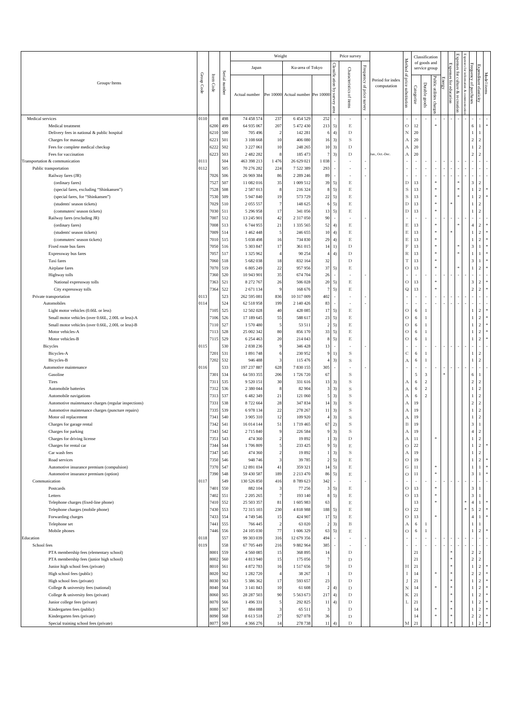|                                                                                            |              |              |               |                            | Weight               |                                   |                                  |    | Price survey                 |                                              |                                 |                           |              | Classification                |                          |        |                      |                          |                              |                                  |             |
|--------------------------------------------------------------------------------------------|--------------|--------------|---------------|----------------------------|----------------------|-----------------------------------|----------------------------------|----|------------------------------|----------------------------------------------|---------------------------------|---------------------------|--------------|-------------------------------|--------------------------|--------|----------------------|--------------------------|------------------------------|----------------------------------|-------------|
|                                                                                            |              |              |               | Japan                      |                      | Ku-area of Tokyo                  |                                  |    |                              |                                              |                                 | Method                    |              | of goods and<br>service group |                          |        | Expen                | Expenses                 |                              |                                  |             |
| Groups · Items                                                                             | Group Code   | Item Code    | Serial number | Actual number              |                      | Per 10000 Actual number Per 10000 | Classification by<br>survey      |    | Characteristics of items     | Frequency<br>$\mathbb{S}$<br>price<br>survey | Period for index<br>computation | 鳥<br>price substitution   | Categorize   | Durable goods                 | Public utilities charge. | Energy | ses<br>for education | for culture & recreation | Frequency of purchases       | Expenditure elasticity           | Model items |
|                                                                                            |              |              |               |                            |                      |                                   | area                             |    |                              |                                              |                                 |                           |              |                               |                          |        |                      |                          |                              |                                  |             |
| Medical services<br>Medical treatment                                                      | 0110         | 6200         | 498<br>499    | 74 458 574<br>64 935 067   | 237<br>207           | 6 4 5 4 5 2 9<br>5 472 430        | 252<br>213<br>5)                 |    | $\mathop{\hbox{\bf E}}$      |                                              |                                 | $\circ$                   | 12           |                               | $\ast$                   |        |                      |                          | 6                            | 1                                |             |
| Delivery fees in national & public hospital                                                |              | 6210         | 500           | 705 496                    | $\overline{2}$       | 142 281                           | 6                                | 4) | $\mathbf D$                  |                                              |                                 | $\rm N$                   | 20           |                               |                          |        |                      |                          | $\mathbf{1}$                 | 1                                |             |
| Charges for massage                                                                        |              | 6221         | 501           | 3 108 668                  | 10                   | 406 080                           | 16<br>3)                         |    | $\mathbf S$                  |                                              |                                 | A                         | 20           |                               |                          |        |                      |                          | $\overline{2}$               | $\overline{2}$                   |             |
| Fees for complete medical checkup                                                          |              | 6222         | 502           | 3 227 061                  | 10                   | 248 265                           | 3)<br>10                         |    | $\mathbf D$                  |                                              |                                 | $\boldsymbol{A}$          | 20           |                               |                          |        |                      |                          |                              | $\overline{2}$                   |             |
| Fees for vaccination                                                                       |              | 6223         | 503           | 2 482 282                  | 8                    | 185 473                           | 7<br>3)                          |    | $\mathbf D$                  |                                              | Jan., Oct.-Dec.                 | A                         | 20           |                               |                          |        |                      |                          | $\overline{c}$               | $\overline{2}$                   |             |
| Transportation & communication<br>Public transportation                                    | 0111<br>0112 |              | 504<br>505    | 463 398 213<br>70 276 282  | 1476<br>224          | 26 629 021<br>7 5 2 2 3 8 9       | 1038<br>×<br>293<br>$\sim$       |    |                              |                                              |                                 |                           |              |                               | ٠                        |        |                      |                          |                              |                                  |             |
| Railway fares (JR)                                                                         |              | 7026         | 506           | 26 969 384                 | 86                   | 2 2 8 2 2 4 6                     | 89<br>×                          |    |                              |                                              |                                 |                           |              |                               |                          |        |                      |                          |                              |                                  |             |
| (ordinary fares)                                                                           |              | 7527         | 507           | 11 082 016                 | 35                   | 1 009 512                         | 39<br>5)                         |    | E                            |                                              |                                 | $\mathbf D$               | 13           |                               | *                        |        |                      |                          | $\overline{\mathbf{3}}$      | $\overline{2}$                   |             |
| (special fares, excluding "Shinkansen")                                                    |              | 7528         | 508           | 2587013                    | 8                    | 216 324                           | 5)<br>8                          |    | $\mathop{\hbox{\bf E}}$      |                                              |                                 | $\mathbf S$               | 13           |                               | *                        |        |                      |                          | $\mathbf{1}$                 | $\sqrt{2}$                       |             |
| (special fares, for "Shinkansen")                                                          |              | 7530         | 509           | 5 947 840                  | 19                   | 573 729                           | 22<br>5)                         |    | $\mathop{\hbox{\bf E}}$      |                                              |                                 | $\mathbf S$               | 13           |                               |                          |        |                      |                          | $\mathbf{1}$                 | $\overline{2}$                   |             |
| (students' season tickets)                                                                 |              | 7029<br>7030 | 510<br>511    | 2 0 5 5 5 5 7<br>5 296 958 | $\overline{7}$<br>17 | 148 625<br>341 056                | 5)<br>6<br>13                    |    | $\mathop{\hbox{\bf E}}$      |                                              |                                 | D                         | 13<br>13     |                               | 宋<br>*                   |        |                      |                          | $\mathbf{1}$<br>$\mathbf{1}$ | $\sqrt{2}$<br>$\sqrt{2}$         |             |
| (commuters' season tickets)<br>Railway fares (excluding JR)                                |              | 7007         | 512           | 13 245 901                 | 42                   | 2 3 1 7 0 5 0                     | 5)<br>90<br>$\epsilon$           |    | $\mathop{\hbox{\bf E}}$      |                                              |                                 | $\mathbf D$               |              |                               |                          |        |                      |                          |                              |                                  |             |
| (ordinary fares)                                                                           |              | 7008         | 513           | 6744955                    | 21                   | 1 3 3 5 5 6 5                     | 52<br>4)                         |    | $\mathop{\hbox{\bf E}}$      |                                              |                                 | $\mathop{\hbox{\bf E}}$   | 13           |                               | *                        |        |                      |                          | $\overline{4}$               | $\overline{\mathbf{c}}$          |             |
| (students' season tickets)                                                                 |              | 7009         | 514           | 1 462 448                  | 5                    | 246 655                           | 10                               | 4) | E                            |                                              |                                 | $\mathbf E$               | 13           |                               | ş.                       |        |                      |                          | $\mathbf{1}$                 | $\overline{2}$                   |             |
| (commuters' season tickets)                                                                |              | 7010         | 515           | 5 038 498                  | 16                   | 734 830                           | 4)<br>29                         |    | $\mathop{\hbox{\bf E}}$      |                                              |                                 | $\mathbf E$               | 13           |                               | ş.                       |        |                      |                          | $\mathbf{1}$                 | $\sqrt{2}$                       |             |
| Fixed route bus fares                                                                      |              | 7050         | 516           | 5 303 847                  | 17                   | 361 015                           | 14<br>1)                         |    | $\mathbf D$                  |                                              |                                 | $\overline{\mathrm{F}}$   | 13           |                               | ş.                       |        |                      |                          | 3                            | $\mathbf{1}$                     |             |
| Expressway bus fares<br>Taxi fares                                                         |              | 7057<br>7060 | 517<br>518    | 1 325 962<br>5 682 038     | $\overline{4}$<br>18 | 90 254<br>832 164                 | $\overline{4}$<br>32             | 4) | D<br>$\mathbf D$             |                                              |                                 | $\mathbb R$<br>T          | 13<br>13     |                               | *<br>ş.                  |        |                      |                          | $\mathbf{1}$<br>3            |                                  |             |
| Airplane fares                                                                             |              | 7070         | 519           | 6 805 249                  | $22\,$               | 957 956                           | 37<br>5)                         |    | $\mathop{\hbox{\bf E}}$      |                                              |                                 | $\circ$                   | 13           |                               | ş.                       |        |                      |                          | $\mathbf{1}$                 | $\sqrt{2}$                       |             |
| <b>Highway</b> tolls                                                                       |              | 7360         | 520           | 10 943 901                 | 35                   | 674 704                           | 26<br>×                          |    |                              |                                              |                                 |                           |              |                               |                          |        |                      |                          |                              |                                  |             |
| National expressway tolls                                                                  |              | 7363         | 521           | 8 272 767                  | 26                   | 506 028                           | 20<br>5)                         |    | $\mathop{\hbox{\bf E}}$      |                                              |                                 | $\mathcal O$              | 13           |                               | *                        |        |                      |                          | 3                            | $\overline{2}$                   |             |
| City expressway tolls                                                                      |              | 7364         | 522           | 2 671 134                  | 9                    | 168 676                           | $\overline{7}$                   | 5) | E                            |                                              |                                 | ${\bf Q}$                 | 13           |                               | ź                        |        |                      |                          | $\overline{2}$               | $\overline{2}$                   |             |
| Private transportation                                                                     | 0113         |              | 523           | 262 595 081                | 836                  | 10 317 009                        | 402<br>÷.                        |    |                              |                                              |                                 |                           |              |                               |                          |        |                      |                          |                              |                                  |             |
| Automobiles                                                                                | 0114         |              | 524           | 62 518 958                 | 199                  | 2 140 426                         | 83<br>$\epsilon$                 |    |                              |                                              |                                 |                           |              |                               |                          |        |                      |                          |                              |                                  |             |
| Light motor vehicles (0.66L or less)<br>Small motor vehicles (over 0.66L, 2.00L or less)-A |              | 7105<br>7106 | 525<br>526    | 12 502 028<br>17 189 645   | 40<br>55             | 428 085<br>588 617                | 17<br>5)<br>23<br>5)             |    | $\mathop{\hbox{\bf E}}$<br>E |                                              |                                 | $\mathcal O$<br>$\circ$   | 6<br>6       | -1<br>$\mathbf{1}$            |                          |        |                      |                          | -1<br>$\mathbf{1}$           | $\overline{2}$<br>$\overline{2}$ |             |
| Small motor vehicles (over 0.66L, 2.00L or less)-B                                         |              | 7110         | 527           | 1570480                    | 5                    | 53 511                            | $\overline{2}$<br>5)             |    | $\mathop{\hbox{\bf E}}$      |                                              |                                 | $\circ$                   | 6            | $\mathbf{1}$                  |                          |        |                      |                          | $\mathbf{1}$                 | $\overline{2}$                   |             |
| Motor vehicles-A                                                                           |              | 7113         | 528           | 25 002 342                 | 80                   | 856 170                           | 33<br>5)                         |    | $\mathop{\hbox{\bf E}}$      |                                              |                                 | $\circ$                   | 6            | $\mathbf{1}$                  |                          |        |                      |                          | $\mathbf{1}$                 | $\overline{2}$                   |             |
| Motor vehicles-B                                                                           |              | 7115         | 529           | 6 254 463                  | 20                   | 214 043                           | 5)<br>8                          |    | $\mathop{\hbox{\bf E}}$      |                                              |                                 | $\mathcal O$              | 6            | $\mathbf{1}$                  |                          |        |                      |                          | $\mathbf{1}$                 | $\sqrt{2}$                       |             |
| <b>Bicycles</b>                                                                            | 0115         |              | 530           | 2 838 236                  | 9                    | 346 428                           | 13<br>$\overline{\phantom{a}}$   |    |                              |                                              |                                 |                           |              | $\overline{\phantom{a}}$      | ×                        |        |                      |                          |                              |                                  |             |
| Bicycles-A                                                                                 |              | 7201         | 531           | 1891748                    | 6                    | 230 952                           | 9                                | 1) | S                            |                                              |                                 | $\mathbf C$               | 6            | $\mathbf{1}$                  |                          |        |                      |                          | $\mathbf{1}$                 | $\overline{2}$                   |             |
| Bicycles-B                                                                                 |              | 7202         | 532<br>533    | 946 488                    | $\sqrt{3}$<br>628    | 115 476<br>7830155                | 3)<br>4<br>×                     |    | S                            |                                              |                                 | $\boldsymbol{A}$          | 6            | $\mathbf{1}$                  |                          |        |                      |                          | $\mathbf{1}$                 | $\sqrt{2}$                       |             |
| Automotive maintenance<br>Gasoline                                                         | 0116         | 7301         | 534           | 197 237 887<br>64 593 355  | 206                  | 1726720                           | 305<br>67                        |    | S                            |                                              |                                 |                           | 5            | $\overline{\mathbf{3}}$       |                          |        |                      |                          | 6                            | -1                               |             |
| Tires                                                                                      |              | 7311         | 535           | 9 5 20 15 1                | 30                   | 331 616                           | 13<br>3)                         |    | S                            |                                              |                                 | $\boldsymbol{A}$          | 6            | $\overline{2}$                |                          |        |                      |                          | $\overline{2}$               | $\overline{2}$                   |             |
| Automobile batteries                                                                       |              | 7312         | 536           | 2 3 8 0 0 4 4              | 8                    | 82 904                            | 3<br>3)                          |    | S                            |                                              |                                 | A                         | 6            | $\overline{c}$                |                          |        |                      |                          | $\mathbf{1}$                 | $\overline{\mathbf{c}}$          |             |
| Automobile navigations                                                                     |              | 7313         | 537           | 6 482 349                  | 21                   | 121 060                           | 3)<br>5                          |    | S                            |                                              |                                 | $\boldsymbol{A}$          | 6            | $\overline{c}$                |                          |        |                      |                          | $\mathbf{1}$                 | $\overline{2}$                   |             |
| Automotive maintenance charges (regular inspections)                                       |              | 7331         | 538           | 8722664                    | 28                   | 347 834                           | 3)<br>14                         |    | S                            |                                              |                                 | A                         | 19           |                               |                          |        |                      |                          | $\mathfrak{D}$               | $\overline{2}$                   |             |
| Automotive maintenance charges (puncture repairs)                                          |              | 7335<br>7341 | 539<br>540    | 6978134                    | $22\,$<br>12         | 278 267                           | 11<br>3)<br>$\overline{4}$       |    | S<br>S                       |                                              |                                 | $\boldsymbol{A}$          | 19<br>19     |                               |                          |        |                      |                          | $\mathbf{1}$                 | $\overline{2}$<br>$\sqrt{2}$     |             |
| Motor oil replacement<br>Charges for garage rental                                         |              | 7342         | 541           | 3 905 310<br>16 014 144    | 51                   | 109 920<br>1719465                | 3)<br>67<br>2)                   |    | S                            |                                              |                                 | A<br>$\bar{B}$            | 19           |                               |                          |        |                      |                          | 3                            | $\mathbf{1}$                     |             |
| Charges for parking                                                                        |              | 7343         | 542           | 2715840                    | 9                    | 226 584                           | 3)<br>9                          |    | S                            |                                              |                                 | $\boldsymbol{A}$          | 19           |                               |                          |        |                      |                          | $\overline{4}$               | $\overline{\mathcal{L}}$         |             |
| Charges for driving license                                                                |              | 7351         | 543           | 474 360                    | $\overline{2}$       | 19892                             | 3)<br>1                          |    | D                            |                                              |                                 | А                         | 11           |                               |                          |        |                      |                          |                              | $\overline{2}$                   |             |
| Charges for rental car                                                                     |              | 7344         | 544           | 1706809                    | 5                    | 233 425                           | 5)<br>9                          |    | $\mathop{\hbox{\bf E}}$      |                                              |                                 | $\bigcirc$                | 22           |                               |                          |        |                      |                          | $\,1$                        | $\sqrt{2}$                       |             |
| Car wash fees                                                                              |              | 7347         | 545           | 474 360                    | $\overline{2}$       | 19892                             | 3)<br>$\mathbf{1}$               |    | $\,$ S                       |                                              |                                 | $\boldsymbol{\mathrm{A}}$ | 19           |                               |                          |        |                      |                          | $\,1$                        | $\,2\,$                          |             |
| Road services<br>Automotive insurance premium (compulsion)                                 |              | 7350<br>7370 | 546<br>547    | 948 746<br>12 891 034      | $\sqrt{3}$<br>41     | 39 7 85<br>359 321                | 5)<br>$\overline{2}$<br>5)<br>14 |    | $\mathop{\hbox{\bf E}}$<br>E |                                              |                                 | $\rm{O}$<br>${\bf G}$     | 19<br>11     |                               | 宋                        |        |                      |                          | $\,1$<br>$\mathbf{1}$        | $\sqrt{2}$<br>$\overline{1}$     |             |
| Automotive insurance premium (option)                                                      |              | 7390         | 548           | 59 430 587                 | 189                  | 2 2 1 3 4 7 0                     | 5)<br>86                         |    | E                            |                                              |                                 | $\circ$                   | $11\,$       |                               | *                        |        |                      |                          | $\sqrt{3}$                   | $\overline{1}$                   |             |
| Communication                                                                              | 0117         |              | 549           | 130 526 850                | 416                  | 8789623                           | 342<br>$\overline{\phantom{a}}$  |    |                              |                                              |                                 | $\overline{\phantom{a}}$  |              |                               | ٠                        |        |                      |                          |                              | ä,                               |             |
| Postcards                                                                                  |              | 7401         | 550           | 882 104                    | 3                    | 77 256                            | 5)<br>3                          |    | E                            |                                              |                                 | $\rm{O}$                  | 13           |                               | $\ast$                   |        |                      |                          | $\sqrt{3}$                   | $\mathbf{1}$                     |             |
| Letters                                                                                    |              | 7402         | 551           | 2 2 0 5 2 6 5              | $\boldsymbol{\tau}$  | 193 140                           | 5)<br>8                          |    | E                            |                                              |                                 | $\circ$                   | 13           |                               | \$                       |        |                      |                          | $\sqrt{3}$                   | $\mathbf{1}$                     |             |
| Telephone charges (fixed-line phone)                                                       |              | 7410         | 552           | 25 503 357                 | $81\,$               | 1 605 983                         | 63                               |    | $\mathop{\hbox{\bf E}}$      |                                              |                                 |                           | 13           |                               | ş.                       |        |                      |                          | $\sqrt{4}$                   | $\overline{1}$                   |             |
| Telephone charges (mobile phone)<br>Forwarding charges                                     |              | 7430<br>7433 | 553<br>554    | 72 315 103<br>4 749 546    | 230<br>15            | 4 8 1 8 9 8 8<br>424 907          | 188<br>5)<br>5)<br>17            |    | E<br>$\mathop{\hbox{\bf E}}$ |                                              |                                 | $\circ$<br>$\bigcirc$     | $22\,$<br>13 |                               | *                        |        |                      |                          | $\sqrt{5}$<br>$\sqrt{4}$     | $\sqrt{2}$<br>$\overline{1}$     |             |
| Telephone set                                                                              |              | 7441         | 555           | 766 445                    | $\overline{2}$       | 63 020                            | 3)<br>$\overline{2}$             |    | $_{\rm B}$                   |                                              |                                 | $\boldsymbol{\mathrm{A}}$ | $\,$ 6 $\,$  | $\mathbf{1}$                  |                          |        |                      |                          | $\,1$                        | $\mathbf{1}$                     |             |
| Mobile phones                                                                              |              | 7446         | 556           | 24 105 030                 | 77                   | 1 606 329                         | 63<br>5)                         |    | E                            |                                              |                                 | $\circ$                   | 6            | $\mathbf{1}$                  |                          |        |                      |                          | $\mathbf{1}$                 | $\sqrt{2}$                       |             |
| Education                                                                                  | 0118         |              | 557           | 99 303 039                 | 316                  | 12 679 356                        | 494<br>×.                        |    |                              |                                              |                                 | $\sim$                    |              | $\sim$                        |                          |        |                      |                          |                              | ł,                               |             |
| School fees                                                                                | 0119         |              | 558           | 67 705 449                 | 216                  | 9 882 964                         | 385<br>×                         |    |                              |                                              |                                 |                           |              |                               | ×                        |        |                      |                          | $\sim$                       | ł,                               |             |
| PTA membership fees (elementary school)                                                    |              | 8001         | 559           | 4 5 6 0 0 8 5              | 15                   | 368 895                           | $^{14}$                          |    | D                            |                                              |                                 |                           | 21           |                               |                          |        |                      |                          | $\sqrt{2}$                   | $\sqrt{2}$                       |             |
| PTA membership fees (junior high school)                                                   |              | 8002<br>8010 | 560<br>561    | 4 813 940<br>4 872 783     | 15<br>16             | 175 056<br>1517656                | $\overline{1}$<br>59             |    | D<br>$\mathbf D$             |                                              |                                 | Н                         | 21<br>21     |                               |                          |        |                      |                          | $\,2\,$<br>$\,1$             | $\sqrt{2}$<br>$\sqrt{2}$         |             |
| Junior high school fees (private)<br>High school fees (public)                             |              | 8020         | 562           | 1 282 720                  | $\overline{4}$       | 38 267                            | $\mathbf{1}$                     |    | D                            |                                              |                                 | $\mathbf I$               | 14           |                               | $\ast$                   |        |                      |                          | $\sqrt{2}$                   | $\sqrt{2}$                       |             |
| High school fees (private)                                                                 |              | 8030         | 563           | 5 386 362                  | 17                   | 593 657                           | 23                               |    | D                            |                                              |                                 | J                         | 21           |                               |                          |        |                      |                          | $\,1$                        | $\sqrt{2}$                       |             |
| College & university fees (national)                                                       |              | 8040         | 564           | 3 141 843                  | 10                   | 61 608                            | $\overline{2}$<br>4)             |    | D                            |                                              |                                 | $\mathbf N$               | 14           |                               | $\ast$                   |        |                      |                          | $\mathbf{1}$                 | $\sqrt{2}$                       |             |
| College & university fees (private)                                                        |              | 8060         | 565           | 28 287 503                 | 90                   | 5 5 6 3 6 7 3                     | 217<br>4)                        |    | D                            |                                              |                                 | $\rm K$                   | 21           |                               |                          |        |                      |                          | $\,1$                        | $\sqrt{2}$                       |             |
| Junior college fees (private)                                                              |              | 8070         | 566           | 1496331                    | 5                    | 292 825                           | 11<br>4)                         |    | D                            |                                              |                                 | L                         | 21           |                               |                          |        |                      |                          | $\,1$                        | $\sqrt{2}$                       |             |
| Kindergarten fees (public)                                                                 |              | 8080         | 567           | 884 088                    | $\sqrt{3}$           | 65 511<br>927 078                 | 3                                |    | D                            |                                              |                                 |                           | 14           |                               | $\ast$                   |        |                      |                          | $\,1$<br>$\,2\,$             | $\sqrt{2}$<br>$\sqrt{2}$         |             |
| Kindergarten fees (private)<br>Special training school fees (private)                      |              | 8090<br>8077 | 568<br>569    | 8 613 518<br>4 366 276     | 27<br>14             | 278 738                           | 36<br>11<br>$\overline{4}$       |    | D<br>$\mathbf D$             |                                              |                                 |                           | 14<br>21     |                               |                          |        |                      |                          |                              |                                  |             |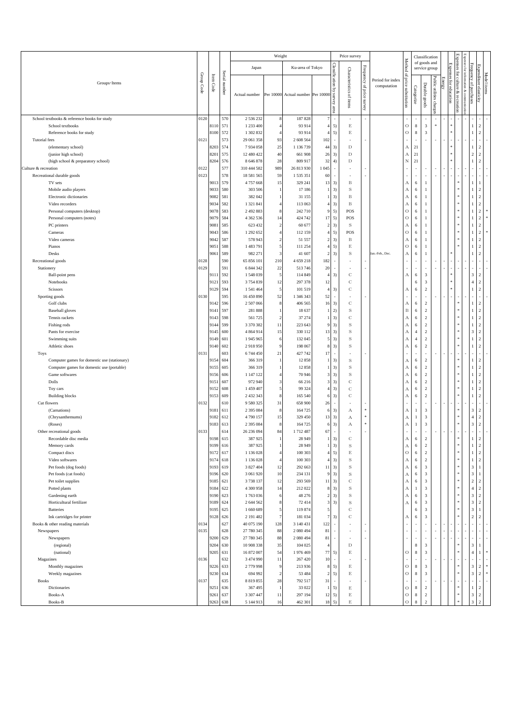|                                                            |            |              |               |                          | Weight                           |                                   |                                  |                                  | Price survey               |                              |                                 |                         |                | Classification                     |                          |        |               |                                             |                              |                                  |  |
|------------------------------------------------------------|------------|--------------|---------------|--------------------------|----------------------------------|-----------------------------------|----------------------------------|----------------------------------|----------------------------|------------------------------|---------------------------------|-------------------------|----------------|------------------------------------|--------------------------|--------|---------------|---------------------------------------------|------------------------------|----------------------------------|--|
|                                                            |            |              |               | Japan                    |                                  | Ku-area of Tokyo                  |                                  |                                  |                            |                              |                                 | Method                  |                | of goods and<br>service group      |                          |        | Expenses      |                                             | Expenses<br>for info         |                                  |  |
| Groups · Items                                             | Group Code | Item Code    | Serial number | Actual number            |                                  | Per 10000 Actual number Per 10000 |                                  | Classification by survey<br>area | Characteristics of items   | Frequency<br>of price survey | Period for index<br>computation | ٩<br>price substitution | Categorize     | Durable goods                      | Public utilities charge: | Energy | for education | omation & com<br>culture<br>۶<br>recreation | Frequency of purchases       | Expenditure elasticity           |  |
| School textbooks & reference books for study               | 0120       |              | 570           | 2 536 232                | 8                                | 187828                            |                                  | ×.                               | ×,                         |                              |                                 |                         |                |                                    | $\overline{\phantom{a}}$ |        |               |                                             |                              |                                  |  |
| School textbooks                                           |            | 8110         | 571           | 1 233 400                | $\overline{4}$                   | 93 914                            | 4                                | 5)                               | $\mathop{\hbox{\bf E}}$    |                              |                                 | $\circ$                 | $\,$ 8 $\,$    | $\mathfrak z$                      | $\ast$                   |        |               |                                             | 1                            | $\overline{2}$                   |  |
| Reference books for study                                  |            | 8100         | 572           | 1 302 832                | $\overline{4}$                   | 93 914                            | 4                                | 5)                               | $\mathop{\hbox{\bf E}}$    |                              |                                 | $\circ$                 | 8              | $\mathfrak{Z}$                     |                          |        |               |                                             | $\mathbf{1}$                 | $\overline{c}$                   |  |
| Tutorial fees                                              | 0121       |              | 573           | 29 061 358               | 93                               | 2 608 564                         | 102                              | ×.                               |                            |                              |                                 |                         | ٠              | ×.                                 | ٠                        |        |               |                                             |                              |                                  |  |
| (elementary school)                                        |            | 8203<br>8201 | 574<br>575    | 7934058<br>12 480 422    | 25<br>40                         | 1 1 3 6 7 3 9<br>661 908          | 44<br>26                         | 3)<br>3)                         | $\mathbf D$<br>$\mathbf D$ |                              |                                 | А<br>А                  | 21<br>21       |                                    |                          |        |               |                                             | 1<br>$\sqrt{2}$              | 2<br>2                           |  |
| (junior high school)<br>(high school & preparatory school) |            | 8204         | 576           | 8 6 4 6 8 7 8            | 28                               | 809 917                           | 32                               | 4)                               | $\mathbf D$                |                              |                                 | $_{\rm N}$              | 21             |                                    |                          |        |               |                                             |                              | 2                                |  |
| Culture & recreation                                       | 0122       |              | 577           | 310 444 582              | 989                              | 26 813 930                        | 1045                             | $\overline{\phantom{a}}$         |                            |                              |                                 |                         |                |                                    |                          |        |               |                                             |                              |                                  |  |
| Recreational durable goods                                 | 0123       |              | 578           | 18 581 565               | 59                               | 1 535 351                         | 60                               | ×                                |                            |                              |                                 |                         | ٠              | $\sim$                             |                          |        |               |                                             |                              |                                  |  |
| TV sets                                                    |            | 9013         | 579           | 4757668                  | 15                               | 329 241                           | 13                               | 3)                               | B                          |                              |                                 | А                       | 6              | $\mathbf{1}$                       |                          |        |               |                                             | 1                            |                                  |  |
| Mobile audio players                                       |            | 9033         | 580           | 303 506                  | $\overline{1}$                   | 17 18 6                           | $\mathbf{1}$                     | 3)                               | $\,$ S                     |                              |                                 | А                       | 6              | $\mathbf{1}$                       |                          |        |               |                                             | 1                            | 2                                |  |
| Electronic dictionaries                                    |            | 9082         | 581           | 382 042                  |                                  | 31 155                            | $\mathbf{1}$                     | 3)                               | B                          |                              |                                 | А                       | 6              | $\mathbf{1}$                       |                          |        |               |                                             | $\mathbf{1}$                 | 2                                |  |
| Video recorders                                            |            | 9034         | 582           | 1 3 2 1 8 4 1            | $\overline{4}$                   | 113 063                           | $\overline{4}$                   | 3)                               | $\, {\bf B}$               |                              |                                 | А                       | 6              | $\mathbf{1}$                       |                          |        |               |                                             | $\mathbf{1}$                 | $\overline{c}$                   |  |
| Personal computers (desktop)                               |            | 9078         | 583           | 2 492 883                | 8                                | 242 710                           | 9                                | 5)                               | POS                        |                              |                                 | $\circ$                 | 6              | $\mathbf{1}$                       |                          |        |               |                                             | $\,1$                        | 2                                |  |
| Personal computers (notes)                                 |            | 9079         | 584           | 4 3 6 2 5 3 6            | 14                               | 424 742                           | $17\,$                           | 5)                               | POS                        |                              |                                 | $\circ$                 | 6              | $\mathbf{1}$                       |                          |        |               |                                             | $\mathbf{1}$                 | $\overline{c}$                   |  |
| PC printers<br>Cameras                                     |            | 9081<br>9043 | 585<br>586    | 623 432<br>1 292 652     | $\overline{2}$<br>$\overline{4}$ | 60 677<br>112 159                 | $\overline{2}$<br>$\overline{4}$ | 3)<br>5)                         | S<br>POS                   |                              |                                 | А<br>$\bigcirc$         | 6<br>6         | $\mathbf{1}$<br>$\mathbf{1}$       |                          |        |               |                                             | $\mathbf{1}$<br>$\mathbf{1}$ | 2<br>$\overline{c}$              |  |
| Video cameras                                              |            | 9042         | 587           | 578 943                  | $\overline{2}$                   | 51 557                            | $\overline{2}$                   | 3)                               | $\, {\bf B}$               |                              |                                 | $_{\rm A}$              | 6              | $\mathbf{1}$                       |                          |        |               |                                             | 1                            | 2                                |  |
| Pianos                                                     |            | 9051         | 588           | 1483791                  | 5                                | 111 254                           | $\overline{4}$                   | 5)                               | $\mathop{\hbox{\bf E}}$    |                              |                                 | $\rm{O}$                | 6              | $\mathbf{1}$                       |                          |        |               |                                             | 1                            | $\overline{c}$                   |  |
| Desks                                                      |            | 9061         | 589           | 982 271                  | $\overline{\mathbf{3}}$          | 41 607                            | $\overline{2}$                   | 3)                               | S                          |                              | Jan.-Feb., Dec.                 | А                       | 6              | $\mathbf{1}$                       |                          |        |               |                                             |                              | 2                                |  |
| Recreational goods                                         | 0128       |              | 590           | 65 856 101               | 210                              | 4 659 218                         | 182                              | ×                                |                            |                              |                                 |                         |                |                                    |                          |        |               |                                             |                              |                                  |  |
| Stationery                                                 | 0129       |              | 591           | 6 844 342                | 22                               | 513 746                           | 20                               | $\overline{\phantom{a}}$         |                            |                              |                                 |                         |                |                                    |                          |        |               |                                             |                              |                                  |  |
| Ball-point pens                                            |            | 9111         | 592           | 1548039                  | 5                                | 114 849                           | $\overline{4}$                   | 3)                               | $\mathbf C$                |                              |                                 | А                       | 6              | $\sqrt{3}$                         |                          |        |               |                                             | $\overline{\mathbf{3}}$      | $\overline{2}$                   |  |
| <b>Notebooks</b>                                           |            | 9121         | 593           | 3754839                  | 12                               | 297 378                           | 12                               |                                  | $\mathbf C$                |                              |                                 |                         | 6              | $\mathfrak{Z}$                     |                          |        |               |                                             | $\overline{4}$               | 2                                |  |
| Scissors                                                   |            | 9129         | 594           | 1 541 464                | 5                                | 101 519                           | $\overline{4}$                   | 3)                               | $\mathbf C$                |                              |                                 | А                       | 6              | $\sqrt{2}$                         |                          |        |               |                                             | $\mathbf{1}$                 | $\overline{c}$                   |  |
| Sporting goods                                             | 0130       |              | 595           | 16 450 890               | 52                               | 1 346 343                         | 52                               | $\overline{\phantom{a}}$         |                            |                              |                                 |                         |                |                                    |                          |        |               |                                             |                              |                                  |  |
| Golf clubs                                                 |            | 9142         | 596<br>597    | 2 507 066                | $\,$ 8                           | 406 565                           | 16                               | 3)                               | С                          |                              |                                 | А                       | 6              | $\sqrt{2}$                         |                          |        |               |                                             | 1                            | $\overline{2}$                   |  |
| <b>Baseball</b> gloves<br>Tennis rackets                   |            | 9141<br>9143 | 598           | 281888<br>561 725        | $\overline{1}$<br>$\overline{2}$ | 18 637<br>37 274                  |                                  | 2)<br>3)                         | S<br>$\mathbf C$           |                              |                                 | $_{\rm B}$<br>А         | 6<br>6         | $\sqrt{2}$<br>$\,2\,$              |                          |        |               |                                             | 1<br>$\mathbf{1}$            | 2<br>2                           |  |
| Fishing rods                                               |            | 9144         | 599           | 3 370 382                | 11                               | 223 643                           | 9                                | 3)                               | $\,$ S                     |                              |                                 | А                       | 6              | $\,2\,$                            |                          |        |               |                                             | $\mathbf{1}$                 | $\overline{c}$                   |  |
| Pants for exercise                                         |            | 9145         | 600           | 4 864 914                | 15                               | 330 112                           | 13                               | 3)                               | S                          |                              |                                 | $_{\rm A}$              | $\overline{4}$ | $\,2\,$                            |                          |        |               |                                             | $\sqrt{3}$                   | 2                                |  |
| Swimming suits                                             |            | 9149         | 601           | 1945965                  | 6                                | 132 045                           | 5                                | 3)                               | $\,$ S                     |                              |                                 | А                       | $\overline{4}$ | $\,2\,$                            |                          |        |               |                                             | $\mathbf{1}$                 | 2                                |  |
| Athletic shoes                                             |            | 9140         | 602           | 2918950                  | 9                                | 198 067                           | 8                                | 3)                               | $\mathbf S$                |                              |                                 | $_{\rm A}$              | 6              | $\,2\,$                            |                          |        |               |                                             | $\mathbf{1}$                 | $\overline{2}$                   |  |
| Toys                                                       | 0131       |              | 603           | 6 744 450                | 21                               | 427 742                           | $17\,$                           | ×                                |                            |                              |                                 |                         | ×,             | $\sim$                             |                          |        |               |                                             |                              |                                  |  |
| Computer games for domestic use (stationary)               |            | 9154         | 604           | 366 319                  | -1                               | 12858                             | -1                               | 3)                               | S                          |                              |                                 | $_{\rm A}$              | 6              | $\,2\,$                            |                          |        |               |                                             | $\mathbf{1}$                 | 2                                |  |
| Computer games for domestic use (portable)                 |            | 9155         | 605           | 366 319                  | $\overline{1}$                   | 12858                             |                                  | 3)                               | $\rm S$                    |                              |                                 | $_{\rm A}$              | 6              | $\overline{2}$                     |                          |        |               |                                             | 1                            | 2                                |  |
| Game softwares                                             |            | 9156         | 606           | 1 147 122                | $\overline{4}$                   | 70 946                            | 3                                | 3)                               | S                          |                              |                                 | А                       | 6              | $\,2\,$                            |                          |        |               |                                             | $\mathbf{1}$                 | 2                                |  |
| Dolls                                                      |            | 9151         | 607           | 972 940<br>1459407       | 3<br>5                           | 66 216                            | 3                                | 3)                               | $\mathbf C$<br>$\mathbf C$ |                              |                                 | $_{\rm A}$              | 6              | $\,2\,$<br>$\sqrt{2}$              |                          |        |               |                                             | $\mathbf{1}$<br>$\mathbf{1}$ | 2                                |  |
| Toy cars<br><b>Building blocks</b>                         |            | 9152<br>9153 | 608<br>609    | 2 432 343                | 8                                | 99 324<br>165 540                 | 4<br>$\epsilon$                  | 3)<br>3)                         | $\mathbf C$                |                              |                                 | A<br>А                  | 6<br>6         | $\sqrt{2}$                         |                          |        |               |                                             | $\mathbf{1}$                 | 2<br>$\overline{2}$              |  |
| Cut flowers                                                | 0132       |              | 610           | 9 580 325                | 31                               | 658 900                           | 26                               | $\sim$                           |                            |                              |                                 |                         |                | $\sim$                             |                          |        |               |                                             |                              |                                  |  |
| (Carnations)                                               |            | 9181         | 611           | 2 395 084                | $\,$ 8                           | 164 725                           | 6                                | 3)                               | А                          | $\ast$                       |                                 | А                       | $\mathbf{1}$   | $\sqrt{3}$                         |                          |        |               |                                             | $\overline{\mathbf{3}}$      | $\overline{2}$                   |  |
| (Chrysanthemums)                                           |            | 9182         | 612           | 4 790 157                | 15                               | 329 450                           | 13                               | 3)                               | А                          | $\ast$                       |                                 | $\boldsymbol{A}$        | $\overline{1}$ | $\mathfrak z$                      |                          |        |               |                                             | $\overline{4}$               | 2                                |  |
| (Roses)                                                    |            | 9183         | 613           | 2 395 084                | 8                                | 164 725                           | 6                                | 3)                               | А                          | $\ast$                       |                                 | $_{\rm A}$              | 1              | $\sqrt{3}$                         |                          |        |               |                                             | $\overline{\mathbf{3}}$      | $\overline{2}$                   |  |
| Other recreational goods                                   | 0133       |              | 614           | 26 236 094               | 84                               | 1712487                           | 67                               | $\sim$                           |                            |                              |                                 |                         | ×,             | $\sim$                             |                          |        |               |                                             |                              |                                  |  |
| Recordable disc media                                      |            | 9198         | 615           | 387 925                  |                                  | 28 949                            | $\mathbf{1}$                     | 3)                               | $\mathbf C$                |                              |                                 | А                       | 6              | $\overline{c}$                     |                          |        |               |                                             | 1                            | $\overline{2}$                   |  |
| Memory cards                                               |            | 9199         | 616           | 387 925                  | -1                               | 28 9 49                           | $\mathbf{1}$                     | 3)                               | $\,$ S                     |                              |                                 | $_{\rm A}$              | 6              | $\overline{2}$                     |                          |        |               |                                             |                              | $1 \mid 2$                       |  |
| Compact discs<br>Video softwares                           |            | 9172<br>9174 | 617           | 1 136 028                | $\overline{4}$<br>$\overline{4}$ | 100 303                           | $\overline{4}$<br>$\overline{4}$ | 5)                               | $\mathop{\hbox{\bf E}}$    |                              |                                 | $\rm{O}$                | 6              | $\sqrt{2}$<br>$\overline{2}$       |                          |        |               |                                             | $\mathbf{1}$                 | $1 \quad 2$<br>$\overline{2}$    |  |
| Pet foods (dog foods)                                      |            | 9193         | 618<br>619    | 1 136 028<br>3 827 404   | 12                               | 100 303<br>292 663                | $11\,$                           | 3)<br>3)                         | $\,$ S<br>$\mathbf S$      |                              |                                 | $_{\rm A}$<br>А         | 6<br>6         | $\sqrt{3}$                         |                          |        |               |                                             | $\ensuremath{\mathbf{3}}$    | $\mathbf{1}$                     |  |
| Pet foods (cat foods)                                      |            | 9196         | 620           | 3 061 920                | 10                               | 234 131                           | 9                                | 3)                               | $\,$ S                     |                              |                                 | $_{\rm A}$              | 6              | $\sqrt{3}$                         |                          |        |               |                                             |                              | 3 <sup>1</sup><br>$\overline{1}$ |  |
| Pet toilet supplies                                        |            | 9185         | 621           | 3738137                  | 12                               | 293 569                           | $1\,1$                           | 3)                               | $\mathbf C$                |                              |                                 | $\boldsymbol{A}$        | 6              | $\sqrt{3}$                         |                          |        |               |                                             | $\sqrt{2}$                   | 2                                |  |
| Potted plants                                              |            | 9184         | 622           | 4 300 958                | 14                               | 212 022                           | 8                                | 3)                               | $\,$ S                     |                              |                                 | А                       | 1              | 3                                  |                          |        |               |                                             |                              | $4 \overline{2}$                 |  |
| Gardening earth                                            |            | 9190         | 623           | 1763036                  | 6                                | 48 276                            | $\overline{2}$                   | 3)                               | $\,$ S                     |                              |                                 | $_{\rm A}$              | 6              | $\sqrt{3}$                         |                          |        |               |                                             | $\mathbf{3}$                 | $\sqrt{2}$                       |  |
| Horticultural fertilizer                                   |            | 9189         | 624           | 2 644 562                | 8                                | 72414                             | 3                                | 3)                               | $\,$ S                     |                              |                                 | $_{\rm A}$              | 6              | $\sqrt{3}$                         |                          |        |               |                                             |                              | $3 \mid 2$                       |  |
| <b>Batteries</b>                                           |            | 9195         | 625           | 1 660 689                | 5                                | 119 874                           | 5                                |                                  | $\mathbf C$                |                              |                                 |                         | 6              | $\sqrt{3}$                         |                          |        |               |                                             | $\overline{\mathbf{3}}$      | -1                               |  |
| Ink cartridges for printer                                 |            | 9128         | 626           | 2 191 482                | $\overline{7}$                   | 181034                            | 7                                | 3)                               | $\mathbf C$                |                              |                                 | А                       | 6              | $\sqrt{3}$                         |                          |        |               |                                             | $\sqrt{2}$                   | $\overline{c}$                   |  |
| Books & other reading materials                            | 0134       |              | 627           | 40 075 190               | 128                              | 3 140 431                         | 122                              | $\overline{\phantom{a}}$         |                            |                              |                                 |                         |                |                                    |                          |        |               |                                             |                              |                                  |  |
| Newspapers                                                 | 0135       | 9200         | 628<br>629    | 27 780 345<br>27 780 345 | 88<br>88                         | 2 080 494<br>2 080 494            | 81<br>81                         | ×<br>$\overline{\phantom{a}}$    |                            |                              |                                 |                         | ٠<br>×,        | $\sim$<br>$\overline{\phantom{a}}$ |                          |        |               |                                             | ×                            |                                  |  |
| Newspapers<br>(regional)                                   |            | 9204         | 630           | 10 908 338               | 35                               | 104 025                           | 4                                |                                  | $\mathbf D$                |                              |                                 |                         | $\,$ 8 $\,$    | $\mathbf{3}$                       |                          |        |               |                                             | $_{\rm 3}$                   |                                  |  |
| (national)                                                 |            | 9205         | 631           | 16 872 007               | 54                               | 1976469                           | 77                               | 5)                               | $\mathop{\hbox{\bf E}}$    |                              |                                 | O                       | 8              | $\overline{\mathbf{3}}$            |                          |        |               |                                             | $\overline{4}$               |                                  |  |
| Magazines                                                  | 0136       |              | 632           | 3 474 990                | 11                               | 267 420                           | $10\,$                           | $\overline{\phantom{a}}$         |                            |                              |                                 |                         |                | $\sim$                             |                          |        |               |                                             | ×,                           |                                  |  |
| Monthly magazines                                          |            | 9226         | 633           | 2779998                  | 9                                | 213 936                           | $\bf8$                           | 5)                               | $\mathbf E$                |                              |                                 | $\circ$                 | 8              | $\overline{\mathbf{3}}$            |                          |        |               |                                             | $\mathbf{3}$                 | 2                                |  |
| Weekly magazines                                           |            | 9230         | 634           | 694 992                  | $\overline{2}$                   | 53 4 8 4                          | $\overline{2}$                   | 5)                               | $\mathop{\hbox{\bf E}}$    |                              |                                 | $\rm{O}$                | $\,$ 8 $\,$    | $\overline{\mathbf{3}}$            |                          |        |               |                                             | $\ensuremath{\mathfrak{Z}}$  | $\overline{c}$                   |  |
| <b>Books</b>                                               | 0137       |              | 635           | 8 8 1 9 8 5 5            | 28                               | 792 517                           | 31                               | $\overline{\phantom{a}}$         |                            |                              |                                 |                         | ٠              | $\overline{\phantom{a}}$           |                          |        |               |                                             | ÷                            |                                  |  |
| Dictionaries                                               |            | 9251         | 636           | 367 495                  | -1                               | 33 022                            | $\mathbf{1}$                     | 5)                               | E                          |                              |                                 | $\rm{O}$                | $\,$ 8 $\,$    | $\sqrt{2}$                         |                          |        |               | *.                                          | $\,1\,$                      | $\overline{2}$                   |  |
| Books-A                                                    |            | 9261         | 637           | 3 307 447                | 11                               | 297 194                           | 12                               | 5)                               | E                          |                              |                                 | $\circ$                 | 8              | $\sqrt{2}$                         |                          |        |               | ×.                                          | $\mathfrak z$                | 2                                |  |
| Books-B                                                    |            | 9263         | 638           | 5 144 9 13               | 16                               | 462 301                           | 18                               | 5)                               | $\mathop{\hbox{\bf E}}$    |                              |                                 | $\circ$                 | 8              | $\,2\,$                            |                          |        |               |                                             | $\overline{\mathbf{3}}$      |                                  |  |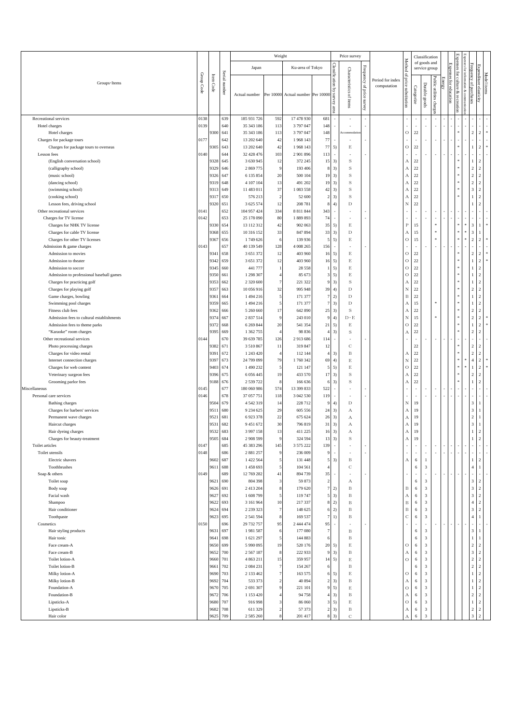|                                                                    |            |              |               |                             | Weight         |                                  |                         |                | Price survey                 |                    |                  |                                      |                          | Classification                            |                         |       |                                |                                 |                                  |                          |             |
|--------------------------------------------------------------------|------------|--------------|---------------|-----------------------------|----------------|----------------------------------|-------------------------|----------------|------------------------------|--------------------|------------------|--------------------------------------|--------------------------|-------------------------------------------|-------------------------|-------|--------------------------------|---------------------------------|----------------------------------|--------------------------|-------------|
|                                                                    |            |              |               |                             |                | Ku-area of Tokyo                 |                         |                |                              |                    |                  | Method                               |                          | of goods and                              |                         |       | Expenses                       | Expenses for information & comm |                                  |                          |             |
|                                                                    |            |              |               | Japan                       |                |                                  |                         | Classification | Characteristics of items     | Frequency of price |                  | $\Omega$                             |                          | service group                             |                         |       | Expenses                       |                                 | Frequency of purchases           | Expenditure elasticity   |             |
| Groups · Items                                                     | Group Code | Item Code    | Serial number |                             |                |                                  |                         |                |                              |                    | Period for index |                                      |                          |                                           | Public utilities charge | ancry | for culture & recreation       |                                 |                                  |                          | Model items |
|                                                                    |            |              |               |                             |                |                                  |                         | ड्             |                              |                    | computation      | price substitution                   |                          | Durable goods                             |                         |       | for education                  |                                 |                                  |                          |             |
|                                                                    |            |              |               | Actual number               |                | Per 10000 Actual number Per 1000 |                         | survey         |                              |                    |                  |                                      | Categorize               |                                           |                         |       |                                |                                 |                                  |                          |             |
|                                                                    |            |              |               |                             |                |                                  |                         |                |                              | <b>RayTuey</b>     |                  |                                      |                          |                                           |                         |       |                                |                                 |                                  |                          |             |
|                                                                    |            |              |               |                             |                |                                  |                         | area           |                              |                    |                  |                                      |                          |                                           |                         |       |                                |                                 |                                  |                          |             |
| Recreational services                                              | 0138       |              | 639           | 185 931 726                 | 592            | 17 478 930                       | 681                     |                |                              |                    |                  |                                      |                          |                                           |                         |       |                                |                                 |                                  |                          |             |
| Hotel charges                                                      | 0139       |              | 640           | 35 343 186                  | 113            | 3797047                          | 148                     |                |                              |                    |                  |                                      | ä,                       |                                           |                         |       |                                |                                 |                                  |                          |             |
| Hotel charges                                                      |            | 9300         | 641           | 35 343 186                  | 113            | 3797047                          | 148                     |                | commodati                    |                    |                  | $\circ$                              | $22\,$                   |                                           |                         |       |                                |                                 | $\overline{c}$                   | $\,2\,$                  | $\ast$      |
| Charges for package tours<br>Charges for package tours to overseas | 0177       | 9305         | 642<br>643    | 13 202 640<br>13 202 640    | 42<br>42       | 1968 143<br>1968 143             | 77<br>77                | ×<br>5)        | E                            |                    |                  | $\circ$                              | ×,<br>$22\,$             |                                           | ٠                       |       |                                |                                 | 1                                | ×.<br>$\,2$              |             |
| Lesson fees                                                        | 0140       |              | 644           | 32 428 476                  | 103            | 2901896                          | 113                     |                | ×,                           |                    |                  |                                      | ٠                        |                                           |                         |       |                                |                                 |                                  |                          |             |
| (English conversation school)                                      |            | 9328         | 645           | 3 630 945                   | 12             | 372 245                          | 15                      | 3)             | $\mathbf S$                  |                    |                  | А                                    | $22\,$                   |                                           |                         |       |                                |                                 | 1.                               | $\,2$                    |             |
| (calligraphy school)                                               |            | 9329         | 646           | 2 869 775                   | 9              | 193 406                          |                         | 3)             | $\rm S$                      |                    |                  | А                                    | $22\,$                   |                                           |                         |       |                                |                                 | $\overline{c}$                   | $\,2\,$                  |             |
| (music school)                                                     |            | 9326         | 647           | 6 135 854                   | 20             | 500 10                           | 19                      | 3)             | $\mathbf S$                  |                    |                  | $\boldsymbol{A}$                     | $22\,$                   |                                           |                         |       |                                |                                 | $\overline{c}$                   | $\,2\,$                  |             |
| (dancing school)                                                   |            | 9319         | 648           | 4 107 104                   | 13             | 491 202                          | 19                      | 3)             | $\rm S$                      |                    |                  | $_{\rm A}$                           | $22\,$                   |                                           |                         |       |                                |                                 | $\overline{2}$                   | $\,2\,$                  |             |
| (swimming school)                                                  |            | 9313         | 649           | 11 483 011                  | 37             | 1 083 558                        | 42                      | 3)             | $\,$ S                       |                    |                  | $\boldsymbol{A}$                     | $22\,$                   |                                           |                         |       |                                |                                 | 3                                | $\,2$                    |             |
| (cooking school)                                                   |            | 9317         | 650           | 576 213                     | $\overline{2}$ | 52 600                           | 2                       | 3)             | $\,$ S                       |                    |                  | А                                    | $22\,$                   |                                           |                         |       |                                |                                 | 1.                               | $\,2$                    |             |
| Lesson fees, driving school<br>Other recreational services         | 0141       | 9320         | 651<br>652    | 3 625 574<br>104 957 424    | 12<br>334      | 208 781<br>8 8 1 1 8 4 4         | 343                     | 4)<br>×        | D<br>ä,                      |                    |                  | $_{\rm N}$                           | $22\,$<br>×,             |                                           |                         |       |                                |                                 |                                  | $\,2\,$                  |             |
| Charges for TV license                                             | 0142       |              | 653           | 25 178 090                  | $80\,$         | 1889893                          | 74                      |                | ×,                           |                    |                  |                                      |                          |                                           |                         |       |                                |                                 |                                  |                          |             |
| Charges for NHK TV license                                         |            | 9330         | 654           | 13 112 312                  | 42             | 902 063                          | 35                      | 5)             | E                            |                    |                  | $_{\rm P}$                           | 15                       |                                           | $\ast$                  |       |                                |                                 | 3                                | $\mathbf{1}$             |             |
| Charges for cable TV license                                       |            | 9368         | 655           | 10 316 152                  | 33             | 847 894                          | 33                      | 3)             | D                            |                    |                  | А                                    | 15                       |                                           | $\frac{1}{2}$           |       |                                |                                 | 3                                | -1                       |             |
| Charges for other TV licenses                                      |            | 9367         | 656           | 1749 626                    | 6              | 139 936                          |                         | 5)             | $\mathop{\hbox{\bf E}}$      |                    |                  | $\circ$                              | 15                       |                                           |                         |       |                                |                                 | $\overline{c}$                   | $\boldsymbol{2}$         |             |
| Admission & game charges                                           | 0143       |              | 657           | 40 139 549                  | 128            | 4 008 265                        | 156                     | ×.             | ٠                            |                    |                  |                                      | ٠                        |                                           | ٠                       |       |                                |                                 |                                  |                          |             |
| Admission to movies                                                |            | 9341         | 658           | 3 651 372                   | 12             | 403 960                          | 16                      | 5)             | E                            |                    |                  | $\mathcal O$                         | $22\,$                   |                                           |                         |       |                                |                                 | $\overline{2}$                   | $\,2$                    |             |
| Admission to theater                                               |            | 9342         | 659           | 3 651 372                   | 12             | 403 960                          | 16                      | 5)             | E                            |                    |                  | $\bigcirc$                           | $22\,$                   |                                           |                         |       |                                |                                 | 1                                | $\,2\,$                  |             |
| Admission to soccer                                                |            | 9345         | 660           | 441 777                     |                | 28 558                           |                         | 5)             | $\mathop{\hbox{\bf E}}$      |                    |                  | $\circ$                              | $22\,$                   |                                           |                         |       |                                |                                 |                                  | $\,2\,$                  |             |
| Admission to professional baseball games                           |            | 9350         | 661           | 1 298 307                   |                | 85 673                           | 3                       | 5)             | E                            |                    |                  | $\circ$                              | $22\,$                   |                                           |                         |       |                                |                                 | $\mathbf{1}$                     | $\,2\,$                  |             |
| Charges for practicing golf<br>Charges for playing golf            |            | 9353<br>9357 | 662<br>663    | 2 3 2 0 6 0 0<br>10 056 916 | 7<br>32        | 221 322<br>995 948               | 39                      | 3)<br>4)       | S<br>D                       |                    |                  | А<br>$_{\rm N}$                      | $22\,$<br>$22\,$         |                                           |                         |       |                                |                                 | 1<br>$\overline{2}$              | $\,2\,$<br>$\,2\,$       |             |
| Game charges, bowling                                              |            | 9361         | 664           | 1494216                     | 5              | 171 377                          |                         | 2)             | D                            |                    |                  | $\, {\bf B}$                         | $22\,$                   |                                           |                         |       |                                |                                 | 1                                | $\,2\,$                  |             |
| Swimming pool charges                                              |            | 9359         | 665           | 1494216                     | 5              | 171 377                          | $\overline{7}$          | 3)             | D                            |                    |                  | $_{\rm A}$                           | 15                       |                                           |                         |       |                                |                                 | $\mathbf{1}$                     | $\,2\,$                  |             |
| Fitness club fees                                                  |            | 9362         | 666           | 5 260 660                   | 17             | 642 890                          | 25                      | 3)             | S                            |                    |                  | А                                    | $22\,$                   |                                           |                         |       |                                |                                 | $\overline{2}$                   | $\,2\,$                  |             |
| Admission fees to cultural establishments                          |            | 9374         | 667           | 2 837 514                   | 9              | 243 010                          |                         | 4)             | $D \cdot E$                  |                    |                  | $_{\rm N}$                           | 15                       |                                           |                         |       |                                |                                 | $\overline{2}$                   | $\,2\,$                  |             |
| Admission fees to theme parks                                      |            | 9372         | 668           | 6 269 844                   | 20             | 541 354                          | 21                      | 5)             | E                            |                    |                  | $\circ$                              | 22                       |                                           |                         |       |                                |                                 | 1                                | $\,2\,$                  |             |
| "Karaoke" room charges                                             |            | 9395         | 669           | 1 362 755                   | $\overline{4}$ | 98 836                           |                         | 3)             | $\rm S$                      |                    |                  | $_{\rm A}$                           | $22\,$                   |                                           |                         |       |                                |                                 | $\overline{2}$                   | $\,2\,$                  |             |
| Other recreational services                                        | 0144       |              | 670           | 39 639 785                  | 126            | 2913686                          | 114                     |                |                              |                    |                  |                                      |                          |                                           |                         |       |                                |                                 |                                  |                          |             |
| Photo processing charges                                           |            | 9382         | 671           | 3 5 10 8 67                 | 11             | 319 847                          | 12                      |                | С                            |                    |                  |                                      | $22\,$                   |                                           |                         |       |                                |                                 | $\overline{2}$                   | $\,2\,$                  |             |
| Charges for video rental                                           |            | 9391<br>9397 | 672<br>673    | 1 243 420<br>24 799 099     | 4<br>79        | 112 144<br>1760342               |                         | 3)<br>4)       | $_{\rm B}$                   |                    |                  | А<br>$_{\rm N}$                      | $22\,$<br>$22\,$         |                                           |                         |       |                                |                                 | $\overline{2}$<br>$\overline{4}$ | $\,2\,$<br>$\,2\,$       |             |
| Internet connection charges<br>Charges for web content             |            | 9403         | 674           | 1490232                     | 5              | 121 147                          | 69                      | 5)             | $\mathop{\hbox{\bf E}}$<br>E |                    |                  | $\circ$                              | $22\,$                   |                                           |                         |       |                                |                                 | 1.                               | $\,2\,$                  |             |
| Veterinary surgeon fees                                            |            | 9396         | 675           | 6 0 5 6 4 4 5               | 19             | 433 570                          | 17                      | 3)             | $\rm S$                      |                    |                  | А                                    | $22\,$                   |                                           |                         |       |                                |                                 | $\overline{2}$                   | $\,2$                    |             |
| Grooming parlor fees                                               |            | 9188         | 676           | 2 539 722                   | 8              | 166 636                          |                         | 3)             | $\mathbf S$                  |                    |                  | $\boldsymbol{A}$                     | $22\,$                   |                                           |                         |       |                                |                                 | 1                                | $\,2\,$                  |             |
| Miscellaneous                                                      | 0145       |              | 677           | 180 060 986                 | 574            | 13 399 833                       | 522                     |                |                              |                    |                  |                                      |                          |                                           |                         |       |                                |                                 |                                  |                          |             |
| Personal care services                                             | 0146       |              | 678           | 37 057 751                  | 118            | 3 042 530                        | 119                     | ×              | ٠                            |                    |                  |                                      | ٠                        |                                           | ٠                       |       | $\overline{\phantom{a}}$       |                                 |                                  |                          |             |
| Bathing charges                                                    |            | 9504         | 679           | 4 5 4 2 3 1 9               | 14             | 228 712                          |                         | 4)             | D                            |                    |                  | Ν                                    | 19                       |                                           |                         |       |                                |                                 | 3                                | $\mathbf{1}$             |             |
| Charges for barbers' services                                      |            | 9511         | 680           | 9 2 3 4 6 2 5               | 29             | 605 556                          | 24                      | 3)             | А                            |                    |                  | А                                    | 19                       |                                           |                         |       |                                |                                 | 3                                | 1                        |             |
| Permanent wave charges                                             |            | 9521         | 681           | 6923378                     | $22\,$         | 675 624                          | 26                      | 3)             | А                            |                    |                  | А                                    | 19                       |                                           |                         |       |                                |                                 | $\overline{c}$                   | $\mathbf{1}$             |             |
| Haircut charges<br>Hair dyeing charges                             |            | 9531<br>9532 | 682<br>683    | 9 451 672<br>3 9 9 7 1 5 8  | 30<br>13       | 796 819<br>411 225               | 31<br>16                | 3)<br>3)       | А<br>А                       |                    |                  | $\boldsymbol{A}$<br>$\boldsymbol{A}$ | 19<br>19                 |                                           |                         |       |                                |                                 | $\mathbf{3}$<br>1                | $\mathbf{1}$<br>$\,2$    |             |
| Charges for beauty-treatment                                       |            | 9505         | 684           | 2 908 599                   | $\overline{Q}$ | 324 594                          | 13                      | 3)             | S                            |                    |                  | А                                    | 19                       |                                           |                         |       |                                |                                 |                                  | $\sqrt{2}$               |             |
| Toilet articles                                                    | 0147       |              | 685           | 45 383 296                  | 145            | 3 575 222                        | 139                     | i,             |                              |                    |                  |                                      |                          |                                           |                         |       |                                |                                 |                                  |                          |             |
| Toilet utensils                                                    | 0148       |              | 686           | 2 881 257                   | 9              | 236 009                          | 9                       | ×              | ٠                            |                    |                  |                                      | $\overline{\phantom{a}}$ | ٠                                         | ٠                       |       | ×.<br>$\overline{\phantom{a}}$ |                                 |                                  | $\sim$                   |             |
| Electric shavers                                                   |            | 9602         | 687           | 1 422 564                   |                | 131 448                          | 5                       | 3)             | B                            |                    |                  | А                                    | 6                        | 1                                         |                         |       |                                |                                 | 1                                | $\,2\,$                  |             |
| Toothbrushes                                                       |            | 9611         | 688           | 1458 693                    | 5              | 104 561                          |                         |                | С                            |                    |                  |                                      | 6                        | $\sqrt{3}$                                |                         |       |                                |                                 | $\overline{4}$                   | $\mathbf{1}$             |             |
| Soap & others                                                      | 0149       |              | 689           | 12 769 282                  | 41             | 894 739                          | 35                      |                | ×                            |                    |                  |                                      | ×,                       | $\overline{\phantom{a}}$                  |                         |       | $\overline{\phantom{a}}$       |                                 |                                  | $\overline{\phantom{a}}$ |             |
| Toilet soap                                                        |            | 9621         | 690           | 804 398                     | 3              | 59 873                           | 2                       |                | А                            |                    |                  |                                      | 6                        | $\ensuremath{\mathbf{3}}$                 |                         |       |                                |                                 | 3 <sup>1</sup>                   | $\,2\,$                  |             |
| Body soap                                                          |            | 9626         | 691           | 2 413 204                   | 8              | 179 620                          | 5                       | 72)            | B<br>$_{\rm B}$              |                    |                  | $_{\rm B}$                           | 6<br>6                   | $\overline{\mathbf{3}}$<br>$\mathbf{3}$   |                         |       |                                |                                 | $\mathbf{3}$<br>3                | $\,2\,$<br>$\,2\,$       |             |
| Facial wash<br>Shampoo                                             |            | 9627<br>9622 | 692<br>693    | 1608799<br>3 161 964        | 5<br>$10\,$    | 119747<br>217 337                |                         | 3)<br>2)       | $_{\rm B}$                   |                    |                  | А<br>$\, {\bf B}$                    | 6                        | 3                                         |                         |       |                                |                                 | 4                                | $\,2\,$                  |             |
| Hair conditioner                                                   |            | 9624         | 694           | 2 2 3 3 3 2 3               | $\overline{7}$ | 148 625                          | 6                       | 2)             | $_{\rm B}$                   |                    |                  | $\, {\bf B}$                         | 6                        | $\mathbf{3}$                              |                         |       |                                |                                 | 3                                | $\,2\,$                  |             |
| Toothpaste                                                         |            | 9623         | 695           | 2 541 594                   | 8              | 169 537                          | $\overline{7}$          | 1)             | $_{\rm B}$                   |                    |                  | $\mathbf C$                          | $\sqrt{6}$               | 3                                         |                         |       |                                |                                 | $\overline{4}$                   | $\mathbf{1}$             |             |
| Cosmetics                                                          | 0150       |              | 696           | 29 732 757                  | 95             | 2 444 474                        | 95                      | ä,             | ×,                           |                    |                  |                                      | ×,                       | ×                                         |                         |       | $\overline{\phantom{a}}$       |                                 |                                  | ٠                        |             |
| Hair styling products                                              |            | 9631         | 697           | 1981587                     | 6              | 177 080                          | 7                       |                | $_{\rm B}$                   |                    |                  |                                      | 6                        | 3                                         |                         |       |                                |                                 | 3                                | $\mathbf{1}$             |             |
| Hair tonic                                                         |            | 9641         | 698           | 1621297                     |                | 144 883                          | 6                       |                | $\, {\bf B}$                 |                    |                  |                                      | $\sqrt{6}$               | $\mathbf{3}$                              |                         |       |                                |                                 | $\mathbf{1}$                     | $\mathbf{1}$             |             |
| Face cream-A                                                       |            | 9650         | 699           | 5 990 095                   | 19             | 520 176                          | 20                      | 5)             | E                            |                    |                  | $\bigcirc$                           | 6                        | $\overline{3}$                            |                         |       |                                |                                 | $\overline{c}$                   | $\overline{c}$           |             |
| Face cream-B                                                       |            | 9652         | 700           | 2 5 6 7 1 8 7               |                | 222 933                          |                         | 3)             | $_{\rm B}$                   |                    |                  | А                                    | 6                        | $\sqrt{3}$                                |                         |       |                                |                                 | 3                                | $\,2\,$                  |             |
| Toilet lotion-A                                                    |            | 9660         | 701           | 4 8 6 3 2 1 1               | 15             | 359 957                          | 14                      | 5)             | E                            |                    |                  | $\bigcirc$                           | $\sqrt{6}$               | $\mathbf{3}$                              |                         |       |                                |                                 | $\overline{c}$                   | $\,2\,$                  |             |
| Toilet lotion-B<br>Milky lotion-A                                  |            | 9661<br>9690 | 702<br>703    | 2 084 231<br>2 133 462      | 7              | 154 267<br>163 575               | 6<br>6                  | 5)             | $_{\rm B}$<br>E              |                    |                  | $\circ$                              | 6<br>6                   | $\ensuremath{\mathbf{3}}$<br>$\mathbf{3}$ |                         |       |                                |                                 | $\overline{2}$<br>1              | $\,2\,$<br>$\,2\,$       |             |
| Milky lotion-B                                                     |            | 9692         | 704           | 533 373                     |                | 40 894                           | $\overline{2}$          | 3)             | $_{\rm B}$                   |                    |                  | А                                    | 6                        | $\mathbf{3}$                              |                         |       |                                |                                 | 1                                | $\,2\,$                  |             |
| Foundation-A                                                       |            | 9670         | 705           | 2 691 307                   |                | 221 101                          | 9                       | 5)             | E                            |                    |                  | $\circ$                              | 6                        | $\mathbf{3}$                              |                         |       |                                |                                 | 1                                | $\,2\,$                  |             |
| Foundation-B                                                       |            | 9672         | 706           | 1 153 420                   |                | 94 758                           |                         | 3)             | $_{\rm B}$                   |                    |                  | $\boldsymbol{A}$                     | 6                        | $\mathbf{3}$                              |                         |       |                                |                                 | $\overline{2}$                   | $\,2\,$                  |             |
| Lipsticks-A                                                        |            | 9680         | 707           | 916 998                     |                | 86 060                           | $\overline{\mathbf{3}}$ | 5)             | E                            |                    |                  | $\bigcirc$                           | 6                        | $\mathbf{3}$                              |                         |       |                                |                                 | $\mathbf{1}$                     | $\,2\,$                  |             |
| Lipsticks-B                                                        |            | 9682         | 708           | 611 329                     |                | 57 373                           | $\overline{2}$          | 3)             | $_{\rm B}$                   |                    |                  | $\boldsymbol{A}$                     | 6                        | $\sqrt{3}$                                |                         |       |                                |                                 | $\overline{2}$                   | $\,2\,$                  |             |
| Hair color                                                         |            | 9625         | 709           | 2 5 8 5 2 6 0               |                | 201 417                          | 8                       | 3)             | $\mathbf C$                  |                    |                  | A                                    | 6                        | $\overline{\mathbf{3}}$                   |                         |       |                                |                                 | $\mathbf{3}$                     | $\,2\,$                  |             |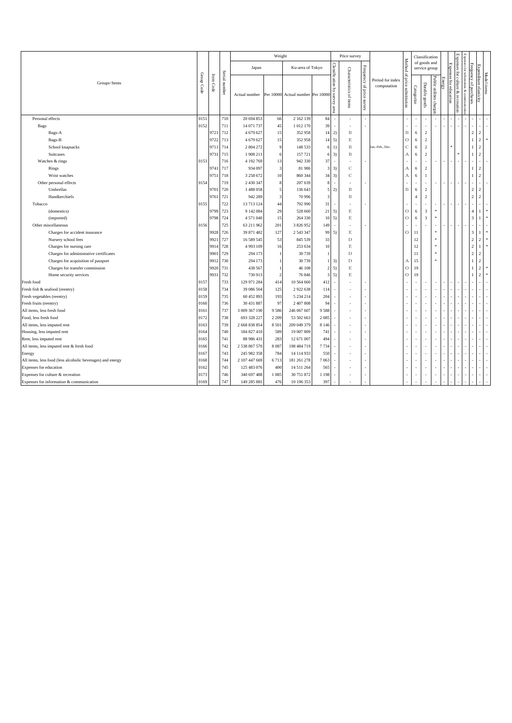|                                                            |            |           |               |               | Weight         |                                  |                         |                                    | Price survey             |                              |                                 |                    |                   | Classification          |                          |                          |                        | ďЯ                                          |                        |                        |             |
|------------------------------------------------------------|------------|-----------|---------------|---------------|----------------|----------------------------------|-------------------------|------------------------------------|--------------------------|------------------------------|---------------------------------|--------------------|-------------------|-------------------------|--------------------------|--------------------------|------------------------|---------------------------------------------|------------------------|------------------------|-------------|
|                                                            |            |           |               |               |                |                                  |                         |                                    |                          |                              |                                 | Method of          |                   | of goods and            |                          |                          |                        | sasus                                       |                        |                        |             |
|                                                            |            |           |               | Japan         |                | Ku-area of Tokyo                 |                         |                                    |                          |                              |                                 |                    |                   | service group           |                          |                          |                        | $\overline{2}$<br>E                         |                        |                        |             |
| Groups · Items                                             | Group Code | Item Code | Serial number | Actual number |                | Per 10000 Actual number Per 1000 |                         | Classification by<br>vervey<br>are | Characteristics of items | Frequency of price<br>Kan.ns | Period for index<br>computation | price substitution | $\rm Categorical$ | Durable goods           | Public utilities charge: | Į                        | Expenses for education | Expenses for culture & recreation<br>повещю | Frequency of purchases | Expenditure elasticity | Model items |
| Personal effects                                           | 0151       |           | 710           | 20 694 853    | 66             | 2 162 139                        | $\bf 84$                | ×.                                 | ٠                        |                              |                                 | $\sim$             |                   |                         |                          |                          |                        |                                             |                        |                        |             |
| Bags                                                       | 0152       |           | 711           | 14 071 737    | 45             | 1012170                          | 39                      | ×                                  | ×                        |                              |                                 |                    | ٠                 |                         |                          |                          |                        |                                             |                        |                        |             |
| Bags-A                                                     |            | 9721      | 712           | 4 679 627     | 15             | 352 958                          | 14                      | 2)                                 | B                        |                              |                                 | $\mathbf B$        | 6                 | $\overline{2}$          |                          |                          |                        |                                             | $\overline{2}$         | $\overline{2}$         |             |
| Bags-B                                                     |            | 9722      | 713           | 4 679 627     | 15             | 352 958                          | 14                      | 5)                                 | E                        |                              |                                 | $\circ$            | 6                 | $\overline{c}$          |                          |                          |                        |                                             | $\mathbf{1}$           | $\sqrt{2}$             |             |
| School knapsacks                                           |            | 9711      | 714           | 2 804 272     | 9              | 148 533                          | 6                       | 1)                                 | $_{\rm B}$               |                              | Jan.-Feb., Dec.                 | $\mathbf C$        | 6                 | $\overline{2}$          |                          |                          |                        |                                             | $\mathbf{1}$           | $\overline{2}$         |             |
| Suitcases                                                  |            | 9731      | 715           | 1908 211      | 6              | 157 721                          | 6                       | 3)                                 | B                        |                              |                                 | А                  | 6                 | 2                       |                          |                          |                        |                                             | $\mathbf{1}$           | $\overline{2}$         |             |
| Watches & rings                                            | 0153       |           | 716           | 4 192 769     | 13             | 942 330                          | 37                      | ×                                  | ×                        |                              |                                 | ×.                 | ×                 |                         |                          |                          |                        |                                             |                        | ÷.                     |             |
| Rings                                                      |            | 9741      | 717           | 934 097       | 3              | 81986                            | $\overline{\mathbf{3}}$ | 3)                                 | С                        |                              |                                 | A                  | 6                 | 2                       |                          |                          |                        |                                             | $\mathbf{1}$           | $\overline{2}$         |             |
| Wrist watches                                              |            | 9751      | 718           | 3 258 672     | 10             | 860 344                          | 34                      | 3)                                 | $\overline{c}$           |                              |                                 | $\mathbf{A}$       | 6                 | $\mathbf{1}$            |                          |                          |                        |                                             | $\mathbf{1}$           | $\overline{2}$         |             |
| Other personal effects                                     | 0154       |           | 719           | 2 430 347     | 8              | 207 639                          | 8                       | $\sim$                             | ×                        |                              |                                 |                    | $\sim$            | $\sim$                  |                          | $\overline{\phantom{a}}$ |                        |                                             |                        | ÷.                     |             |
| Umbrellas                                                  |            | 9701      | 720           | 1488058       | $\overline{5}$ | 136 643                          | 5                       | 2)                                 | B                        |                              |                                 | $\, {\bf B}$       | 6                 | $\overline{c}$          |                          |                          |                        |                                             | $\overline{c}$         | $\sqrt{2}$             |             |
| Handkerchiefs                                              |            | 9761      | 721           | 942 289       | 3              | 70 996                           | $\overline{\mathbf{3}}$ |                                    | B                        |                              |                                 |                    | $\overline{4}$    | $\overline{c}$          |                          |                          |                        |                                             | $\overline{2}$         | $\overline{2}$         |             |
| Tobacco                                                    | 0155       |           | 722           | 13 713 124    | 44             | 792 990                          | 31                      | ×                                  | ٠                        |                              |                                 | $\sim$             | ٠                 | $\sim$                  |                          |                          |                        |                                             | $\sim$                 | ÷.                     |             |
| (domestics)                                                |            | 9799      | 723           | 9 142 084     | 29             | 528 660                          | 21                      | 5)                                 | E                        |                              |                                 | $\circ$            | 6                 | 3                       |                          |                          |                        |                                             | $\overline{4}$         | 1                      |             |
| (imported)                                                 |            | 9798      | 724           | 4 571 040     | 15             | 264 330                          | 10                      | 5)                                 | E                        |                              |                                 | $\circ$            | 6                 | $\overline{\mathbf{3}}$ | $\approx$                |                          |                        |                                             | 3                      | $\mathbf{1}$           |             |
| Other miscellaneous                                        | 0156       |           | 725           | 63 211 962    | 201            | 3 826 952                        | 149                     | $\sim$                             | ٠                        |                              |                                 | $\sim$             |                   |                         |                          |                          |                        |                                             | ٠                      |                        |             |
| Charges for accident insurance                             |            | 9928      | 726           | 39 871 482    | 127            | 2 5 4 3 3 4 7                    | 99                      | 5)                                 | E                        |                              |                                 | $\circ$            | 11                |                         | $\approx$                |                          |                        |                                             | 3                      | $\overline{1}$         |             |
| Nursery school fees                                        |            | 9921      | 727           | 16 589 545    | 53             | 845 539                          | 33                      |                                    | D                        |                              |                                 |                    | 12                |                         | s.                       |                          |                        |                                             | $\,2$                  | $\sqrt{2}$             | ×           |
| Charges for nursing care                                   |            | 9914      | 728           | 4 9 9 3 1 0 9 | 16             | 253 634                          | 10                      |                                    | E                        |                              |                                 |                    | 12                |                         | $\ast$                   |                          |                        |                                             | $\overline{2}$         | $\mathbf{1}$           |             |
| Charges for administrative certificates                    |            | 9901      | 729           | 294 173       | $\mathbf{1}$   | 30739                            | $\mathbf{1}$            |                                    | D                        |                              |                                 |                    | 11                |                         | $\ast$                   |                          |                        |                                             | $\overline{2}$         | $\overline{2}$         |             |
| Charges for acquisition of passport                        |            | 9912      | 730           | 294 173       |                | 30739                            | $\mathbf{1}$            | 3)                                 | D                        |                              |                                 | А                  | 15                |                         |                          |                          |                        |                                             | $\mathbf{1}$           | $\sqrt{2}$             |             |
| Charges for transfer commission                            |            | 9920      | 731           | 438 567       | 1              | 46 108                           | $\overline{2}$          | 5)                                 | $\mathop{\hbox{\bf E}}$  |                              |                                 | $\circ$            | 19                |                         |                          |                          |                        |                                             | $\mathbf{1}$           | $\overline{2}$         |             |
| Home security services                                     |            | 9931      | 732           | 730 913       | $\mathcal{D}$  | 76 846                           | 3                       | 5)                                 | E                        |                              |                                 | $\circ$            | 19                |                         |                          |                          |                        |                                             | $\mathbf{1}$           | $\overline{2}$         |             |
| Fresh food                                                 | 0157       |           | 733           | 129 971 284   | 414            | 10 564 660                       | 412                     | ×.                                 |                          |                              |                                 |                    |                   |                         |                          |                          |                        |                                             |                        |                        |             |
| Fresh fish & seafood (reentry)                             | 0158       |           | 734           | 39 086 504    | 125            | 2922638                          | 114                     | ×                                  | ٠                        |                              |                                 | $\overline{a}$     | $\sim$            |                         |                          |                          |                        |                                             |                        |                        |             |
| Fresh vegetables (reentry)                                 | 0159       |           | 735           | 60 452 893    | 193            | 5 2 3 4 2 1 4                    | 204                     | ×,                                 |                          |                              |                                 |                    |                   |                         |                          |                          |                        |                                             |                        |                        |             |
| Fresh fruits (reentry)                                     | 0160       |           | 736           | 30 431 887    | 97             | 2 407 808                        | 94                      | ×.                                 | ٠                        |                              |                                 |                    |                   |                         |                          |                          |                        |                                             |                        |                        |             |
| All items, less fresh food                                 | 0161       |           | 737           | 3 009 367 190 | 9586           | 246 067 607                      | 9588                    | ×.                                 |                          |                              |                                 |                    |                   |                         |                          |                          |                        |                                             |                        |                        |             |
| Food, less fresh food                                      | 0172       |           | 738           | 693 328 227   | 2 2 0 9        | 53 502 663                       | 2085                    |                                    | ٠                        |                              |                                 |                    |                   |                         |                          |                          |                        |                                             |                        |                        |             |
| All items, less imputed rent                               | 0163       |           | 739           | 2 668 838 854 | 8 5 0 1        | 209 049 379                      | 8 1 4 6                 | ×                                  | ٠                        |                              |                                 |                    |                   |                         |                          |                          |                        |                                             |                        |                        |             |
| Housing, less imputed rent                                 | 0164       |           | 740           | 184 827 410   | 589            | 19 007 809                       | 741                     | J.                                 | ×,                       |                              |                                 |                    |                   |                         |                          |                          |                        |                                             |                        |                        |             |
| Rent, less imputed rent                                    | 0165       |           | 741           | 88 986 431    | 283            | 12 671 007                       | 494                     | $\overline{\phantom{a}}$           | ×,                       |                              |                                 |                    |                   |                         |                          |                          |                        |                                             |                        |                        |             |
| All items, less imputed rent & fresh food                  | 0166       |           | 742           | 2 538 867 570 | 8087           | 198 484 719                      | 7734                    | $\sim$                             | ٠                        |                              |                                 |                    |                   |                         |                          |                          |                        |                                             |                        |                        |             |
| Energy                                                     | 0167       |           | 743           | 245 982 358   | 784            | 14 114 933                       | 550                     | ×                                  | ×                        |                              |                                 |                    |                   |                         |                          |                          |                        |                                             |                        |                        |             |
| All items, less food (less alcoholic beverages) and energy | 0168       |           | 744           | 2 107 447 669 | 6713           | 181 261 278                      | 7063                    | $\sim$                             |                          |                              |                                 |                    |                   |                         |                          |                          |                        |                                             |                        |                        |             |
| Expenses for education                                     | 0162       |           | 745           | 125 483 076   | 400            | 14 5 11 2 6 4                    | 565                     | ×                                  | ٠                        |                              |                                 |                    |                   |                         |                          |                          |                        |                                             |                        |                        |             |
| Expenses for culture & recreation                          | 0173       |           | 746           | 340 697 488   | 1085           | 30 751 872                       | 1 1 9 8                 | ×.                                 | ×,                       |                              |                                 | ×.                 |                   |                         |                          | ÷                        |                        |                                             |                        |                        |             |
| Expenses for information & communication                   | 0169       |           | 747           | 149 285 881   | 476            | 10 196 353                       | 397                     |                                    |                          |                              |                                 |                    |                   |                         |                          |                          |                        |                                             |                        |                        |             |